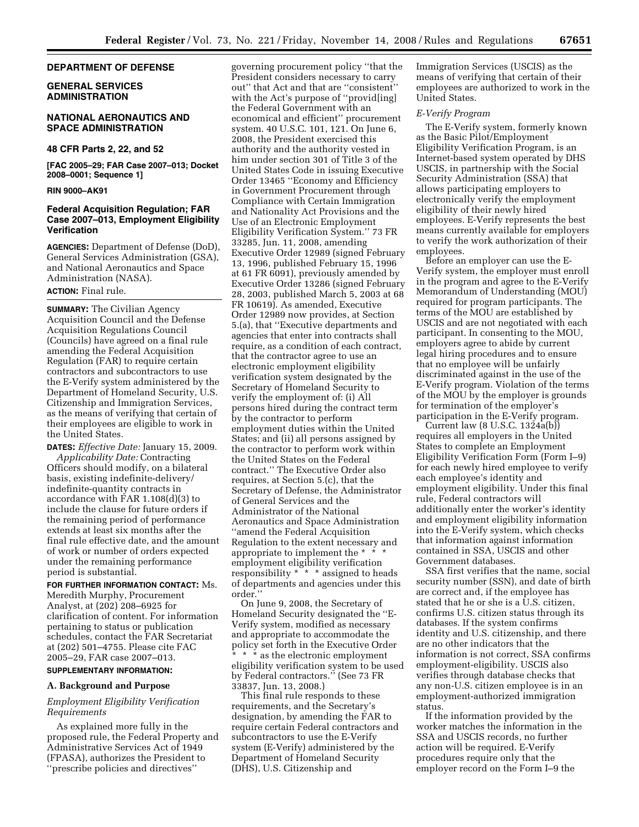# **DEPARTMENT OF DEFENSE**

# **GENERAL SERVICES ADMINISTRATION**

# **NATIONAL AERONAUTICS AND SPACE ADMINISTRATION**

# **48 CFR Parts 2, 22, and 52**

**[FAC 2005–29; FAR Case 2007–013; Docket 2008–0001; Sequence 1]** 

## **RIN 9000–AK91**

# **Federal Acquisition Regulation; FAR Case 2007–013, Employment Eligibility Verification**

**AGENCIES:** Department of Defense (DoD), General Services Administration (GSA), and National Aeronautics and Space Administration (NASA).

# **ACTION:** Final rule.

**SUMMARY:** The Civilian Agency Acquisition Council and the Defense Acquisition Regulations Council (Councils) have agreed on a final rule amending the Federal Acquisition Regulation (FAR) to require certain contractors and subcontractors to use the E-Verify system administered by the Department of Homeland Security, U.S. Citizenship and Immigration Services, as the means of verifying that certain of their employees are eligible to work in the United States.

**DATES:** *Effective Date:* January 15, 2009. *Applicability Date:* Contracting Officers should modify, on a bilateral basis, existing indefinite-delivery/ indefinite-quantity contracts in accordance with FAR 1.108(d)(3) to include the clause for future orders if the remaining period of performance extends at least six months after the final rule effective date, and the amount of work or number of orders expected under the remaining performance period is substantial.

**FOR FURTHER INFORMATION CONTACT:** Ms. Meredith Murphy, Procurement Analyst, at (202) 208–6925 for clarification of content. For information pertaining to status or publication schedules, contact the FAR Secretariat at (202) 501–4755. Please cite FAC

# 2005–29, FAR case 2007–013. **SUPPLEMENTARY INFORMATION:**

# **A. Background and Purpose**

# *Employment Eligibility Verification Requirements*

As explained more fully in the proposed rule, the Federal Property and Administrative Services Act of 1949 (FPASA), authorizes the President to ''prescribe policies and directives''

governing procurement policy ''that the President considers necessary to carry out'' that Act and that are ''consistent'' with the Act's purpose of ''provid[ing] the Federal Government with an economical and efficient'' procurement system. 40 U.S.C. 101, 121. On June 6, 2008, the President exercised this authority and the authority vested in him under section 301 of Title 3 of the United States Code in issuing Executive Order 13465 ''Economy and Efficiency in Government Procurement through Compliance with Certain Immigration and Nationality Act Provisions and the Use of an Electronic Employment Eligibility Verification System.'' 73 FR 33285, Jun. 11, 2008, amending Executive Order 12989 (signed February 13, 1996, published February 15, 1996 at 61 FR 6091), previously amended by Executive Order 13286 (signed February 28, 2003, published March 5, 2003 at 68 FR 10619). As amended, Executive Order 12989 now provides, at Section 5.(a), that ''Executive departments and agencies that enter into contracts shall require, as a condition of each contract, that the contractor agree to use an electronic employment eligibility verification system designated by the Secretary of Homeland Security to verify the employment of: (i) All persons hired during the contract term by the contractor to perform employment duties within the United States; and (ii) all persons assigned by the contractor to perform work within the United States on the Federal contract.'' The Executive Order also requires, at Section 5.(c), that the Secretary of Defense, the Administrator of General Services and the Administrator of the National Aeronautics and Space Administration ''amend the Federal Acquisition Regulation to the extent necessary and appropriate to implement the \* \* \* employment eligibility verification responsibility \* \* \* assigned to heads of departments and agencies under this order.''

On June 9, 2008, the Secretary of Homeland Security designated the ''E-Verify system, modified as necessary and appropriate to accommodate the policy set forth in the Executive Order \* \* \* as the electronic employment eligibility verification system to be used by Federal contractors." (See 73 FR 33837, Jun. 13, 2008.)

This final rule responds to these requirements, and the Secretary's designation, by amending the FAR to require certain Federal contractors and subcontractors to use the E-Verify system (E-Verify) administered by the Department of Homeland Security (DHS), U.S. Citizenship and

Immigration Services (USCIS) as the means of verifying that certain of their employees are authorized to work in the United States.

# *E-Verify Program*

The E-Verify system, formerly known as the Basic Pilot/Employment Eligibility Verification Program, is an Internet-based system operated by DHS USCIS, in partnership with the Social Security Administration (SSA) that allows participating employers to electronically verify the employment eligibility of their newly hired employees. E-Verify represents the best means currently available for employers to verify the work authorization of their employees.

Before an employer can use the E-Verify system, the employer must enroll in the program and agree to the E-Verify Memorandum of Understanding (MOU) required for program participants. The terms of the MOU are established by USCIS and are not negotiated with each participant. In consenting to the MOU, employers agree to abide by current legal hiring procedures and to ensure that no employee will be unfairly discriminated against in the use of the E-Verify program. Violation of the terms of the MOU by the employer is grounds for termination of the employer's participation in the E-Verify program.

Current law (8 U.S.C. 1324a(b)) requires all employers in the United States to complete an Employment Eligibility Verification Form (Form I–9) for each newly hired employee to verify each employee's identity and employment eligibility. Under this final rule, Federal contractors will additionally enter the worker's identity and employment eligibility information into the E-Verify system, which checks that information against information contained in SSA, USCIS and other Government databases.

SSA first verifies that the name, social security number (SSN), and date of birth are correct and, if the employee has stated that he or she is a U.S. citizen, confirms U.S. citizen status through its databases. If the system confirms identity and U.S. citizenship, and there are no other indicators that the information is not correct, SSA confirms employment-eligibility. USCIS also verifies through database checks that any non-U.S. citizen employee is in an employment-authorized immigration status.

If the information provided by the worker matches the information in the SSA and USCIS records, no further action will be required. E-Verify procedures require only that the employer record on the Form I–9 the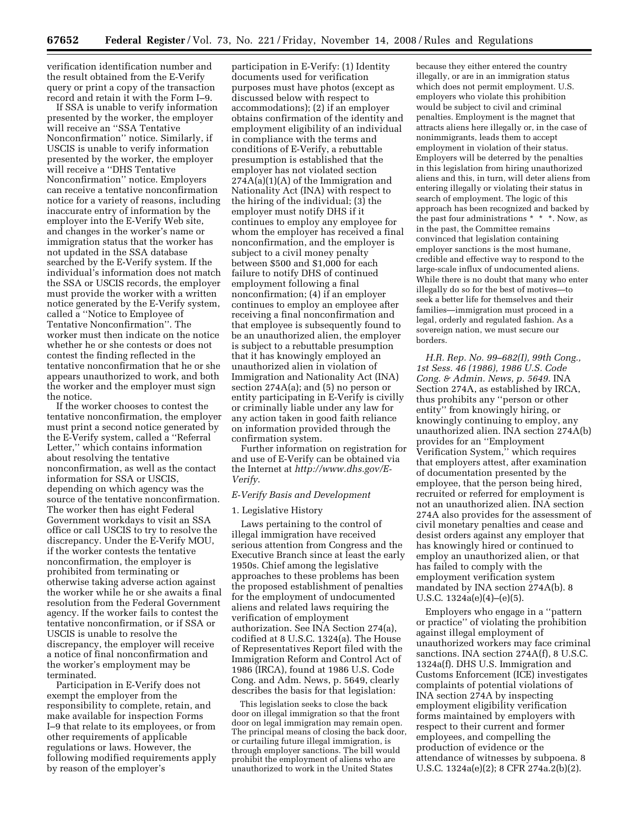verification identification number and the result obtained from the E-Verify query or print a copy of the transaction record and retain it with the Form I–9.

If SSA is unable to verify information presented by the worker, the employer will receive an ''SSA Tentative Nonconfirmation'' notice. Similarly, if USCIS is unable to verify information presented by the worker, the employer will receive a ''DHS Tentative Nonconfirmation'' notice. Employers can receive a tentative nonconfirmation notice for a variety of reasons, including inaccurate entry of information by the employer into the E-Verify Web site, and changes in the worker's name or immigration status that the worker has not updated in the SSA database searched by the E-Verify system. If the individual's information does not match the SSA or USCIS records, the employer must provide the worker with a written notice generated by the E-Verify system, called a ''Notice to Employee of Tentative Nonconfirmation''. The worker must then indicate on the notice whether he or she contests or does not contest the finding reflected in the tentative nonconfirmation that he or she appears unauthorized to work, and both the worker and the employer must sign the notice.

If the worker chooses to contest the tentative nonconfirmation, the employer must print a second notice generated by the E-Verify system, called a ''Referral Letter,'' which contains information about resolving the tentative nonconfirmation, as well as the contact information for SSA or USCIS, depending on which agency was the source of the tentative nonconfirmation. The worker then has eight Federal Government workdays to visit an SSA office or call USCIS to try to resolve the discrepancy. Under the E-Verify MOU, if the worker contests the tentative nonconfirmation, the employer is prohibited from terminating or otherwise taking adverse action against the worker while he or she awaits a final resolution from the Federal Government agency. If the worker fails to contest the tentative nonconfirmation, or if SSA or USCIS is unable to resolve the discrepancy, the employer will receive a notice of final nonconfirmation and the worker's employment may be terminated.

Participation in E-Verify does not exempt the employer from the responsibility to complete, retain, and make available for inspection Forms I–9 that relate to its employees, or from other requirements of applicable regulations or laws. However, the following modified requirements apply by reason of the employer's

participation in E-Verify: (1) Identity documents used for verification purposes must have photos (except as discussed below with respect to accommodations); (2) if an employer obtains confirmation of the identity and employment eligibility of an individual in compliance with the terms and conditions of E-Verify, a rebuttable presumption is established that the employer has not violated section 274A(a)(1)(A) of the Immigration and Nationality Act (INA) with respect to the hiring of the individual; (3) the employer must notify DHS if it continues to employ any employee for whom the employer has received a final nonconfirmation, and the employer is subject to a civil money penalty between \$500 and \$1,000 for each failure to notify DHS of continued employment following a final nonconfirmation; (4) if an employer continues to employ an employee after receiving a final nonconfirmation and that employee is subsequently found to be an unauthorized alien, the employer is subject to a rebuttable presumption that it has knowingly employed an unauthorized alien in violation of Immigration and Nationality Act (INA) section 274A(a); and (5) no person or entity participating in E-Verify is civilly or criminally liable under any law for any action taken in good faith reliance on information provided through the confirmation system.

Further information on registration for and use of E-Verify can be obtained via the Internet at *[http://www.dhs.gov/E-](http://www.dhs.gov/E-Verify)Verify*.

## *E-Verify Basis and Development*

## 1. Legislative History

Laws pertaining to the control of illegal immigration have received serious attention from Congress and the Executive Branch since at least the early 1950s. Chief among the legislative approaches to these problems has been the proposed establishment of penalties for the employment of undocumented aliens and related laws requiring the verification of employment authorization. See INA Section 274(a), codified at 8 U.S.C. 1324(a). The House of Representatives Report filed with the Immigration Reform and Control Act of 1986 (IRCA), found at 1986 U.S. Code Cong. and Adm. News, p. 5649, clearly describes the basis for that legislation:

This legislation seeks to close the back door on illegal immigration so that the front door on legal immigration may remain open. The principal means of closing the back door, or curtailing future illegal immigration, is through employer sanctions. The bill would prohibit the employment of aliens who are unauthorized to work in the United States

because they either entered the country illegally, or are in an immigration status which does not permit employment. U.S. employers who violate this prohibition would be subject to civil and criminal penalties. Employment is the magnet that attracts aliens here illegally or, in the case of nonimmigrants, leads them to accept employment in violation of their status. Employers will be deterred by the penalties in this legislation from hiring unauthorized aliens and this, in turn, will deter aliens from entering illegally or violating their status in search of employment. The logic of this approach has been recognized and backed by the past four administrations \* \* \*. Now, as in the past, the Committee remains convinced that legislation containing employer sanctions is the most humane, credible and effective way to respond to the large-scale influx of undocumented aliens. While there is no doubt that many who enter illegally do so for the best of motives—to seek a better life for themselves and their families—immigration must proceed in a legal, orderly and regulated fashion. As a sovereign nation, we must secure our borders.

*H.R. Rep. No. 99–682(I), 99th Cong., 1st Sess. 46 (1986), 1986 U.S. Code Cong. & Admin. News, p. 5649*. INA Section 274A, as established by IRCA, thus prohibits any ''person or other entity'' from knowingly hiring, or knowingly continuing to employ, any unauthorized alien. INA section 274A(b) provides for an ''Employment Verification System,'' which requires that employers attest, after examination of documentation presented by the employee, that the person being hired, recruited or referred for employment is not an unauthorized alien. INA section 274A also provides for the assessment of civil monetary penalties and cease and desist orders against any employer that has knowingly hired or continued to employ an unauthorized alien, or that has failed to comply with the employment verification system mandated by INA section 274A(b). 8 U.S.C. 1324a(e)(4)–(e)(5).

Employers who engage in a ''pattern or practice'' of violating the prohibition against illegal employment of unauthorized workers may face criminal sanctions. INA section 274A(f), 8 U.S.C. 1324a(f). DHS U.S. Immigration and Customs Enforcement (ICE) investigates complaints of potential violations of INA section 274A by inspecting employment eligibility verification forms maintained by employers with respect to their current and former employees, and compelling the production of evidence or the attendance of witnesses by subpoena. 8 U.S.C. 1324a(e)(2); 8 CFR 274a.2(b)(2).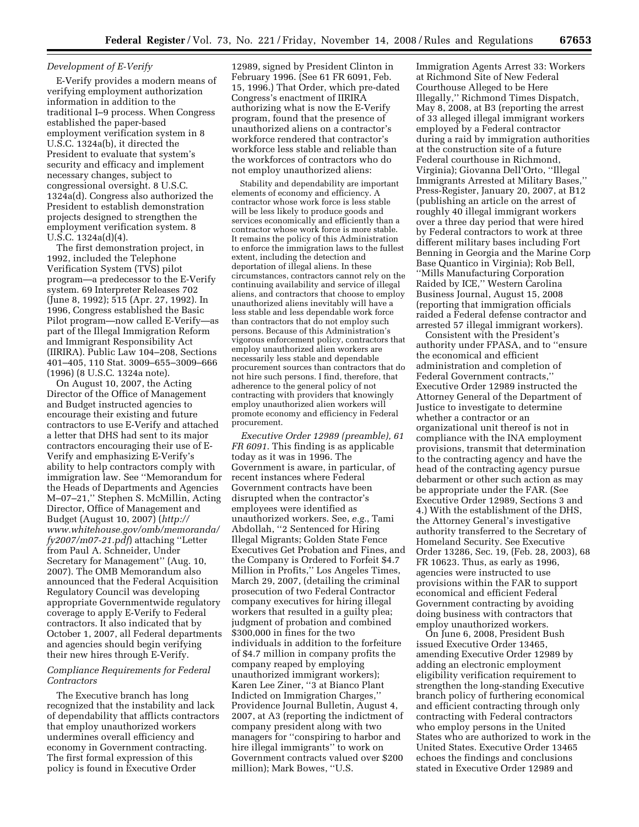## *Development of E-Verify*

E-Verify provides a modern means of verifying employment authorization information in addition to the traditional I–9 process. When Congress established the paper-based employment verification system in 8 U.S.C. 1324a(b), it directed the President to evaluate that system's security and efficacy and implement necessary changes, subject to congressional oversight. 8 U.S.C. 1324a(d). Congress also authorized the President to establish demonstration projects designed to strengthen the employment verification system. 8 U.S.C. 1324a(d)(4).

The first demonstration project, in 1992, included the Telephone Verification System (TVS) pilot program—a predecessor to the E-Verify system. 69 Interpreter Releases 702 (June 8, 1992); 515 (Apr. 27, 1992). In 1996, Congress established the Basic Pilot program—now called E-Verify—as part of the Illegal Immigration Reform and Immigrant Responsibility Act (IIRIRA). Public Law 104–208, Sections 401–405, 110 Stat. 3009–655–3009–666 (1996) (8 U.S.C. 1324a note).

On August 10, 2007, the Acting Director of the Office of Management and Budget instructed agencies to encourage their existing and future contractors to use E-Verify and attached a letter that DHS had sent to its major contractors encouraging their use of E-Verify and emphasizing E-Verify's ability to help contractors comply with immigration law. See ''Memorandum for the Heads of Departments and Agencies M–07–21,'' Stephen S. McMillin, Acting Director, Office of Management and Budget (August 10, 2007) (*http:// [www.whitehouse.gov/omb/memoranda/](http://www.whitehouse.gov/omb/memoranda/fy2007/m07-21.pdf)  fy2007/m07-21.pdf*) attaching ''Letter from Paul A. Schneider, Under Secretary for Management'' (Aug. 10, 2007). The OMB Memorandum also announced that the Federal Acquisition Regulatory Council was developing appropriate Governmentwide regulatory coverage to apply E-Verify to Federal contractors. It also indicated that by October 1, 2007, all Federal departments and agencies should begin verifying their new hires through E-Verify.

# *Compliance Requirements for Federal Contractors*

The Executive branch has long recognized that the instability and lack of dependability that afflicts contractors that employ unauthorized workers undermines overall efficiency and economy in Government contracting. The first formal expression of this policy is found in Executive Order

12989, signed by President Clinton in February 1996. (See 61 FR 6091, Feb. 15, 1996.) That Order, which pre-dated Congress's enactment of IIRIRA authorizing what is now the E-Verify program, found that the presence of unauthorized aliens on a contractor's workforce rendered that contractor's workforce less stable and reliable than the workforces of contractors who do not employ unauthorized aliens:

Stability and dependability are important elements of economy and efficiency. A contractor whose work force is less stable will be less likely to produce goods and services economically and efficiently than a contractor whose work force is more stable. It remains the policy of this Administration to enforce the immigration laws to the fullest extent, including the detection and deportation of illegal aliens. In these circumstances, contractors cannot rely on the continuing availability and service of illegal aliens, and contractors that choose to employ unauthorized aliens inevitably will have a less stable and less dependable work force than contractors that do not employ such persons. Because of this Administration's vigorous enforcement policy, contractors that employ unauthorized alien workers are necessarily less stable and dependable procurement sources than contractors that do not hire such persons. I find, therefore, that adherence to the general policy of not contracting with providers that knowingly employ unauthorized alien workers will promote economy and efficiency in Federal procurement.

*Executive Order 12989 (preamble), 61 FR 6091*. This finding is as applicable today as it was in 1996. The Government is aware, in particular, of recent instances where Federal Government contracts have been disrupted when the contractor's employees were identified as unauthorized workers. See, *e.g.*, Tami Abdollah, ''2 Sentenced for Hiring Illegal Migrants; Golden State Fence Executives Get Probation and Fines, and the Company is Ordered to Forfeit \$4.7 Million in Profits,'' Los Angeles Times, March 29, 2007, (detailing the criminal prosecution of two Federal Contractor company executives for hiring illegal workers that resulted in a guilty plea; judgment of probation and combined \$300,000 in fines for the two individuals in addition to the forfeiture of \$4.7 million in company profits the company reaped by employing unauthorized immigrant workers); Karen Lee Ziner, ''3 at Bianco Plant Indicted on Immigration Charges,'' Providence Journal Bulletin, August 4, 2007, at A3 (reporting the indictment of company president along with two managers for ''conspiring to harbor and hire illegal immigrants'' to work on Government contracts valued over \$200 million); Mark Bowes, ''U.S.

Immigration Agents Arrest 33: Workers at Richmond Site of New Federal Courthouse Alleged to be Here Illegally,'' Richmond Times Dispatch, May 8, 2008, at B3 (reporting the arrest of 33 alleged illegal immigrant workers employed by a Federal contractor during a raid by immigration authorities at the construction site of a future Federal courthouse in Richmond, Virginia); Giovanna Dell'Orto, ''Illegal Immigrants Arrested at Military Bases,'' Press-Register, January 20, 2007, at B12 (publishing an article on the arrest of roughly 40 illegal immigrant workers over a three day period that were hired by Federal contractors to work at three different military bases including Fort Benning in Georgia and the Marine Corp Base Quantico in Virginia); Rob Bell, ''Mills Manufacturing Corporation Raided by ICE,'' Western Carolina Business Journal, August 15, 2008 (reporting that immigration officials raided a Federal defense contractor and arrested 57 illegal immigrant workers).

Consistent with the President's authority under FPASA, and to ''ensure the economical and efficient administration and completion of Federal Government contracts,'' Executive Order 12989 instructed the Attorney General of the Department of Justice to investigate to determine whether a contractor or an organizational unit thereof is not in compliance with the INA employment provisions, transmit that determination to the contracting agency and have the head of the contracting agency pursue debarment or other such action as may be appropriate under the FAR. (See Executive Order 12989, Sections 3 and 4.) With the establishment of the DHS, the Attorney General's investigative authority transferred to the Secretary of Homeland Security. See Executive Order 13286, Sec. 19, (Feb. 28, 2003), 68 FR 10623. Thus, as early as 1996, agencies were instructed to use provisions within the FAR to support economical and efficient Federal Government contracting by avoiding doing business with contractors that employ unauthorized workers.

On June 6, 2008, President Bush issued Executive Order 13465, amending Executive Order 12989 by adding an electronic employment eligibility verification requirement to strengthen the long-standing Executive branch policy of furthering economical and efficient contracting through only contracting with Federal contractors who employ persons in the United States who are authorized to work in the United States. Executive Order 13465 echoes the findings and conclusions stated in Executive Order 12989 and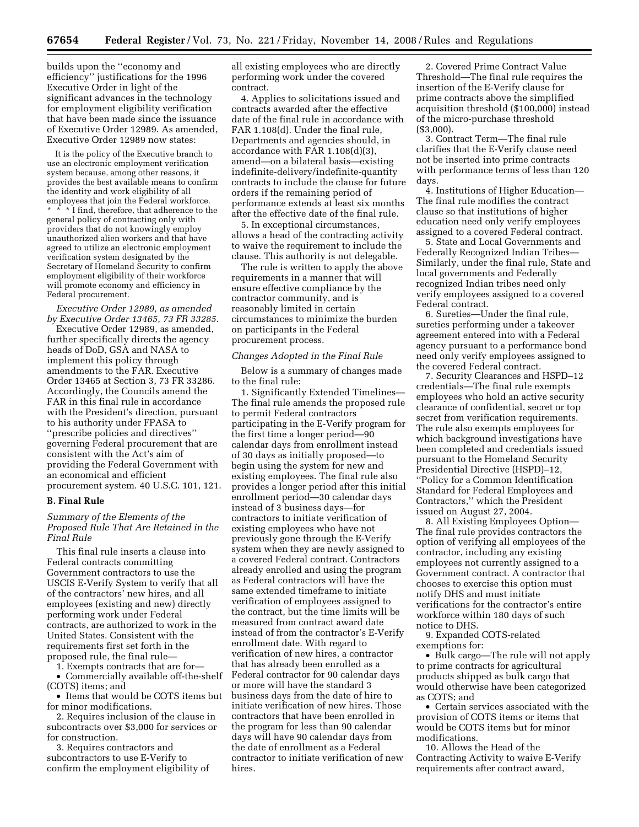builds upon the ''economy and efficiency'' justifications for the 1996 Executive Order in light of the significant advances in the technology for employment eligibility verification that have been made since the issuance of Executive Order 12989. As amended, Executive Order 12989 now states:

It is the policy of the Executive branch to use an electronic employment verification system because, among other reasons, it provides the best available means to confirm the identity and work eligibility of all employees that join the Federal workforce. \* \* \* I find, therefore, that adherence to the general policy of contracting only with providers that do not knowingly employ unauthorized alien workers and that have agreed to utilize an electronic employment verification system designated by the Secretary of Homeland Security to confirm employment eligibility of their workforce will promote economy and efficiency in Federal procurement.

*Executive Order 12989, as amended by Executive Order 13465, 73 FR 33285.* 

Executive Order 12989, as amended, further specifically directs the agency heads of DoD, GSA and NASA to implement this policy through amendments to the FAR. Executive Order 13465 at Section 3, 73 FR 33286. Accordingly, the Councils amend the FAR in this final rule in accordance with the President's direction, pursuant to his authority under FPASA to ''prescribe policies and directives'' governing Federal procurement that are consistent with the Act's aim of providing the Federal Government with an economical and efficient procurement system. 40 U.S.C. 101, 121.

## **B. Final Rule**

# *Summary of the Elements of the Proposed Rule That Are Retained in the Final Rule*

This final rule inserts a clause into Federal contracts committing Government contractors to use the USCIS E-Verify System to verify that all of the contractors' new hires, and all employees (existing and new) directly performing work under Federal contracts, are authorized to work in the United States. Consistent with the requirements first set forth in the proposed rule, the final rule—

1. Exempts contracts that are for— • Commercially available off-the-shelf (COTS) items; and

• Items that would be COTS items but for minor modifications.

2. Requires inclusion of the clause in subcontracts over \$3,000 for services or for construction.

3. Requires contractors and subcontractors to use E-Verify to confirm the employment eligibility of all existing employees who are directly performing work under the covered contract.

4. Applies to solicitations issued and contracts awarded after the effective date of the final rule in accordance with FAR 1.108(d). Under the final rule, Departments and agencies should, in accordance with FAR 1.108(d)(3), amend—on a bilateral basis—existing indefinite-delivery/indefinite-quantity contracts to include the clause for future orders if the remaining period of performance extends at least six months after the effective date of the final rule.

5. In exceptional circumstances, allows a head of the contracting activity to waive the requirement to include the clause. This authority is not delegable.

The rule is written to apply the above requirements in a manner that will ensure effective compliance by the contractor community, and is reasonably limited in certain circumstances to minimize the burden on participants in the Federal procurement process.

## *Changes Adopted in the Final Rule*

Below is a summary of changes made to the final rule:

1. Significantly Extended Timelines— The final rule amends the proposed rule to permit Federal contractors participating in the E-Verify program for the first time a longer period—90 calendar days from enrollment instead of 30 days as initially proposed—to begin using the system for new and existing employees. The final rule also provides a longer period after this initial enrollment period—30 calendar days instead of 3 business days—for contractors to initiate verification of existing employees who have not previously gone through the E-Verify system when they are newly assigned to a covered Federal contract. Contractors already enrolled and using the program as Federal contractors will have the same extended timeframe to initiate verification of employees assigned to the contract, but the time limits will be measured from contract award date instead of from the contractor's E-Verify enrollment date. With regard to verification of new hires, a contractor that has already been enrolled as a Federal contractor for 90 calendar days or more will have the standard 3 business days from the date of hire to initiate verification of new hires. Those contractors that have been enrolled in the program for less than 90 calendar days will have 90 calendar days from the date of enrollment as a Federal contractor to initiate verification of new hires.

2. Covered Prime Contract Value Threshold—The final rule requires the insertion of the E-Verify clause for prime contracts above the simplified acquisition threshold (\$100,000) instead of the micro-purchase threshold (\$3,000).

3. Contract Term—The final rule clarifies that the E-Verify clause need not be inserted into prime contracts with performance terms of less than 120 days.

4. Institutions of Higher Education— The final rule modifies the contract clause so that institutions of higher education need only verify employees assigned to a covered Federal contract.

5. State and Local Governments and Federally Recognized Indian Tribes— Similarly, under the final rule, State and local governments and Federally recognized Indian tribes need only verify employees assigned to a covered Federal contract.

6. Sureties—Under the final rule, sureties performing under a takeover agreement entered into with a Federal agency pursuant to a performance bond need only verify employees assigned to the covered Federal contract.

7. Security Clearances and HSPD–12 credentials—The final rule exempts employees who hold an active security clearance of confidential, secret or top secret from verification requirements. The rule also exempts employees for which background investigations have been completed and credentials issued pursuant to the Homeland Security Presidential Directive (HSPD)–12, ''Policy for a Common Identification Standard for Federal Employees and Contractors,'' which the President issued on August 27, 2004.

8. All Existing Employees Option— The final rule provides contractors the option of verifying all employees of the contractor, including any existing employees not currently assigned to a Government contract. A contractor that chooses to exercise this option must notify DHS and must initiate verifications for the contractor's entire workforce within 180 days of such notice to DHS.

9. Expanded COTS-related exemptions for:

• Bulk cargo—The rule will not apply to prime contracts for agricultural products shipped as bulk cargo that would otherwise have been categorized as COTS; and

• Certain services associated with the provision of COTS items or items that would be COTS items but for minor modifications.

10. Allows the Head of the Contracting Activity to waive E-Verify requirements after contract award,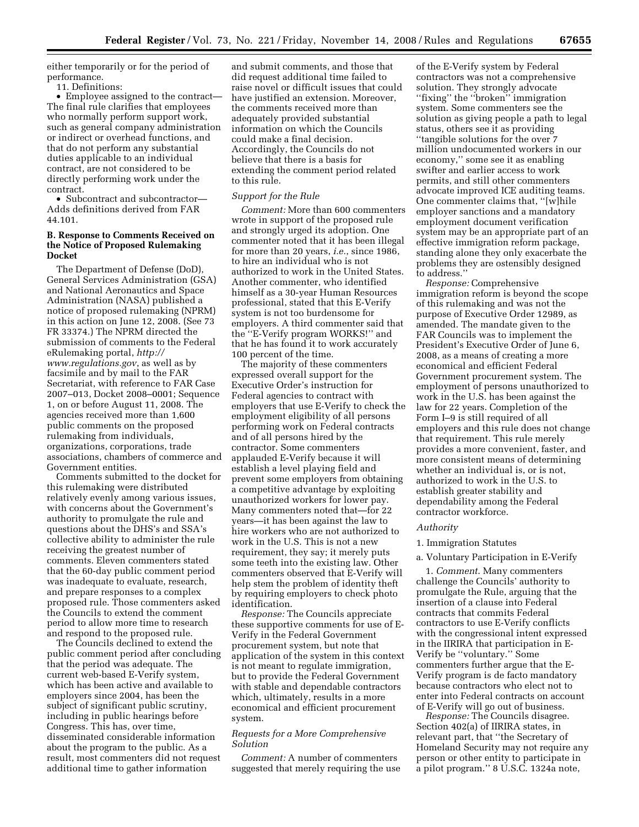either temporarily or for the period of performance.

11. Definitions:

• Employee assigned to the contract— The final rule clarifies that employees who normally perform support work, such as general company administration or indirect or overhead functions, and that do not perform any substantial duties applicable to an individual contract, are not considered to be directly performing work under the contract.

• Subcontract and subcontractor— Adds definitions derived from FAR 44.101.

# **B. Response to Comments Received on the Notice of Proposed Rulemaking Docket**

The Department of Defense (DoD), General Services Administration (GSA) and National Aeronautics and Space Administration (NASA) published a notice of proposed rulemaking (NPRM) in this action on June 12, 2008. (See 73 FR 33374.) The NPRM directed the submission of comments to the Federal [eRulemaking portal,](http://www.regulations.gov) *http:// www.regulations.gov*, as well as by facsimile and by mail to the FAR Secretariat, with reference to FAR Case 2007–013, Docket 2008–0001; Sequence 1, on or before August 11, 2008. The agencies received more than 1,600 public comments on the proposed rulemaking from individuals, organizations, corporations, trade associations, chambers of commerce and Government entities.

Comments submitted to the docket for this rulemaking were distributed relatively evenly among various issues, with concerns about the Government's authority to promulgate the rule and questions about the DHS's and SSA's collective ability to administer the rule receiving the greatest number of comments. Eleven commenters stated that the 60-day public comment period was inadequate to evaluate, research, and prepare responses to a complex proposed rule. Those commenters asked the Councils to extend the comment period to allow more time to research and respond to the proposed rule.

The Councils declined to extend the public comment period after concluding that the period was adequate. The current web-based E-Verify system, which has been active and available to employers since 2004, has been the subject of significant public scrutiny, including in public hearings before Congress. This has, over time, disseminated considerable information about the program to the public. As a result, most commenters did not request additional time to gather information

and submit comments, and those that did request additional time failed to raise novel or difficult issues that could have justified an extension. Moreover, the comments received more than adequately provided substantial information on which the Councils could make a final decision. Accordingly, the Councils do not believe that there is a basis for extending the comment period related to this rule.

# *Support for the Rule*

*Comment:* More than 600 commenters wrote in support of the proposed rule and strongly urged its adoption. One commenter noted that it has been illegal for more than 20 years, *i.e.*, since 1986, to hire an individual who is not authorized to work in the United States. Another commenter, who identified himself as a 30-year Human Resources professional, stated that this E-Verify system is not too burdensome for employers. A third commenter said that the ''E-Verify program WORKS!'' and that he has found it to work accurately 100 percent of the time.

The majority of these commenters expressed overall support for the Executive Order's instruction for Federal agencies to contract with employers that use E-Verify to check the employment eligibility of all persons performing work on Federal contracts and of all persons hired by the contractor. Some commenters applauded E-Verify because it will establish a level playing field and prevent some employers from obtaining a competitive advantage by exploiting unauthorized workers for lower pay. Many commenters noted that—for 22 years—it has been against the law to hire workers who are not authorized to work in the U.S. This is not a new requirement, they say; it merely puts some teeth into the existing law. Other commenters observed that E-Verify will help stem the problem of identity theft by requiring employers to check photo identification.

*Response:* The Councils appreciate these supportive comments for use of E-Verify in the Federal Government procurement system, but note that application of the system in this context is not meant to regulate immigration, but to provide the Federal Government with stable and dependable contractors which, ultimately, results in a more economical and efficient procurement system.

# *Requests for a More Comprehensive Solution*

*Comment:* A number of commenters suggested that merely requiring the use of the E-Verify system by Federal contractors was not a comprehensive solution. They strongly advocate ''fixing'' the ''broken'' immigration system. Some commenters see the solution as giving people a path to legal status, others see it as providing ''tangible solutions for the over 7 million undocumented workers in our economy,'' some see it as enabling swifter and earlier access to work permits, and still other commenters advocate improved ICE auditing teams. One commenter claims that, ''[w]hile employer sanctions and a mandatory employment document verification system may be an appropriate part of an effective immigration reform package, standing alone they only exacerbate the problems they are ostensibly designed to address.''

*Response:* Comprehensive immigration reform is beyond the scope of this rulemaking and was not the purpose of Executive Order 12989, as amended. The mandate given to the FAR Councils was to implement the President's Executive Order of June 6, 2008, as a means of creating a more economical and efficient Federal Government procurement system. The employment of persons unauthorized to work in the U.S. has been against the law for 22 years. Completion of the Form I–9 is still required of all employers and this rule does not change that requirement. This rule merely provides a more convenient, faster, and more consistent means of determining whether an individual is, or is not, authorized to work in the U.S. to establish greater stability and dependability among the Federal contractor workforce.

## *Authority*

#### 1. Immigration Statutes

## a. Voluntary Participation in E-Verify

1. *Comment*. Many commenters challenge the Councils' authority to promulgate the Rule, arguing that the insertion of a clause into Federal contracts that commits Federal contractors to use E-Verify conflicts with the congressional intent expressed in the IIRIRA that participation in E-Verify be ''voluntary.'' Some commenters further argue that the E-Verify program is de facto mandatory because contractors who elect not to enter into Federal contracts on account of E-Verify will go out of business.

*Response:* The Councils disagree. Section 402(a) of IIRIRA states, in relevant part, that ''the Secretary of Homeland Security may not require any person or other entity to participate in a pilot program.'' 8 U.S.C. 1324a note,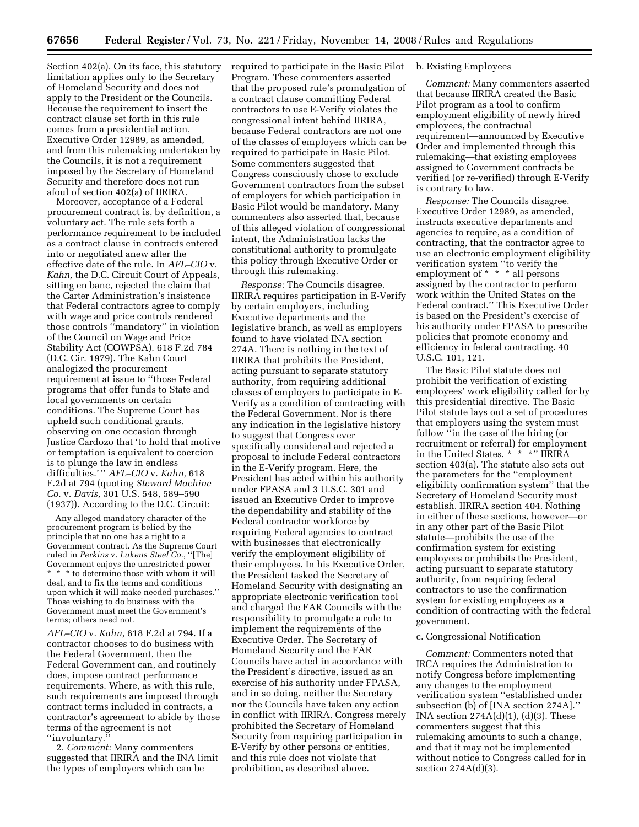Section 402(a). On its face, this statutory limitation applies only to the Secretary of Homeland Security and does not apply to the President or the Councils. Because the requirement to insert the contract clause set forth in this rule comes from a presidential action, Executive Order 12989, as amended, and from this rulemaking undertaken by the Councils, it is not a requirement imposed by the Secretary of Homeland Security and therefore does not run afoul of section 402(a) of IIRIRA.

Moreover, acceptance of a Federal procurement contract is, by definition, a voluntary act. The rule sets forth a performance requirement to be included as a contract clause in contracts entered into or negotiated anew after the effective date of the rule. In *AFL–CIO* v. *Kahn,* the D.C. Circuit Court of Appeals, sitting en banc, rejected the claim that the Carter Administration's insistence that Federal contractors agree to comply with wage and price controls rendered those controls ''mandatory'' in violation of the Council on Wage and Price Stability Act (COWPSA). 618 F.2d 784 (D.C. Cir. 1979). The Kahn Court analogized the procurement requirement at issue to ''those Federal programs that offer funds to State and local governments on certain conditions. The Supreme Court has upheld such conditional grants, observing on one occasion through Justice Cardozo that 'to hold that motive or temptation is equivalent to coercion is to plunge the law in endless difficulties.' '' *AFL–CIO* v. *Kahn,* 618 F.2d at 794 (quoting *Steward Machine Co.* v. *Davis,* 301 U.S. 548, 589–590 (1937)). According to the D.C. Circuit:

Any alleged mandatory character of the procurement program is belied by the principle that no one has a right to a Government contract. As the Supreme Court ruled in *Perkins* v. *Lukens Steel Co.*, ''[The] Government enjoys the unrestricted power \* \* \* to determine those with whom it will deal, and to fix the terms and conditions upon which it will make needed purchases.'' Those wishing to do business with the Government must meet the Government's terms; others need not.

*AFL–CIO* v. *Kahn,* 618 F.2d at 794. If a contractor chooses to do business with the Federal Government, then the Federal Government can, and routinely does, impose contract performance requirements. Where, as with this rule, such requirements are imposed through contract terms included in contracts, a contractor's agreement to abide by those terms of the agreement is not ''involuntary.''

2. *Comment:* Many commenters suggested that IIRIRA and the INA limit the types of employers which can be

required to participate in the Basic Pilot Program. These commenters asserted that the proposed rule's promulgation of a contract clause committing Federal contractors to use E-Verify violates the congressional intent behind IIRIRA, because Federal contractors are not one of the classes of employers which can be required to participate in Basic Pilot. Some commenters suggested that Congress consciously chose to exclude Government contractors from the subset of employers for which participation in Basic Pilot would be mandatory. Many commenters also asserted that, because of this alleged violation of congressional intent, the Administration lacks the constitutional authority to promulgate this policy through Executive Order or through this rulemaking.

*Response:* The Councils disagree. IIRIRA requires participation in E-Verify by certain employers, including Executive departments and the legislative branch, as well as employers found to have violated INA section 274A. There is nothing in the text of IIRIRA that prohibits the President, acting pursuant to separate statutory authority, from requiring additional classes of employers to participate in E-Verify as a condition of contracting with the Federal Government. Nor is there any indication in the legislative history to suggest that Congress ever specifically considered and rejected a proposal to include Federal contractors in the E-Verify program. Here, the President has acted within his authority under FPASA and 3 U.S.C. 301 and issued an Executive Order to improve the dependability and stability of the Federal contractor workforce by requiring Federal agencies to contract with businesses that electronically verify the employment eligibility of their employees. In his Executive Order, the President tasked the Secretary of Homeland Security with designating an appropriate electronic verification tool and charged the FAR Councils with the responsibility to promulgate a rule to implement the requirements of the Executive Order. The Secretary of Homeland Security and the FAR Councils have acted in accordance with the President's directive, issued as an exercise of his authority under FPASA, and in so doing, neither the Secretary nor the Councils have taken any action in conflict with IIRIRA. Congress merely prohibited the Secretary of Homeland Security from requiring participation in E-Verify by other persons or entities, and this rule does not violate that prohibition, as described above.

# b. Existing Employees

*Comment:* Many commenters asserted that because IIRIRA created the Basic Pilot program as a tool to confirm employment eligibility of newly hired employees, the contractual requirement—announced by Executive Order and implemented through this rulemaking—that existing employees assigned to Government contracts be verified (or re-verified) through E-Verify is contrary to law.

*Response:* The Councils disagree. Executive Order 12989, as amended, instructs executive departments and agencies to require, as a condition of contracting, that the contractor agree to use an electronic employment eligibility verification system ''to verify the employment of \* \* \* all persons assigned by the contractor to perform work within the United States on the Federal contract.'' This Executive Order is based on the President's exercise of his authority under FPASA to prescribe policies that promote economy and efficiency in federal contracting. 40 U.S.C. 101, 121.

The Basic Pilot statute does not prohibit the verification of existing employees' work eligibility called for by this presidential directive. The Basic Pilot statute lays out a set of procedures that employers using the system must follow ''in the case of the hiring (or recruitment or referral) for employment in the United States. \* \* \*'' IIRIRA section 403(a). The statute also sets out the parameters for the ''employment eligibility confirmation system'' that the Secretary of Homeland Security must establish. IIRIRA section 404. Nothing in either of these sections, however—or in any other part of the Basic Pilot statute—prohibits the use of the confirmation system for existing employees or prohibits the President, acting pursuant to separate statutory authority, from requiring federal contractors to use the confirmation system for existing employees as a condition of contracting with the federal government.

# c. Congressional Notification

*Comment:* Commenters noted that IRCA requires the Administration to notify Congress before implementing any changes to the employment verification system ''established under subsection (b) of [INA section 274A].'' INA section  $274A(d)(1)$ ,  $(d)(3)$ . These commenters suggest that this rulemaking amounts to such a change, and that it may not be implemented without notice to Congress called for in section 274A(d)(3).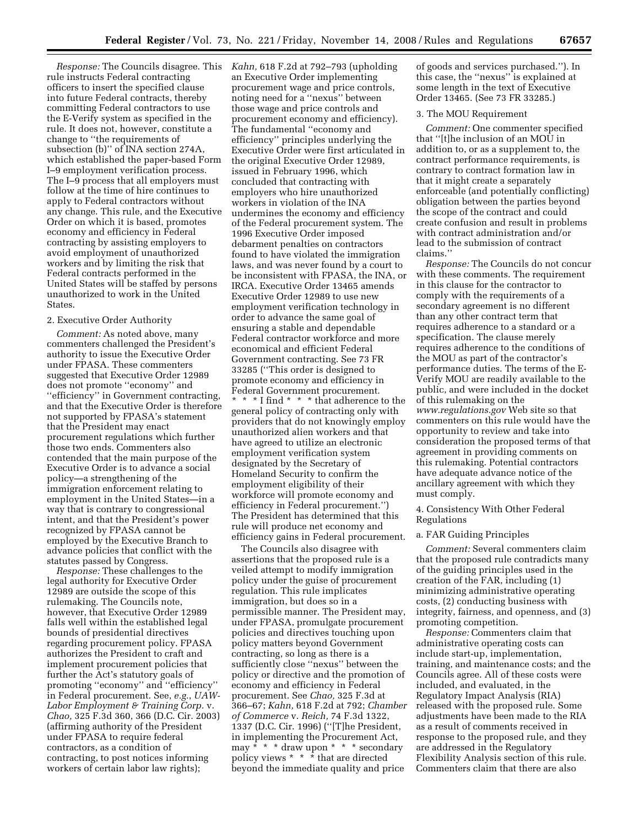rule instructs Federal contracting officers to insert the specified clause into future Federal contracts, thereby committing Federal contractors to use the E-Verify system as specified in the rule. It does not, however, constitute a change to ''the requirements of subsection (b)'' of INA section 274A, which established the paper-based Form I–9 employment verification process. The I–9 process that all employers must follow at the time of hire continues to apply to Federal contractors without any change. This rule, and the Executive Order on which it is based, promotes economy and efficiency in Federal contracting by assisting employers to avoid employment of unauthorized workers and by limiting the risk that Federal contracts performed in the United States will be staffed by persons unauthorized to work in the United States.

# 2. Executive Order Authority

*Comment:* As noted above, many commenters challenged the President's authority to issue the Executive Order under FPASA. These commenters suggested that Executive Order 12989 does not promote ''economy'' and ''efficiency'' in Government contracting, and that the Executive Order is therefore not supported by FPASA's statement that the President may enact procurement regulations which further those two ends. Commenters also contended that the main purpose of the Executive Order is to advance a social policy—a strengthening of the immigration enforcement relating to employment in the United States—in a way that is contrary to congressional intent, and that the President's power recognized by FPASA cannot be employed by the Executive Branch to advance policies that conflict with the statutes passed by Congress.

*Response:* These challenges to the legal authority for Executive Order 12989 are outside the scope of this rulemaking. The Councils note, however, that Executive Order 12989 falls well within the established legal bounds of presidential directives regarding procurement policy. FPASA authorizes the President to craft and implement procurement policies that further the Act's statutory goals of promoting ''economy'' and ''efficiency'' in Federal procurement. See, *e.g.*, *UAW-Labor Employment & Training Corp.* v. *Chao,* 325 F.3d 360, 366 (D.C. Cir. 2003) (affirming authority of the President under FPASA to require federal contractors, as a condition of contracting, to post notices informing workers of certain labor law rights);

*Response:* The Councils disagree. This *Kahn,* 618 F.2d at 792–793 (upholding an Executive Order implementing procurement wage and price controls, noting need for a ''nexus'' between those wage and price controls and procurement economy and efficiency). The fundamental ''economy and efficiency'' principles underlying the Executive Order were first articulated in the original Executive Order 12989, issued in February 1996, which concluded that contracting with employers who hire unauthorized workers in violation of the INA undermines the economy and efficiency of the Federal procurement system. The 1996 Executive Order imposed debarment penalties on contractors found to have violated the immigration laws, and was never found by a court to be inconsistent with FPASA, the INA, or IRCA. Executive Order 13465 amends Executive Order 12989 to use new employment verification technology in order to advance the same goal of ensuring a stable and dependable Federal contractor workforce and more economical and efficient Federal Government contracting. See 73 FR 33285 (''This order is designed to promote economy and efficiency in Federal Government procurement. \* \* \* I find \* \* \* that adherence to the general policy of contracting only with providers that do not knowingly employ unauthorized alien workers and that have agreed to utilize an electronic employment verification system designated by the Secretary of Homeland Security to confirm the employment eligibility of their workforce will promote economy and efficiency in Federal procurement.'') The President has determined that this rule will produce net economy and efficiency gains in Federal procurement.

> The Councils also disagree with assertions that the proposed rule is a veiled attempt to modify immigration policy under the guise of procurement regulation. This rule implicates immigration, but does so in a permissible manner. The President may, under FPASA, promulgate procurement policies and directives touching upon policy matters beyond Government contracting, so long as there is a sufficiently close ''nexus'' between the policy or directive and the promotion of economy and efficiency in Federal procurement. See *Chao,* 325 F.3d at 366–67; *Kahn,* 618 F.2d at 792; *Chamber of Commerce* v. *Reich,* 74 F.3d 1322, 1337 (D.C. Cir. 1996) (''[T]he President, in implementing the Procurement Act, may \* \* \* draw upon \* \* \* secondary policy views \* \* \* that are directed beyond the immediate quality and price

of goods and services purchased.''). In this case, the ''nexus'' is explained at some length in the text of Executive Order 13465. (See 73 FR 33285.)

# 3. The MOU Requirement

*Comment:* One commenter specified that ''[t]he inclusion of an MOU in addition to, or as a supplement to, the contract performance requirements, is contrary to contract formation law in that it might create a separately enforceable (and potentially conflicting) obligation between the parties beyond the scope of the contract and could create confusion and result in problems with contract administration and/or lead to the submission of contract claims.''

*Response:* The Councils do not concur with these comments. The requirement in this clause for the contractor to comply with the requirements of a secondary agreement is no different than any other contract term that requires adherence to a standard or a specification. The clause merely requires adherence to the conditions of the MOU as part of the contractor's performance duties. The terms of the E-Verify MOU are readily available to the public, and were included in the docket of this rulemaking on the *[www.regulations.gov](http://www.regulations.gov)* Web site so that commenters on this rule would have the opportunity to review and take into consideration the proposed terms of that agreement in providing comments on this rulemaking. Potential contractors have adequate advance notice of the ancillary agreement with which they must comply.

4. Consistency With Other Federal Regulations

# a. FAR Guiding Principles

*Comment:* Several commenters claim that the proposed rule contradicts many of the guiding principles used in the creation of the FAR, including (1) minimizing administrative operating costs, (2) conducting business with integrity, fairness, and openness, and (3) promoting competition.

*Response:* Commenters claim that administrative operating costs can include start-up, implementation, training, and maintenance costs; and the Councils agree. All of these costs were included, and evaluated, in the Regulatory Impact Analysis (RIA) released with the proposed rule. Some adjustments have been made to the RIA as a result of comments received in response to the proposed rule, and they are addressed in the Regulatory Flexibility Analysis section of this rule. Commenters claim that there are also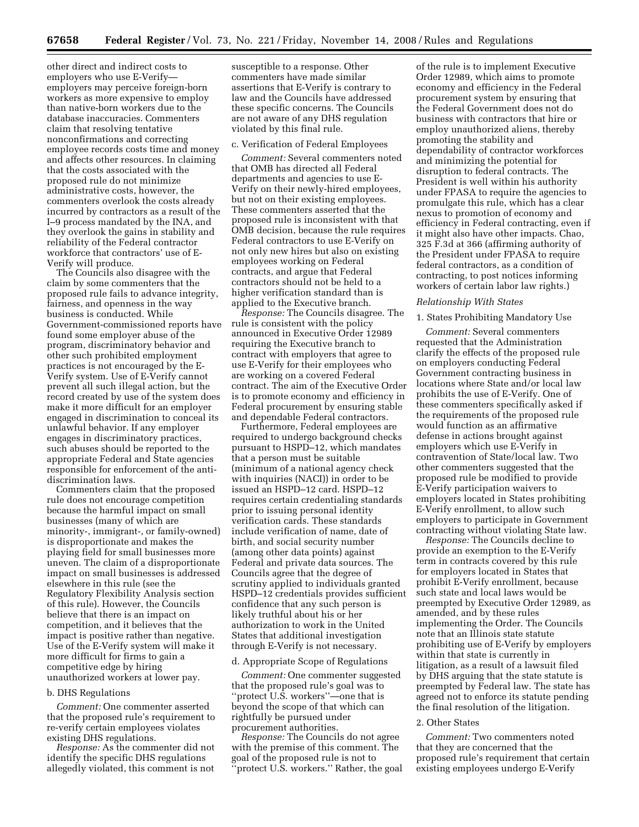other direct and indirect costs to employers who use E-Verify employers may perceive foreign-born workers as more expensive to employ than native-born workers due to the database inaccuracies. Commenters claim that resolving tentative nonconfirmations and correcting employee records costs time and money and affects other resources. In claiming that the costs associated with the proposed rule do not minimize administrative costs, however, the commenters overlook the costs already incurred by contractors as a result of the I–9 process mandated by the INA, and they overlook the gains in stability and reliability of the Federal contractor workforce that contractors' use of E-Verify will produce.

The Councils also disagree with the claim by some commenters that the proposed rule fails to advance integrity, fairness, and openness in the way business is conducted. While Government-commissioned reports have found some employer abuse of the program, discriminatory behavior and other such prohibited employment practices is not encouraged by the E-Verify system. Use of E-Verify cannot prevent all such illegal action, but the record created by use of the system does make it more difficult for an employer engaged in discrimination to conceal its unlawful behavior. If any employer engages in discriminatory practices, such abuses should be reported to the appropriate Federal and State agencies responsible for enforcement of the antidiscrimination laws.

Commenters claim that the proposed rule does not encourage competition because the harmful impact on small businesses (many of which are minority-, immigrant-, or family-owned) is disproportionate and makes the playing field for small businesses more uneven. The claim of a disproportionate impact on small businesses is addressed elsewhere in this rule (see the Regulatory Flexibility Analysis section of this rule). However, the Councils believe that there is an impact on competition, and it believes that the impact is positive rather than negative. Use of the E-Verify system will make it more difficult for firms to gain a competitive edge by hiring unauthorized workers at lower pay.

# b. DHS Regulations

*Comment:* One commenter asserted that the proposed rule's requirement to re-verify certain employees violates existing DHS regulations.

*Response:* As the commenter did not identify the specific DHS regulations allegedly violated, this comment is not

susceptible to a response. Other commenters have made similar assertions that E-Verify is contrary to law and the Councils have addressed these specific concerns. The Councils are not aware of any DHS regulation violated by this final rule.

# c. Verification of Federal Employees

*Comment:* Several commenters noted that OMB has directed all Federal departments and agencies to use E-Verify on their newly-hired employees, but not on their existing employees. These commenters asserted that the proposed rule is inconsistent with that OMB decision, because the rule requires Federal contractors to use E-Verify on not only new hires but also on existing employees working on Federal contracts, and argue that Federal contractors should not be held to a higher verification standard than is applied to the Executive branch.

*Response:* The Councils disagree. The rule is consistent with the policy announced in Executive Order 12989 requiring the Executive branch to contract with employers that agree to use E-Verify for their employees who are working on a covered Federal contract. The aim of the Executive Order is to promote economy and efficiency in Federal procurement by ensuring stable and dependable Federal contractors.

Furthermore, Federal employees are required to undergo background checks pursuant to HSPD–12, which mandates that a person must be suitable (minimum of a national agency check with inquiries (NACI)) in order to be issued an HSPD–12 card. HSPD–12 requires certain credentialing standards prior to issuing personal identity verification cards. These standards include verification of name, date of birth, and social security number (among other data points) against Federal and private data sources. The Councils agree that the degree of scrutiny applied to individuals granted HSPD–12 credentials provides sufficient confidence that any such person is likely truthful about his or her authorization to work in the United States that additional investigation through E-Verify is not necessary.

# d. Appropriate Scope of Regulations

*Comment:* One commenter suggested that the proposed rule's goal was to ''protect U.S. workers''—one that is beyond the scope of that which can rightfully be pursued under procurement authorities.

*Response:* The Councils do not agree with the premise of this comment. The goal of the proposed rule is not to ''protect U.S. workers.'' Rather, the goal of the rule is to implement Executive Order 12989, which aims to promote economy and efficiency in the Federal procurement system by ensuring that the Federal Government does not do business with contractors that hire or employ unauthorized aliens, thereby promoting the stability and dependability of contractor workforces and minimizing the potential for disruption to federal contracts. The President is well within his authority under FPASA to require the agencies to promulgate this rule, which has a clear nexus to promotion of economy and efficiency in Federal contracting, even if it might also have other impacts. Chao, 325 F.3d at 366 (affirming authority of the President under FPASA to require federal contractors, as a condition of contracting, to post notices informing workers of certain labor law rights.)

## *Relationship With States*

# 1. States Prohibiting Mandatory Use

*Comment:* Several commenters requested that the Administration clarify the effects of the proposed rule on employers conducting Federal Government contracting business in locations where State and/or local law prohibits the use of E-Verify. One of these commenters specifically asked if the requirements of the proposed rule would function as an affirmative defense in actions brought against employers which use E-Verify in contravention of State/local law. Two other commenters suggested that the proposed rule be modified to provide E-Verify participation waivers to employers located in States prohibiting E-Verify enrollment, to allow such employers to participate in Government contracting without violating State law.

*Response:* The Councils decline to provide an exemption to the E-Verify term in contracts covered by this rule for employers located in States that prohibit E-Verify enrollment, because such state and local laws would be preempted by Executive Order 12989, as amended, and by these rules implementing the Order. The Councils note that an Illinois state statute prohibiting use of E-Verify by employers within that state is currently in litigation, as a result of a lawsuit filed by DHS arguing that the state statute is preempted by Federal law. The state has agreed not to enforce its statute pending the final resolution of the litigation.

# 2. Other States

*Comment:* Two commenters noted that they are concerned that the proposed rule's requirement that certain existing employees undergo E-Verify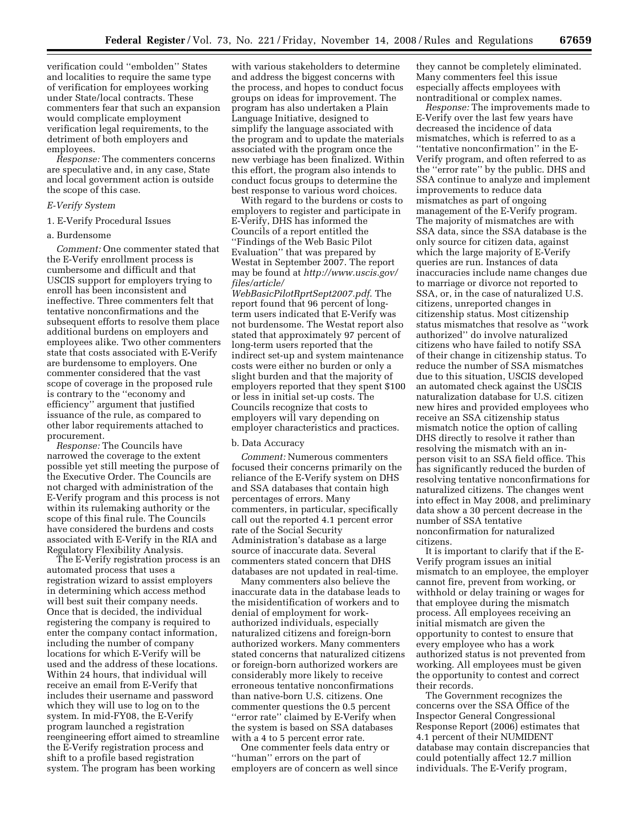verification could ''embolden'' States and localities to require the same type of verification for employees working under State/local contracts. These commenters fear that such an expansion would complicate employment verification legal requirements, to the detriment of both employers and employees.

*Response:* The commenters concerns are speculative and, in any case, State and local government action is outside the scope of this case.

# *E-Verify System*

## 1. E-Verify Procedural Issues

# a. Burdensome

*Comment:* One commenter stated that the E-Verify enrollment process is cumbersome and difficult and that USCIS support for employers trying to enroll has been inconsistent and ineffective. Three commenters felt that tentative nonconfirmations and the subsequent efforts to resolve them place additional burdens on employers and employees alike. Two other commenters state that costs associated with E-Verify are burdensome to employers. One commenter considered that the vast scope of coverage in the proposed rule is contrary to the ''economy and efficiency'' argument that justified issuance of the rule, as compared to other labor requirements attached to procurement.

*Response:* The Councils have narrowed the coverage to the extent possible yet still meeting the purpose of the Executive Order. The Councils are not charged with administration of the E-Verify program and this process is not within its rulemaking authority or the scope of this final rule. The Councils have considered the burdens and costs associated with E-Verify in the RIA and Regulatory Flexibility Analysis.

The E-Verify registration process is an automated process that uses a registration wizard to assist employers in determining which access method will best suit their company needs. Once that is decided, the individual registering the company is required to enter the company contact information, including the number of company locations for which E-Verify will be used and the address of these locations. Within 24 hours, that individual will receive an email from E-Verify that includes their username and password which they will use to log on to the system. In mid-FY08, the E-Verify program launched a registration reengineering effort aimed to streamline the E-Verify registration process and shift to a profile based registration system. The program has been working

with various stakeholders to determine and address the biggest concerns with the process, and hopes to conduct focus groups on ideas for improvement. The program has also undertaken a Plain Language Initiative, designed to simplify the language associated with the program and to update the materials associated with the program once the new verbiage has been finalized. Within this effort, the program also intends to conduct focus groups to determine the best response to various word choices.

With regard to the burdens or costs to employers to register and participate in E-Verify, DHS has informed the Councils of a report entitled the ''Findings of the Web Basic Pilot Evaluation'' that was prepared by Westat in September 2007. The report may be found at *http://www.uscis.gov/ files/article/* 

*[WebBasicPilotRprtSept2007.pdf](http://uscis.gov/files/article/WebBasicPilotRprtSept2007.pdf)*. The report found that 96 percent of longterm users indicated that E-Verify was not burdensome. The Westat report also stated that approximately 97 percent of long-term users reported that the indirect set-up and system maintenance costs were either no burden or only a slight burden and that the majority of employers reported that they spent \$100 or less in initial set-up costs. The Councils recognize that costs to employers will vary depending on employer characteristics and practices.

#### b. Data Accuracy

*Comment:* Numerous commenters focused their concerns primarily on the reliance of the E-Verify system on DHS and SSA databases that contain high percentages of errors. Many commenters, in particular, specifically call out the reported 4.1 percent error rate of the Social Security Administration's database as a large source of inaccurate data. Several commenters stated concern that DHS databases are not updated in real-time.

Many commenters also believe the inaccurate data in the database leads to the misidentification of workers and to denial of employment for workauthorized individuals, especially naturalized citizens and foreign-born authorized workers. Many commenters stated concerns that naturalized citizens or foreign-born authorized workers are considerably more likely to receive erroneous tentative nonconfirmations than native-born U.S. citizens. One commenter questions the 0.5 percent ''error rate'' claimed by E-Verify when the system is based on SSA databases with a 4 to 5 percent error rate.

One commenter feels data entry or ''human'' errors on the part of employers are of concern as well since

they cannot be completely eliminated. Many commenters feel this issue especially affects employees with nontraditional or complex names.

*Response:* The improvements made to E-Verify over the last few years have decreased the incidence of data mismatches, which is referred to as a ''tentative nonconfirmation'' in the E-Verify program, and often referred to as the ''error rate'' by the public. DHS and SSA continue to analyze and implement improvements to reduce data mismatches as part of ongoing management of the E-Verify program. The majority of mismatches are with SSA data, since the SSA database is the only source for citizen data, against which the large majority of E-Verify queries are run. Instances of data inaccuracies include name changes due to marriage or divorce not reported to SSA, or, in the case of naturalized U.S. citizens, unreported changes in citizenship status. Most citizenship status mismatches that resolve as ''work authorized'' do involve naturalized citizens who have failed to notify SSA of their change in citizenship status. To reduce the number of SSA mismatches due to this situation, USCIS developed an automated check against the USCIS naturalization database for U.S. citizen new hires and provided employees who receive an SSA citizenship status mismatch notice the option of calling DHS directly to resolve it rather than resolving the mismatch with an inperson visit to an SSA field office. This has significantly reduced the burden of resolving tentative nonconfirmations for naturalized citizens. The changes went into effect in May 2008, and preliminary data show a 30 percent decrease in the number of SSA tentative nonconfirmation for naturalized citizens.

It is important to clarify that if the E-Verify program issues an initial mismatch to an employee, the employer cannot fire, prevent from working, or withhold or delay training or wages for that employee during the mismatch process. All employees receiving an initial mismatch are given the opportunity to contest to ensure that every employee who has a work authorized status is not prevented from working. All employees must be given the opportunity to contest and correct their records.

The Government recognizes the concerns over the SSA Office of the Inspector General Congressional Response Report (2006) estimates that 4.1 percent of their NUMIDENT database may contain discrepancies that could potentially affect 12.7 million individuals. The E-Verify program,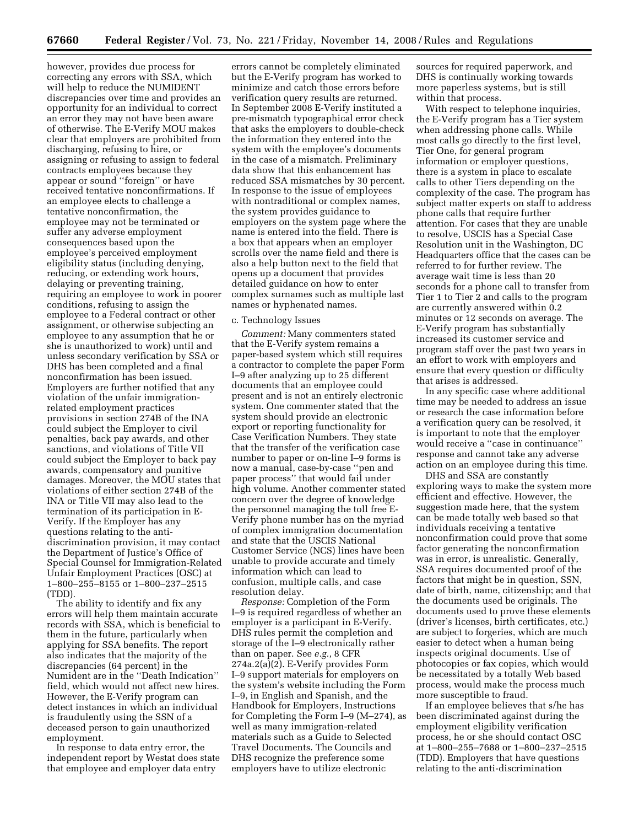however, provides due process for correcting any errors with SSA, which will help to reduce the NUMIDENT discrepancies over time and provides an opportunity for an individual to correct an error they may not have been aware of otherwise. The E-Verify MOU makes clear that employers are prohibited from discharging, refusing to hire, or assigning or refusing to assign to federal contracts employees because they appear or sound ''foreign'' or have received tentative nonconfirmations. If an employee elects to challenge a tentative nonconfirmation, the employee may not be terminated or suffer any adverse employment consequences based upon the employee's perceived employment eligibility status (including denying, reducing, or extending work hours, delaying or preventing training, requiring an employee to work in poorer conditions, refusing to assign the employee to a Federal contract or other assignment, or otherwise subjecting an employee to any assumption that he or she is unauthorized to work) until and unless secondary verification by SSA or DHS has been completed and a final nonconfirmation has been issued. Employers are further notified that any violation of the unfair immigrationrelated employment practices provisions in section 274B of the INA could subject the Employer to civil penalties, back pay awards, and other sanctions, and violations of Title VII could subject the Employer to back pay awards, compensatory and punitive damages. Moreover, the MOU states that violations of either section 274B of the INA or Title VII may also lead to the termination of its participation in E-Verify. If the Employer has any questions relating to the antidiscrimination provision, it may contact the Department of Justice's Office of Special Counsel for Immigration-Related Unfair Employment Practices (OSC) at 1–800–255–8155 or 1–800–237–2515 (TDD).

The ability to identify and fix any errors will help them maintain accurate records with SSA, which is beneficial to them in the future, particularly when applying for SSA benefits. The report also indicates that the majority of the discrepancies (64 percent) in the Numident are in the ''Death Indication'' field, which would not affect new hires. However, the E-Verify program can detect instances in which an individual is fraudulently using the SSN of a deceased person to gain unauthorized employment.

In response to data entry error, the independent report by Westat does state that employee and employer data entry

errors cannot be completely eliminated but the E-Verify program has worked to minimize and catch those errors before verification query results are returned. In September 2008 E-Verify instituted a pre-mismatch typographical error check that asks the employers to double-check the information they entered into the system with the employee's documents in the case of a mismatch. Preliminary data show that this enhancement has reduced SSA mismatches by 30 percent. In response to the issue of employees with nontraditional or complex names, the system provides guidance to employers on the system page where the name is entered into the field. There is a box that appears when an employer scrolls over the name field and there is also a help button next to the field that opens up a document that provides detailed guidance on how to enter complex surnames such as multiple last names or hyphenated names.

# c. Technology Issues

*Comment:* Many commenters stated that the E-Verify system remains a paper-based system which still requires a contractor to complete the paper Form I–9 after analyzing up to 25 different documents that an employee could present and is not an entirely electronic system. One commenter stated that the system should provide an electronic export or reporting functionality for Case Verification Numbers. They state that the transfer of the verification case number to paper or on-line I–9 forms is now a manual, case-by-case ''pen and paper process'' that would fail under high volume. Another commenter stated concern over the degree of knowledge the personnel managing the toll free E-Verify phone number has on the myriad of complex immigration documentation and state that the USCIS National Customer Service (NCS) lines have been unable to provide accurate and timely information which can lead to confusion, multiple calls, and case resolution delay.

*Response:* Completion of the Form I–9 is required regardless of whether an employer is a participant in E-Verify. DHS rules permit the completion and storage of the I–9 electronically rather than on paper. See *e.g.*, 8 CFR 274a.2(a)(2). E-Verify provides Form I–9 support materials for employers on the system's website including the Form I–9, in English and Spanish, and the Handbook for Employers, Instructions for Completing the Form I–9 (M–274), as well as many immigration-related materials such as a Guide to Selected Travel Documents. The Councils and DHS recognize the preference some employers have to utilize electronic

sources for required paperwork, and DHS is continually working towards more paperless systems, but is still within that process.

With respect to telephone inquiries, the E-Verify program has a Tier system when addressing phone calls. While most calls go directly to the first level, Tier One, for general program information or employer questions, there is a system in place to escalate calls to other Tiers depending on the complexity of the case. The program has subject matter experts on staff to address phone calls that require further attention. For cases that they are unable to resolve, USCIS has a Special Case Resolution unit in the Washington, DC Headquarters office that the cases can be referred to for further review. The average wait time is less than 20 seconds for a phone call to transfer from Tier 1 to Tier 2 and calls to the program are currently answered within 0.2 minutes or 12 seconds on average. The E-Verify program has substantially increased its customer service and program staff over the past two years in an effort to work with employers and ensure that every question or difficulty that arises is addressed.

In any specific case where additional time may be needed to address an issue or research the case information before a verification query can be resolved, it is important to note that the employer would receive a ''case in continuance'' response and cannot take any adverse action on an employee during this time.

DHS and SSA are constantly exploring ways to make the system more efficient and effective. However, the suggestion made here, that the system can be made totally web based so that individuals receiving a tentative nonconfirmation could prove that some factor generating the nonconfirmation was in error, is unrealistic. Generally, SSA requires documented proof of the factors that might be in question, SSN, date of birth, name, citizenship; and that the documents used be originals. The documents used to prove these elements (driver's licenses, birth certificates, etc.) are subject to forgeries, which are much easier to detect when a human being inspects original documents. Use of photocopies or fax copies, which would be necessitated by a totally Web based process, would make the process much more susceptible to fraud.

If an employee believes that s/he has been discriminated against during the employment eligibility verification process, he or she should contact OSC at 1–800–255–7688 or 1–800–237–2515 (TDD). Employers that have questions relating to the anti-discrimination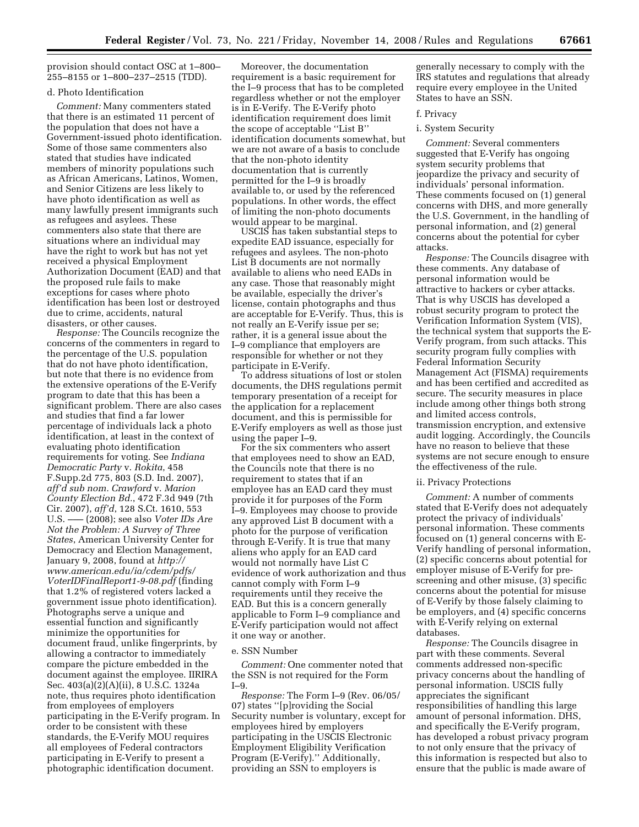provision should contact OSC at 1–800– 255–8155 or 1–800–237–2515 (TDD).

## d. Photo Identification

*Comment:* Many commenters stated that there is an estimated 11 percent of the population that does not have a Government-issued photo identification. Some of those same commenters also stated that studies have indicated members of minority populations such as African Americans, Latinos, Women, and Senior Citizens are less likely to have photo identification as well as many lawfully present immigrants such as refugees and asylees. These commenters also state that there are situations where an individual may have the right to work but has not yet received a physical Employment Authorization Document (EAD) and that the proposed rule fails to make exceptions for cases where photo identification has been lost or destroyed due to crime, accidents, natural disasters, or other causes.

*Response:* The Councils recognize the concerns of the commenters in regard to the percentage of the U.S. population that do not have photo identification, but note that there is no evidence from the extensive operations of the E-Verify program to date that this has been a significant problem. There are also cases and studies that find a far lower percentage of individuals lack a photo identification, at least in the context of evaluating photo identification requirements for voting. See *Indiana Democratic Party* v. *Rokita*, 458 F.Supp.2d 775, 803 (S.D. Ind. 2007), *aff'd sub nom. Crawford* v. *Marion County Election Bd.*, 472 F.3d 949 (7th Cir. 2007), *aff'd*, 128 S.Ct. 1610, 553 U.S. ––– (2008); see also *Voter IDs Are Not the Problem: A Survey of Three States*, American University Center for Democracy and Election Management, January 9, 2008, found at *http:// [www.american.edu/ia/cdem/pdfs/](http://www.american.edu/ia/cdem/pdfs/VoterIDFinalReport1-9-08.pdf)  VoterIDFinalReport1-9-08.pdf* (finding that 1.2% of registered voters lacked a government issue photo identification). Photographs serve a unique and essential function and significantly minimize the opportunities for document fraud, unlike fingerprints, by allowing a contractor to immediately compare the picture embedded in the document against the employee. IIRIRA Sec. 403(a)(2)(A)(ii), 8 U.S.C. 1324a note, thus requires photo identification from employees of employers participating in the E-Verify program. In order to be consistent with these standards, the E-Verify MOU requires all employees of Federal contractors participating in E-Verify to present a photographic identification document.

Moreover, the documentation requirement is a basic requirement for the I–9 process that has to be completed regardless whether or not the employer is in E-Verify. The E-Verify photo identification requirement does limit the scope of acceptable ''List B'' identification documents somewhat, but we are not aware of a basis to conclude that the non-photo identity documentation that is currently permitted for the I–9 is broadly available to, or used by the referenced populations. In other words, the effect of limiting the non-photo documents would appear to be marginal.

USCIS has taken substantial steps to expedite EAD issuance, especially for refugees and asylees. The non-photo List B documents are not normally available to aliens who need EADs in any case. Those that reasonably might be available, especially the driver's license, contain photographs and thus are acceptable for E-Verify. Thus, this is not really an E-Verify issue per se; rather, it is a general issue about the I–9 compliance that employers are responsible for whether or not they participate in E-Verify.

To address situations of lost or stolen documents, the DHS regulations permit temporary presentation of a receipt for the application for a replacement document, and this is permissible for E-Verify employers as well as those just using the paper I–9.

For the six commenters who assert that employees need to show an EAD, the Councils note that there is no requirement to states that if an employee has an EAD card they must provide it for purposes of the Form I–9. Employees may choose to provide any approved List B document with a photo for the purpose of verification through E-Verify. It is true that many aliens who apply for an EAD card would not normally have List C evidence of work authorization and thus cannot comply with Form I–9 requirements until they receive the EAD. But this is a concern generally applicable to Form I–9 compliance and E-Verify participation would not affect it one way or another.

#### e. SSN Number

*Comment:* One commenter noted that the SSN is not required for the Form I–9.

*Response:* The Form I–9 (Rev. 06/05/ 07) states ''[p]roviding the Social Security number is voluntary, except for employees hired by employers participating in the USCIS Electronic Employment Eligibility Verification Program (E-Verify).'' Additionally, providing an SSN to employers is

generally necessary to comply with the IRS statutes and regulations that already require every employee in the United States to have an SSN.

# f. Privacy

#### i. System Security

*Comment:* Several commenters suggested that E-Verify has ongoing system security problems that jeopardize the privacy and security of individuals' personal information. These comments focused on (1) general concerns with DHS, and more generally the U.S. Government, in the handling of personal information, and (2) general concerns about the potential for cyber attacks.

*Response:* The Councils disagree with these comments. Any database of personal information would be attractive to hackers or cyber attacks. That is why USCIS has developed a robust security program to protect the Verification Information System (VIS), the technical system that supports the E-Verify program, from such attacks. This security program fully complies with Federal Information Security Management Act (FISMA) requirements and has been certified and accredited as secure. The security measures in place include among other things both strong and limited access controls, transmission encryption, and extensive audit logging. Accordingly, the Councils have no reason to believe that these systems are not secure enough to ensure the effectiveness of the rule.

## ii. Privacy Protections

*Comment:* A number of comments stated that E-Verify does not adequately protect the privacy of individuals' personal information. These comments focused on (1) general concerns with E-Verify handling of personal information, (2) specific concerns about potential for employer misuse of E-Verify for prescreening and other misuse, (3) specific concerns about the potential for misuse of E-Verify by those falsely claiming to be employers, and (4) specific concerns with E-Verify relying on external databases.

*Response:* The Councils disagree in part with these comments. Several comments addressed non-specific privacy concerns about the handling of personal information. USCIS fully appreciates the significant responsibilities of handling this large amount of personal information. DHS, and specifically the E-Verify program, has developed a robust privacy program to not only ensure that the privacy of this information is respected but also to ensure that the public is made aware of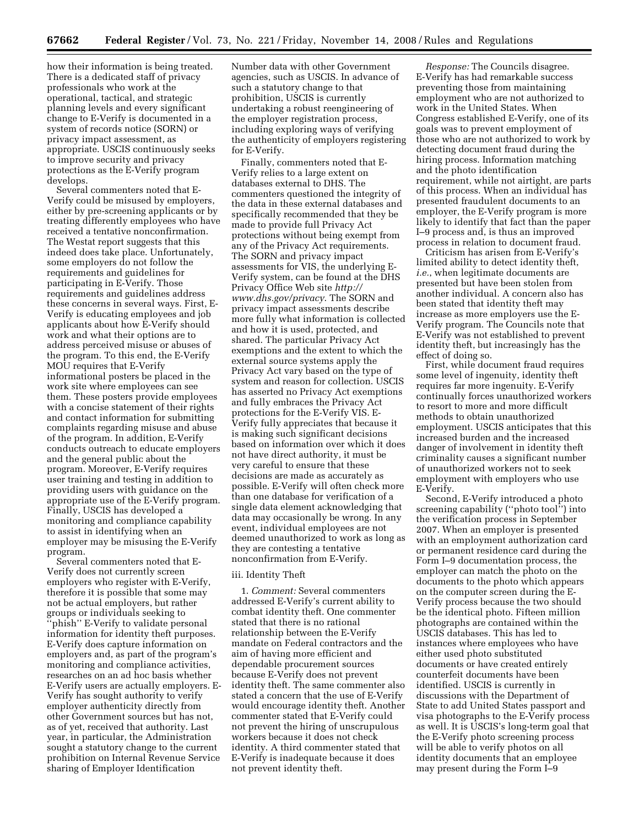how their information is being treated. There is a dedicated staff of privacy professionals who work at the operational, tactical, and strategic planning levels and every significant change to E-Verify is documented in a system of records notice (SORN) or privacy impact assessment, as appropriate. USCIS continuously seeks to improve security and privacy protections as the E-Verify program develops.

Several commenters noted that E-Verify could be misused by employers, either by pre-screening applicants or by treating differently employees who have received a tentative nonconfirmation. The Westat report suggests that this indeed does take place. Unfortunately, some employers do not follow the requirements and guidelines for participating in E-Verify. Those requirements and guidelines address these concerns in several ways. First, E-Verify is educating employees and job applicants about how E-Verify should work and what their options are to address perceived misuse or abuses of the program. To this end, the E-Verify MOU requires that E-Verify informational posters be placed in the work site where employees can see them. These posters provide employees with a concise statement of their rights and contact information for submitting complaints regarding misuse and abuse of the program. In addition, E-Verify conducts outreach to educate employers and the general public about the program. Moreover, E-Verify requires user training and testing in addition to providing users with guidance on the appropriate use of the E-Verify program. Finally, USCIS has developed a monitoring and compliance capability to assist in identifying when an employer may be misusing the E-Verify program.

Several commenters noted that E-Verify does not currently screen employers who register with E-Verify, therefore it is possible that some may not be actual employers, but rather groups or individuals seeking to 'phish'' E-Verify to validate personal information for identity theft purposes. E-Verify does capture information on employers and, as part of the program's monitoring and compliance activities, researches on an ad hoc basis whether E-Verify users are actually employers. E-Verify has sought authority to verify employer authenticity directly from other Government sources but has not, as of yet, received that authority. Last year, in particular, the Administration sought a statutory change to the current prohibition on Internal Revenue Service sharing of Employer Identification

Number data with other Government agencies, such as USCIS. In advance of such a statutory change to that prohibition, USCIS is currently undertaking a robust reengineering of the employer registration process, including exploring ways of verifying the authenticity of employers registering for E-Verify.

Finally, commenters noted that E-Verify relies to a large extent on databases external to DHS. The commenters questioned the integrity of the data in these external databases and specifically recommended that they be made to provide full Privacy Act protections without being exempt from any of the Privacy Act requirements. The SORN and privacy impact assessments for VIS, the underlying E-Verify system, can be found at the DHS [Privacy Office Web site](http://www.dhs.gov/privacy) *http:// www.dhs.gov/privacy*. The SORN and privacy impact assessments describe more fully what information is collected and how it is used, protected, and shared. The particular Privacy Act exemptions and the extent to which the external source systems apply the Privacy Act vary based on the type of system and reason for collection. USCIS has asserted no Privacy Act exemptions and fully embraces the Privacy Act protections for the E-Verify VIS. E-Verify fully appreciates that because it is making such significant decisions based on information over which it does not have direct authority, it must be very careful to ensure that these decisions are made as accurately as possible. E-Verify will often check more than one database for verification of a single data element acknowledging that data may occasionally be wrong. In any event, individual employees are not deemed unauthorized to work as long as they are contesting a tentative nonconfirmation from E-Verify.

#### iii. Identity Theft

1. *Comment:* Several commenters addressed E-Verify's current ability to combat identity theft. One commenter stated that there is no rational relationship between the E-Verify mandate on Federal contractors and the aim of having more efficient and dependable procurement sources because E-Verify does not prevent identity theft. The same commenter also stated a concern that the use of E-Verify would encourage identity theft. Another commenter stated that E-Verify could not prevent the hiring of unscrupulous workers because it does not check identity. A third commenter stated that E-Verify is inadequate because it does not prevent identity theft.

*Response:* The Councils disagree. E-Verify has had remarkable success preventing those from maintaining employment who are not authorized to work in the United States. When Congress established E-Verify, one of its goals was to prevent employment of those who are not authorized to work by detecting document fraud during the hiring process. Information matching and the photo identification requirement, while not airtight, are parts of this process. When an individual has presented fraudulent documents to an employer, the E-Verify program is more likely to identify that fact than the paper I–9 process and, is thus an improved process in relation to document fraud.

Criticism has arisen from E-Verify's limited ability to detect identity theft, *i.e.*, when legitimate documents are presented but have been stolen from another individual. A concern also has been stated that identity theft may increase as more employers use the E-Verify program. The Councils note that E-Verify was not established to prevent identity theft, but increasingly has the effect of doing so.

First, while document fraud requires some level of ingenuity, identity theft requires far more ingenuity. E-Verify continually forces unauthorized workers to resort to more and more difficult methods to obtain unauthorized employment. USCIS anticipates that this increased burden and the increased danger of involvement in identity theft criminality causes a significant number of unauthorized workers not to seek employment with employers who use E-Verify.

Second, E-Verify introduced a photo screening capability (''photo tool'') into the verification process in September 2007. When an employer is presented with an employment authorization card or permanent residence card during the Form I–9 documentation process, the employer can match the photo on the documents to the photo which appears on the computer screen during the E-Verify process because the two should be the identical photo. Fifteen million photographs are contained within the USCIS databases. This has led to instances where employees who have either used photo substituted documents or have created entirely counterfeit documents have been identified. USCIS is currently in discussions with the Department of State to add United States passport and visa photographs to the E-Verify process as well. It is USCIS's long-term goal that the E-Verify photo screening process will be able to verify photos on all identity documents that an employee may present during the Form I–9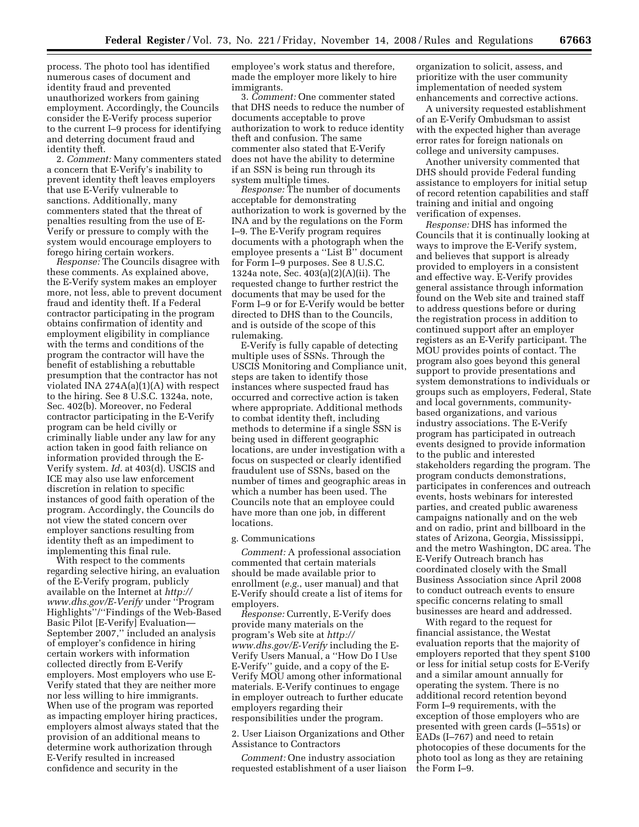process. The photo tool has identified numerous cases of document and identity fraud and prevented unauthorized workers from gaining employment. Accordingly, the Councils consider the E-Verify process superior to the current I–9 process for identifying and deterring document fraud and identity theft.

2. *Comment:* Many commenters stated a concern that E-Verify's inability to prevent identity theft leaves employers that use E-Verify vulnerable to sanctions. Additionally, many commenters stated that the threat of penalties resulting from the use of E-Verify or pressure to comply with the system would encourage employers to forego hiring certain workers.

*Response:* The Councils disagree with these comments. As explained above, the E-Verify system makes an employer more, not less, able to prevent document fraud and identity theft. If a Federal contractor participating in the program obtains confirmation of identity and employment eligibility in compliance with the terms and conditions of the program the contractor will have the benefit of establishing a rebuttable presumption that the contractor has not violated INA 274A(a)(1)(A) with respect to the hiring. See 8 U.S.C. 1324a, note, Sec. 402(b). Moreover, no Federal contractor participating in the E-Verify program can be held civilly or criminally liable under any law for any action taken in good faith reliance on information provided through the E-Verify system. *Id.* at 403(d). USCIS and ICE may also use law enforcement discretion in relation to specific instances of good faith operation of the program. Accordingly, the Councils do not view the stated concern over employer sanctions resulting from identity theft as an impediment to implementing this final rule.

With respect to the comments regarding selective hiring, an evaluation of the E-Verify program, publicly [available on the Internet at](http://www.dhs.gov/E-Verify) *http:// www.dhs.gov/E-Verify* under ''Program Highlights''/''Findings of the Web-Based Basic Pilot [E-Verify] Evaluation— September 2007,'' included an analysis of employer's confidence in hiring certain workers with information collected directly from E-Verify employers. Most employers who use E-Verify stated that they are neither more nor less willing to hire immigrants. When use of the program was reported as impacting employer hiring practices, employers almost always stated that the provision of an additional means to determine work authorization through E-Verify resulted in increased confidence and security in the

employee's work status and therefore, made the employer more likely to hire immigrants.

3. *Comment:* One commenter stated that DHS needs to reduce the number of documents acceptable to prove authorization to work to reduce identity theft and confusion. The same commenter also stated that E-Verify does not have the ability to determine if an SSN is being run through its system multiple times.

*Response:* The number of documents acceptable for demonstrating authorization to work is governed by the INA and by the regulations on the Form I–9. The E-Verify program requires documents with a photograph when the employee presents a ''List B'' document for Form I–9 purposes. See 8 U.S.C. 1324a note, Sec. 403(a)(2)(A)(ii). The requested change to further restrict the documents that may be used for the Form I–9 or for E-Verify would be better directed to DHS than to the Councils, and is outside of the scope of this rulemaking.

E-Verify is fully capable of detecting multiple uses of SSNs. Through the USCIS Monitoring and Compliance unit, steps are taken to identify those instances where suspected fraud has occurred and corrective action is taken where appropriate. Additional methods to combat identity theft, including methods to determine if a single SSN is being used in different geographic locations, are under investigation with a focus on suspected or clearly identified fraudulent use of SSNs, based on the number of times and geographic areas in which a number has been used. The Councils note that an employee could have more than one job, in different locations.

# g. Communications

*Comment:* A professional association commented that certain materials should be made available prior to enrollment (*e.g.*, user manual) and that E-Verify should create a list of items for employers.

*Response:* Currently, E-Verify does provide many materials on the [program's Web site at](http://www.dhs.gov/E-Verify) *http:// www.dhs.gov/E-Verify* including the E-Verify Users Manual, a ''How Do I Use E-Verify'' guide, and a copy of the E-Verify MOU among other informational materials. E-Verify continues to engage in employer outreach to further educate employers regarding their responsibilities under the program.

2. User Liaison Organizations and Other Assistance to Contractors

*Comment:* One industry association requested establishment of a user liaison organization to solicit, assess, and prioritize with the user community implementation of needed system enhancements and corrective actions.

A university requested establishment of an E-Verify Ombudsman to assist with the expected higher than average error rates for foreign nationals on college and university campuses.

Another university commented that DHS should provide Federal funding assistance to employers for initial setup of record retention capabilities and staff training and initial and ongoing verification of expenses.

*Response:* DHS has informed the Councils that it is continually looking at ways to improve the E-Verify system, and believes that support is already provided to employers in a consistent and effective way. E-Verify provides general assistance through information found on the Web site and trained staff to address questions before or during the registration process in addition to continued support after an employer registers as an E-Verify participant. The MOU provides points of contact. The program also goes beyond this general support to provide presentations and system demonstrations to individuals or groups such as employers, Federal, State and local governments, communitybased organizations, and various industry associations. The E-Verify program has participated in outreach events designed to provide information to the public and interested stakeholders regarding the program. The program conducts demonstrations, participates in conferences and outreach events, hosts webinars for interested parties, and created public awareness campaigns nationally and on the web and on radio, print and billboard in the states of Arizona, Georgia, Mississippi, and the metro Washington, DC area. The E-Verify Outreach branch has coordinated closely with the Small Business Association since April 2008 to conduct outreach events to ensure specific concerns relating to small businesses are heard and addressed.

With regard to the request for financial assistance, the Westat evaluation reports that the majority of employers reported that they spent \$100 or less for initial setup costs for E-Verify and a similar amount annually for operating the system. There is no additional record retention beyond Form I–9 requirements, with the exception of those employers who are presented with green cards (I–551s) or EADs (I–767) and need to retain photocopies of these documents for the photo tool as long as they are retaining the Form I–9.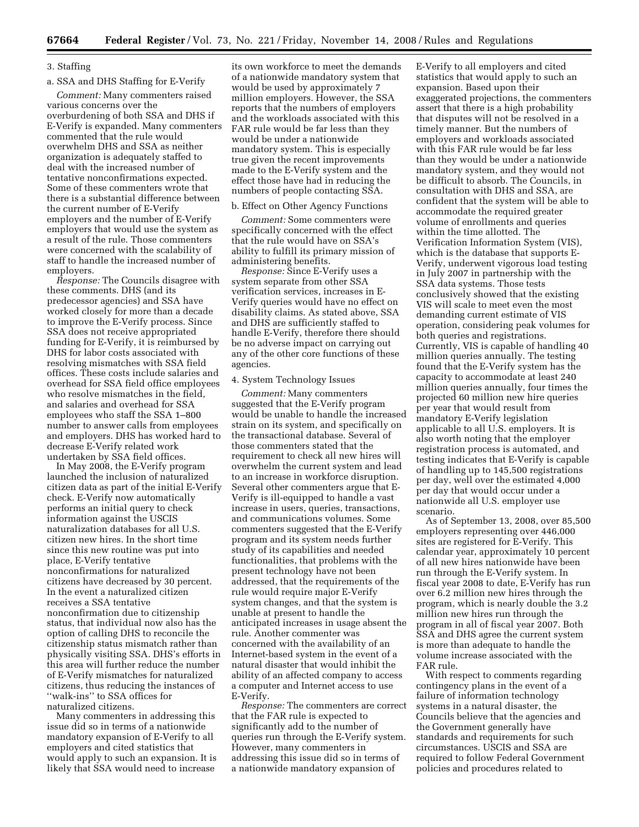# 3. Staffing

# a. SSA and DHS Staffing for E-Verify

*Comment:* Many commenters raised various concerns over the overburdening of both SSA and DHS if E-Verify is expanded. Many commenters commented that the rule would overwhelm DHS and SSA as neither organization is adequately staffed to deal with the increased number of tentative nonconfirmations expected. Some of these commenters wrote that there is a substantial difference between the current number of E-Verify employers and the number of E-Verify employers that would use the system as a result of the rule. Those commenters were concerned with the scalability of staff to handle the increased number of employers.

*Response:* The Councils disagree with these comments. DHS (and its predecessor agencies) and SSA have worked closely for more than a decade to improve the E-Verify process. Since SSA does not receive appropriated funding for E-Verify, it is reimbursed by DHS for labor costs associated with resolving mismatches with SSA field offices. These costs include salaries and overhead for SSA field office employees who resolve mismatches in the field, and salaries and overhead for SSA employees who staff the SSA 1–800 number to answer calls from employees and employers. DHS has worked hard to decrease E-Verify related work undertaken by SSA field offices.

In May 2008, the E-Verify program launched the inclusion of naturalized citizen data as part of the initial E-Verify check. E-Verify now automatically performs an initial query to check information against the USCIS naturalization databases for all U.S. citizen new hires. In the short time since this new routine was put into place, E-Verify tentative nonconfirmations for naturalized citizens have decreased by 30 percent. In the event a naturalized citizen receives a SSA tentative nonconfirmation due to citizenship status, that individual now also has the option of calling DHS to reconcile the citizenship status mismatch rather than physically visiting SSA. DHS's efforts in this area will further reduce the number of E-Verify mismatches for naturalized citizens, thus reducing the instances of ''walk-ins'' to SSA offices for naturalized citizens.

Many commenters in addressing this issue did so in terms of a nationwide mandatory expansion of E-Verify to all employers and cited statistics that would apply to such an expansion. It is likely that SSA would need to increase

its own workforce to meet the demands of a nationwide mandatory system that would be used by approximately 7 million employers. However, the SSA reports that the numbers of employers and the workloads associated with this FAR rule would be far less than they would be under a nationwide mandatory system. This is especially true given the recent improvements made to the E-Verify system and the effect those have had in reducing the numbers of people contacting SSA.

## b. Effect on Other Agency Functions

*Comment:* Some commenters were specifically concerned with the effect that the rule would have on SSA's ability to fulfill its primary mission of administering benefits.

*Response:* Since E-Verify uses a system separate from other SSA verification services, increases in E-Verify queries would have no effect on disability claims. As stated above, SSA and DHS are sufficiently staffed to handle E-Verify, therefore there should be no adverse impact on carrying out any of the other core functions of these agencies.

# 4. System Technology Issues

*Comment:* Many commenters suggested that the E-Verify program would be unable to handle the increased strain on its system, and specifically on the transactional database. Several of those commenters stated that the requirement to check all new hires will overwhelm the current system and lead to an increase in workforce disruption. Several other commenters argue that E-Verify is ill-equipped to handle a vast increase in users, queries, transactions, and communications volumes. Some commenters suggested that the E-Verify program and its system needs further study of its capabilities and needed functionalities, that problems with the present technology have not been addressed, that the requirements of the rule would require major E-Verify system changes, and that the system is unable at present to handle the anticipated increases in usage absent the rule. Another commenter was concerned with the availability of an Internet-based system in the event of a natural disaster that would inhibit the ability of an affected company to access a computer and Internet access to use E-Verify.

*Response:* The commenters are correct that the FAR rule is expected to significantly add to the number of queries run through the E-Verify system. However, many commenters in addressing this issue did so in terms of a nationwide mandatory expansion of

E-Verify to all employers and cited statistics that would apply to such an expansion. Based upon their exaggerated projections, the commenters assert that there is a high probability that disputes will not be resolved in a timely manner. But the numbers of employers and workloads associated with this FAR rule would be far less than they would be under a nationwide mandatory system, and they would not be difficult to absorb. The Councils, in consultation with DHS and SSA, are confident that the system will be able to accommodate the required greater volume of enrollments and queries within the time allotted. The Verification Information System (VIS), which is the database that supports E-Verify, underwent vigorous load testing in July 2007 in partnership with the SSA data systems. Those tests conclusively showed that the existing VIS will scale to meet even the most demanding current estimate of VIS operation, considering peak volumes for both queries and registrations. Currently, VIS is capable of handling 40 million queries annually. The testing found that the E-Verify system has the capacity to accommodate at least 240 million queries annually, four times the projected 60 million new hire queries per year that would result from mandatory E-Verify legislation applicable to all U.S. employers. It is also worth noting that the employer registration process is automated, and testing indicates that E-Verify is capable of handling up to 145,500 registrations per day, well over the estimated 4,000 per day that would occur under a nationwide all U.S. employer use scenario.

As of September 13, 2008, over 85,500 employers representing over 446,000 sites are registered for E-Verify. This calendar year, approximately 10 percent of all new hires nationwide have been run through the E-Verify system. In fiscal year 2008 to date, E-Verify has run over 6.2 million new hires through the program, which is nearly double the 3.2 million new hires run through the program in all of fiscal year 2007. Both SSA and DHS agree the current system is more than adequate to handle the volume increase associated with the FAR rule.

With respect to comments regarding contingency plans in the event of a failure of information technology systems in a natural disaster, the Councils believe that the agencies and the Government generally have standards and requirements for such circumstances. USCIS and SSA are required to follow Federal Government policies and procedures related to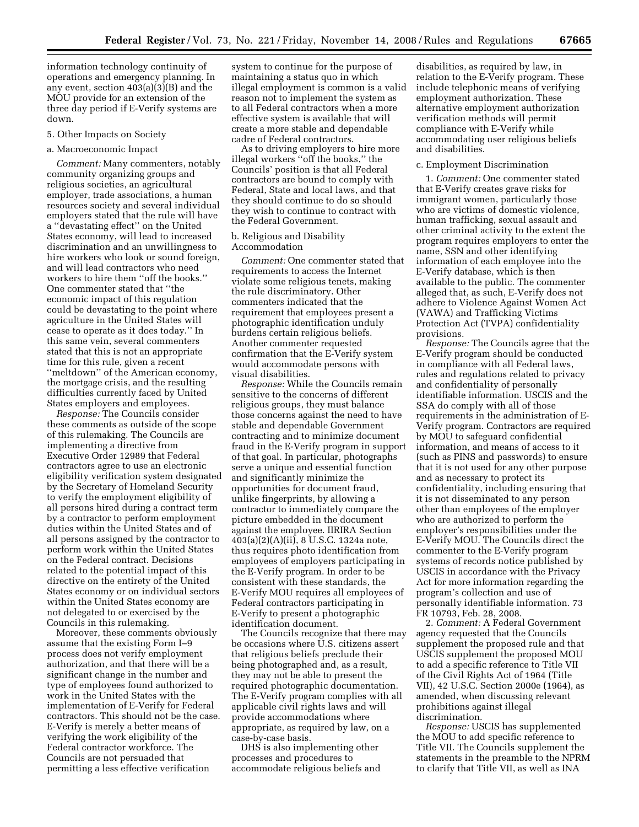information technology continuity of operations and emergency planning. In any event, section 403(a)(3)(B) and the MOU provide for an extension of the three day period if E-Verify systems are down.

#### 5. Other Impacts on Society

#### a. Macroeconomic Impact

*Comment:* Many commenters, notably community organizing groups and religious societies, an agricultural employer, trade associations, a human resources society and several individual employers stated that the rule will have a ''devastating effect'' on the United States economy, will lead to increased discrimination and an unwillingness to hire workers who look or sound foreign, and will lead contractors who need workers to hire them ''off the books.'' One commenter stated that ''the economic impact of this regulation could be devastating to the point where agriculture in the United States will cease to operate as it does today.'' In this same vein, several commenters stated that this is not an appropriate time for this rule, given a recent ''meltdown'' of the American economy, the mortgage crisis, and the resulting difficulties currently faced by United States employers and employees.

*Response:* The Councils consider these comments as outside of the scope of this rulemaking. The Councils are implementing a directive from Executive Order 12989 that Federal contractors agree to use an electronic eligibility verification system designated by the Secretary of Homeland Security to verify the employment eligibility of all persons hired during a contract term by a contractor to perform employment duties within the United States and of all persons assigned by the contractor to perform work within the United States on the Federal contract. Decisions related to the potential impact of this directive on the entirety of the United States economy or on individual sectors within the United States economy are not delegated to or exercised by the Councils in this rulemaking.

Moreover, these comments obviously assume that the existing Form I–9 process does not verify employment authorization, and that there will be a significant change in the number and type of employees found authorized to work in the United States with the implementation of E-Verify for Federal contractors. This should not be the case. E-Verify is merely a better means of verifying the work eligibility of the Federal contractor workforce. The Councils are not persuaded that permitting a less effective verification

system to continue for the purpose of maintaining a status quo in which illegal employment is common is a valid reason not to implement the system as to all Federal contractors when a more effective system is available that will create a more stable and dependable cadre of Federal contractors.

As to driving employers to hire more illegal workers ''off the books,'' the Councils' position is that all Federal contractors are bound to comply with Federal, State and local laws, and that they should continue to do so should they wish to continue to contract with the Federal Government.

## b. Religious and Disability Accommodation

*Comment:* One commenter stated that requirements to access the Internet violate some religious tenets, making the rule discriminatory. Other commenters indicated that the requirement that employees present a photographic identification unduly burdens certain religious beliefs. Another commenter requested confirmation that the E-Verify system would accommodate persons with visual disabilities.

*Response:* While the Councils remain sensitive to the concerns of different religious groups, they must balance those concerns against the need to have stable and dependable Government contracting and to minimize document fraud in the E-Verify program in support of that goal. In particular, photographs serve a unique and essential function and significantly minimize the opportunities for document fraud, unlike fingerprints, by allowing a contractor to immediately compare the picture embedded in the document against the employee. IIRIRA Section 403(a)(2)(A)(ii), 8 U.S.C. 1324a note, thus requires photo identification from employees of employers participating in the E-Verify program. In order to be consistent with these standards, the E-Verify MOU requires all employees of Federal contractors participating in E-Verify to present a photographic identification document.

The Councils recognize that there may be occasions where U.S. citizens assert that religious beliefs preclude their being photographed and, as a result, they may not be able to present the required photographic documentation. The E-Verify program complies with all applicable civil rights laws and will provide accommodations where appropriate, as required by law, on a case-by-case basis.

DHS is also implementing other processes and procedures to accommodate religious beliefs and

disabilities, as required by law, in relation to the E-Verify program. These include telephonic means of verifying employment authorization. These alternative employment authorization verification methods will permit compliance with E-Verify while accommodating user religious beliefs and disabilities.

# c. Employment Discrimination

1. *Comment:* One commenter stated that E-Verify creates grave risks for immigrant women, particularly those who are victims of domestic violence, human trafficking, sexual assault and other criminal activity to the extent the program requires employers to enter the name, SSN and other identifying information of each employee into the E-Verify database, which is then available to the public. The commenter alleged that, as such, E-Verify does not adhere to Violence Against Women Act (VAWA) and Trafficking Victims Protection Act (TVPA) confidentiality provisions.

*Response:* The Councils agree that the E-Verify program should be conducted in compliance with all Federal laws, rules and regulations related to privacy and confidentiality of personally identifiable information. USCIS and the SSA do comply with all of those requirements in the administration of E-Verify program. Contractors are required by MOU to safeguard confidential information, and means of access to it (such as PINS and passwords) to ensure that it is not used for any other purpose and as necessary to protect its confidentiality, including ensuring that it is not disseminated to any person other than employees of the employer who are authorized to perform the employer's responsibilities under the E-Verify MOU. The Councils direct the commenter to the E-Verify program systems of records notice published by USCIS in accordance with the Privacy Act for more information regarding the program's collection and use of personally identifiable information. 73 FR 10793, Feb. 28, 2008.

2. *Comment:* A Federal Government agency requested that the Councils supplement the proposed rule and that USCIS supplement the proposed MOU to add a specific reference to Title VII of the Civil Rights Act of 1964 (Title VII), 42 U.S.C. Section 2000e (1964), as amended, when discussing relevant prohibitions against illegal discrimination.

*Response:* USCIS has supplemented the MOU to add specific reference to Title VII. The Councils supplement the statements in the preamble to the NPRM to clarify that Title VII, as well as INA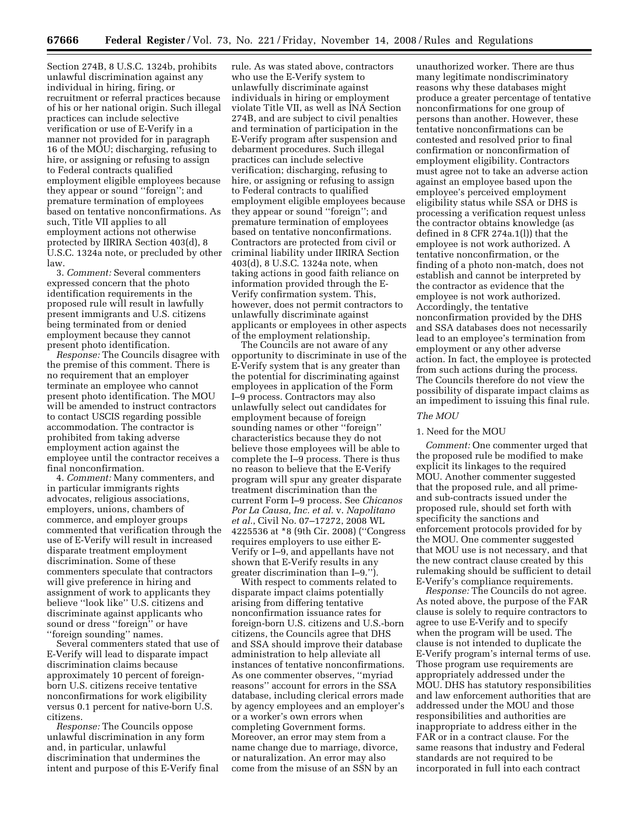Section 274B, 8 U.S.C. 1324b, prohibits unlawful discrimination against any individual in hiring, firing, or recruitment or referral practices because of his or her national origin. Such illegal practices can include selective verification or use of E-Verify in a manner not provided for in paragraph 16 of the MOU; discharging, refusing to hire, or assigning or refusing to assign to Federal contracts qualified employment eligible employees because they appear or sound ''foreign''; and premature termination of employees based on tentative nonconfirmations. As such, Title VII applies to all employment actions not otherwise protected by IIRIRA Section 403(d), 8 U.S.C. 1324a note, or precluded by other law.

3. *Comment:* Several commenters expressed concern that the photo identification requirements in the proposed rule will result in lawfully present immigrants and U.S. citizens being terminated from or denied employment because they cannot present photo identification.

*Response:* The Councils disagree with the premise of this comment. There is no requirement that an employer terminate an employee who cannot present photo identification. The MOU will be amended to instruct contractors to contact USCIS regarding possible accommodation. The contractor is prohibited from taking adverse employment action against the employee until the contractor receives a final nonconfirmation.

4. *Comment:* Many commenters, and in particular immigrants rights advocates, religious associations, employers, unions, chambers of commerce, and employer groups commented that verification through the use of E-Verify will result in increased disparate treatment employment discrimination. Some of these commenters speculate that contractors will give preference in hiring and assignment of work to applicants they believe ''look like'' U.S. citizens and discriminate against applicants who sound or dress ''foreign'' or have ''foreign sounding'' names.

Several commenters stated that use of E-Verify will lead to disparate impact discrimination claims because approximately 10 percent of foreignborn U.S. citizens receive tentative nonconfirmations for work eligibility versus 0.1 percent for native-born U.S. citizens.

*Response:* The Councils oppose unlawful discrimination in any form and, in particular, unlawful discrimination that undermines the intent and purpose of this E-Verify final

rule. As was stated above, contractors who use the E-Verify system to unlawfully discriminate against individuals in hiring or employment violate Title VII, as well as INA Section 274B, and are subject to civil penalties and termination of participation in the E-Verify program after suspension and debarment procedures. Such illegal practices can include selective verification; discharging, refusing to hire, or assigning or refusing to assign to Federal contracts to qualified employment eligible employees because they appear or sound ''foreign''; and premature termination of employees based on tentative nonconfirmations. Contractors are protected from civil or criminal liability under IIRIRA Section 403(d), 8 U.S.C. 1324a note, when taking actions in good faith reliance on information provided through the E-Verify confirmation system. This, however, does not permit contractors to unlawfully discriminate against applicants or employees in other aspects of the employment relationship.

The Councils are not aware of any opportunity to discriminate in use of the E-Verify system that is any greater than the potential for discriminating against employees in application of the Form I–9 process. Contractors may also unlawfully select out candidates for employment because of foreign sounding names or other ''foreign'' characteristics because they do not believe those employees will be able to complete the I–9 process. There is thus no reason to believe that the E-Verify program will spur any greater disparate treatment discrimination than the current Form I–9 process. See *Chicanos Por La Causa, Inc. et al.* v. *Napolitano et al.*, Civil No. 07–17272, 2008 WL 4225536 at \*8 (9th Cir. 2008) (''Congress requires employers to use either E-Verify or I–9, and appellants have not shown that E-Verify results in any greater discrimination than I–9.'').

With respect to comments related to disparate impact claims potentially arising from differing tentative nonconfirmation issuance rates for foreign-born U.S. citizens and U.S.-born citizens, the Councils agree that DHS and SSA should improve their database administration to help alleviate all instances of tentative nonconfirmations. As one commenter observes, ''myriad reasons'' account for errors in the SSA database, including clerical errors made by agency employees and an employer's or a worker's own errors when completing Government forms. Moreover, an error may stem from a name change due to marriage, divorce, or naturalization. An error may also come from the misuse of an SSN by an

unauthorized worker. There are thus many legitimate nondiscriminatory reasons why these databases might produce a greater percentage of tentative nonconfirmations for one group of persons than another. However, these tentative nonconfirmations can be contested and resolved prior to final confirmation or nonconfirmation of employment eligibility. Contractors must agree not to take an adverse action against an employee based upon the employee's perceived employment eligibility status while SSA or DHS is processing a verification request unless the contractor obtains knowledge (as defined in 8 CFR 274a.1(l)) that the employee is not work authorized. A tentative nonconfirmation, or the finding of a photo non-match, does not establish and cannot be interpreted by the contractor as evidence that the employee is not work authorized. Accordingly, the tentative nonconfirmation provided by the DHS and SSA databases does not necessarily lead to an employee's termination from employment or any other adverse action. In fact, the employee is protected from such actions during the process. The Councils therefore do not view the possibility of disparate impact claims as an impediment to issuing this final rule.

#### *The MOU*

#### 1. Need for the MOU

*Comment:* One commenter urged that the proposed rule be modified to make explicit its linkages to the required MOU. Another commenter suggested that the proposed rule, and all primeand sub-contracts issued under the proposed rule, should set forth with specificity the sanctions and enforcement protocols provided for by the MOU. One commenter suggested that MOU use is not necessary, and that the new contract clause created by this rulemaking should be sufficient to detail E-Verify's compliance requirements.

*Response:* The Councils do not agree. As noted above, the purpose of the FAR clause is solely to require contractors to agree to use E-Verify and to specify when the program will be used. The clause is not intended to duplicate the E-Verify program's internal terms of use. Those program use requirements are appropriately addressed under the MOU. DHS has statutory responsibilities and law enforcement authorities that are addressed under the MOU and those responsibilities and authorities are inappropriate to address either in the FAR or in a contract clause. For the same reasons that industry and Federal standards are not required to be incorporated in full into each contract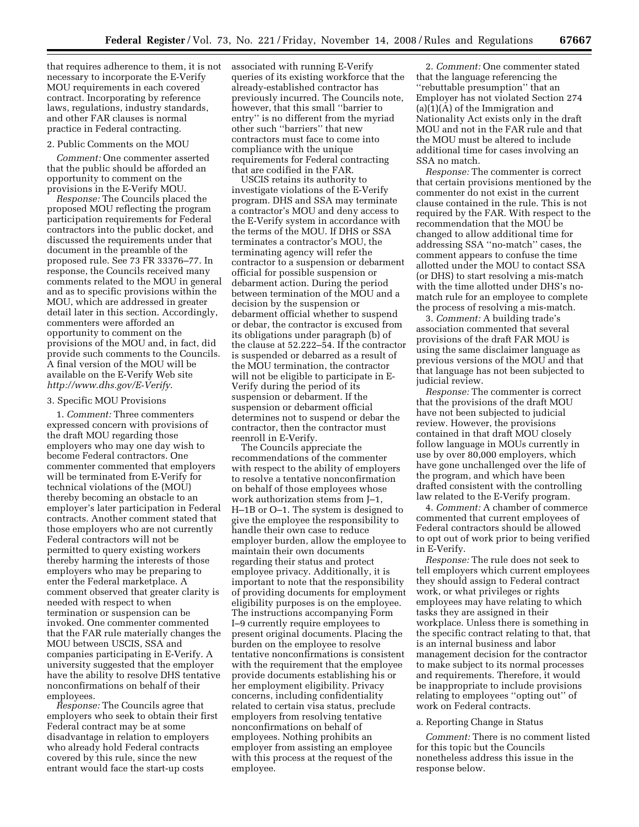that requires adherence to them, it is not necessary to incorporate the E-Verify MOU requirements in each covered contract. Incorporating by reference laws, regulations, industry standards, and other FAR clauses is normal practice in Federal contracting.

## 2. Public Comments on the MOU

*Comment:* One commenter asserted that the public should be afforded an opportunity to comment on the provisions in the E-Verify MOU.

*Response:* The Councils placed the proposed MOU reflecting the program participation requirements for Federal contractors into the public docket, and discussed the requirements under that document in the preamble of the proposed rule. See 73 FR 33376–77. In response, the Councils received many comments related to the MOU in general and as to specific provisions within the MOU, which are addressed in greater detail later in this section. Accordingly, commenters were afforded an opportunity to comment on the provisions of the MOU and, in fact, did provide such comments to the Councils. A final version of the MOU will be available on the E-Verify Web site *<http://www.dhs.gov/E-Verify>*.

## 3. Specific MOU Provisions

1. *Comment:* Three commenters expressed concern with provisions of the draft MOU regarding those employers who may one day wish to become Federal contractors. One commenter commented that employers will be terminated from E-Verify for technical violations of the (MOU) thereby becoming an obstacle to an employer's later participation in Federal contracts. Another comment stated that those employers who are not currently Federal contractors will not be permitted to query existing workers thereby harming the interests of those employers who may be preparing to enter the Federal marketplace. A comment observed that greater clarity is needed with respect to when termination or suspension can be invoked. One commenter commented that the FAR rule materially changes the MOU between USCIS, SSA and companies participating in E-Verify. A university suggested that the employer have the ability to resolve DHS tentative nonconfirmations on behalf of their employees.

*Response:* The Councils agree that employers who seek to obtain their first Federal contract may be at some disadvantage in relation to employers who already hold Federal contracts covered by this rule, since the new entrant would face the start-up costs

associated with running E-Verify queries of its existing workforce that the already-established contractor has previously incurred. The Councils note, however, that this small ''barrier to entry'' is no different from the myriad other such ''barriers'' that new contractors must face to come into compliance with the unique requirements for Federal contracting that are codified in the FAR.

USCIS retains its authority to investigate violations of the E-Verify program. DHS and SSA may terminate a contractor's MOU and deny access to the E-Verify system in accordance with the terms of the MOU. If DHS or SSA terminates a contractor's MOU, the terminating agency will refer the contractor to a suspension or debarment official for possible suspension or debarment action. During the period between termination of the MOU and a decision by the suspension or debarment official whether to suspend or debar, the contractor is excused from its obligations under paragraph (b) of the clause at 52.222–54. If the contractor is suspended or debarred as a result of the MOU termination, the contractor will not be eligible to participate in E-Verify during the period of its suspension or debarment. If the suspension or debarment official determines not to suspend or debar the contractor, then the contractor must reenroll in E-Verify.

The Councils appreciate the recommendations of the commenter with respect to the ability of employers to resolve a tentative nonconfirmation on behalf of those employees whose work authorization stems from J–1, H–1B or O–1. The system is designed to give the employee the responsibility to handle their own case to reduce employer burden, allow the employee to maintain their own documents regarding their status and protect employee privacy. Additionally, it is important to note that the responsibility of providing documents for employment eligibility purposes is on the employee. The instructions accompanying Form I–9 currently require employees to present original documents. Placing the burden on the employee to resolve tentative nonconfirmations is consistent with the requirement that the employee provide documents establishing his or her employment eligibility. Privacy concerns, including confidentiality related to certain visa status, preclude employers from resolving tentative nonconfirmations on behalf of employees. Nothing prohibits an employer from assisting an employee with this process at the request of the employee.

2. *Comment:* One commenter stated that the language referencing the ''rebuttable presumption'' that an Employer has not violated Section 274 (a)(1)(A) of the Immigration and Nationality Act exists only in the draft MOU and not in the FAR rule and that the MOU must be altered to include additional time for cases involving an SSA no match.

*Response:* The commenter is correct that certain provisions mentioned by the commenter do not exist in the current clause contained in the rule. This is not required by the FAR. With respect to the recommendation that the MOU be changed to allow additional time for addressing SSA ''no-match'' cases, the comment appears to confuse the time allotted under the MOU to contact SSA (or DHS) to start resolving a mis-match with the time allotted under DHS's nomatch rule for an employee to complete the process of resolving a mis-match.

3. *Comment:* A building trade's association commented that several provisions of the draft FAR MOU is using the same disclaimer language as previous versions of the MOU and that that language has not been subjected to judicial review.

*Response:* The commenter is correct that the provisions of the draft MOU have not been subjected to judicial review. However, the provisions contained in that draft MOU closely follow language in MOUs currently in use by over 80,000 employers, which have gone unchallenged over the life of the program, and which have been drafted consistent with the controlling law related to the E-Verify program.

4. *Comment:* A chamber of commerce commented that current employees of Federal contractors should be allowed to opt out of work prior to being verified in E-Verify.

*Response:* The rule does not seek to tell employers which current employees they should assign to Federal contract work, or what privileges or rights employees may have relating to which tasks they are assigned in their workplace. Unless there is something in the specific contract relating to that, that is an internal business and labor management decision for the contractor to make subject to its normal processes and requirements. Therefore, it would be inappropriate to include provisions relating to employees ''opting out'' of work on Federal contracts.

## a. Reporting Change in Status

*Comment:* There is no comment listed for this topic but the Councils nonetheless address this issue in the response below.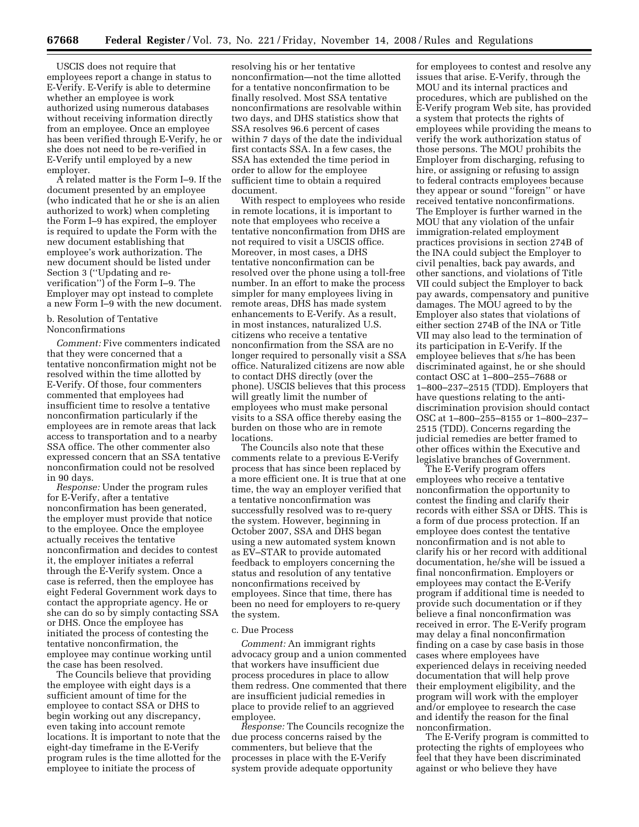USCIS does not require that employees report a change in status to E-Verify. E-Verify is able to determine whether an employee is work authorized using numerous databases without receiving information directly from an employee. Once an employee has been verified through E-Verify, he or she does not need to be re-verified in E-Verify until employed by a new employer.

A related matter is the Form I–9. If the document presented by an employee (who indicated that he or she is an alien authorized to work) when completing the Form I–9 has expired, the employer is required to update the Form with the new document establishing that employee's work authorization. The new document should be listed under Section 3 (''Updating and reverification'') of the Form I–9. The Employer may opt instead to complete a new Form I–9 with the new document.

## b. Resolution of Tentative Nonconfirmations

*Comment:* Five commenters indicated that they were concerned that a tentative nonconfirmation might not be resolved within the time allotted by E-Verify. Of those, four commenters commented that employees had insufficient time to resolve a tentative nonconfirmation particularly if the employees are in remote areas that lack access to transportation and to a nearby SSA office. The other commenter also expressed concern that an SSA tentative nonconfirmation could not be resolved in 90 days.

*Response:* Under the program rules for E-Verify, after a tentative nonconfirmation has been generated, the employer must provide that notice to the employee. Once the employee actually receives the tentative nonconfirmation and decides to contest it, the employer initiates a referral through the E-Verify system. Once a case is referred, then the employee has eight Federal Government work days to contact the appropriate agency. He or she can do so by simply contacting SSA or DHS. Once the employee has initiated the process of contesting the tentative nonconfirmation, the employee may continue working until the case has been resolved.

The Councils believe that providing the employee with eight days is a sufficient amount of time for the employee to contact SSA or DHS to begin working out any discrepancy, even taking into account remote locations. It is important to note that the eight-day timeframe in the E-Verify program rules is the time allotted for the employee to initiate the process of

resolving his or her tentative nonconfirmation—not the time allotted for a tentative nonconfirmation to be finally resolved. Most SSA tentative nonconfirmations are resolvable within two days, and DHS statistics show that SSA resolves 96.6 percent of cases within 7 days of the date the individual first contacts SSA. In a few cases, the SSA has extended the time period in order to allow for the employee sufficient time to obtain a required document.

With respect to employees who reside in remote locations, it is important to note that employees who receive a tentative nonconfirmation from DHS are not required to visit a USCIS office. Moreover, in most cases, a DHS tentative nonconfirmation can be resolved over the phone using a toll-free number. In an effort to make the process simpler for many employees living in remote areas, DHS has made system enhancements to E-Verify. As a result, in most instances, naturalized U.S. citizens who receive a tentative nonconfirmation from the SSA are no longer required to personally visit a SSA office. Naturalized citizens are now able to contact DHS directly (over the phone). USCIS believes that this process will greatly limit the number of employees who must make personal visits to a SSA office thereby easing the burden on those who are in remote locations.

The Councils also note that these comments relate to a previous E-Verify process that has since been replaced by a more efficient one. It is true that at one time, the way an employer verified that a tentative nonconfirmation was successfully resolved was to re-query the system. However, beginning in October 2007, SSA and DHS began using a new automated system known as EV–STAR to provide automated feedback to employers concerning the status and resolution of any tentative nonconfirmations received by employees. Since that time, there has been no need for employers to re-query the system.

## c. Due Process

*Comment:* An immigrant rights advocacy group and a union commented that workers have insufficient due process procedures in place to allow them redress. One commented that there are insufficient judicial remedies in place to provide relief to an aggrieved employee.

*Response:* The Councils recognize the due process concerns raised by the commenters, but believe that the processes in place with the E-Verify system provide adequate opportunity

for employees to contest and resolve any issues that arise. E-Verify, through the MOU and its internal practices and procedures, which are published on the E-Verify program Web site, has provided a system that protects the rights of employees while providing the means to verify the work authorization status of those persons. The MOU prohibits the Employer from discharging, refusing to hire, or assigning or refusing to assign to federal contracts employees because they appear or sound ''foreign'' or have received tentative nonconfirmations. The Employer is further warned in the MOU that any violation of the unfair immigration-related employment practices provisions in section 274B of the INA could subject the Employer to civil penalties, back pay awards, and other sanctions, and violations of Title VII could subject the Employer to back pay awards, compensatory and punitive damages. The MOU agreed to by the Employer also states that violations of either section 274B of the INA or Title VII may also lead to the termination of its participation in E-Verify. If the employee believes that s/he has been discriminated against, he or she should contact OSC at 1–800–255–7688 or 1–800–237–2515 (TDD). Employers that have questions relating to the antidiscrimination provision should contact OSC at 1–800–255–8155 or 1–800–237– 2515 (TDD). Concerns regarding the judicial remedies are better framed to other offices within the Executive and legislative branches of Government.

The E-Verify program offers employees who receive a tentative nonconfirmation the opportunity to contest the finding and clarify their records with either SSA or DHS. This is a form of due process protection. If an employee does contest the tentative nonconfirmation and is not able to clarify his or her record with additional documentation, he/she will be issued a final nonconfirmation. Employers or employees may contact the E-Verify program if additional time is needed to provide such documentation or if they believe a final nonconfirmation was received in error. The E-Verify program may delay a final nonconfirmation finding on a case by case basis in those cases where employees have experienced delays in receiving needed documentation that will help prove their employment eligibility, and the program will work with the employer and/or employee to research the case and identify the reason for the final nonconfirmation.

The E-Verify program is committed to protecting the rights of employees who feel that they have been discriminated against or who believe they have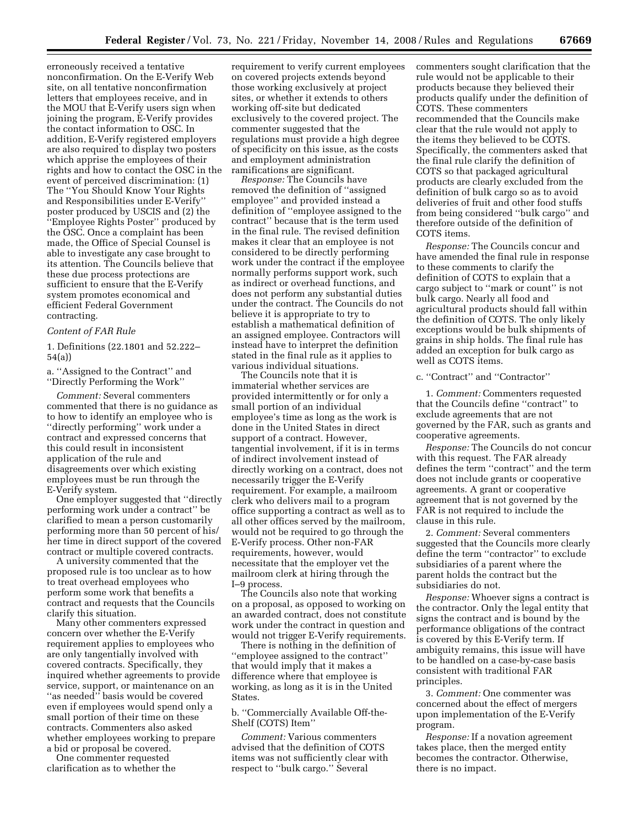erroneously received a tentative nonconfirmation. On the E-Verify Web site, on all tentative nonconfirmation letters that employees receive, and in the MOU that E-Verify users sign when joining the program, E-Verify provides the contact information to OSC. In addition, E-Verify registered employers are also required to display two posters which apprise the employees of their rights and how to contact the OSC in the event of perceived discrimination: (1) The ''You Should Know Your Rights and Responsibilities under E-Verify'' poster produced by USCIS and (2) the ''Employee Rights Poster'' produced by the OSC. Once a complaint has been made, the Office of Special Counsel is able to investigate any case brought to its attention. The Councils believe that these due process protections are sufficient to ensure that the E-Verify system promotes economical and efficient Federal Government contracting.

# *Content of FAR Rule*

1. Definitions (22.1801 and 52.222– 54(a))

a. ''Assigned to the Contract'' and ''Directly Performing the Work''

*Comment:* Several commenters commented that there is no guidance as to how to identify an employee who is ''directly performing'' work under a contract and expressed concerns that this could result in inconsistent application of the rule and disagreements over which existing employees must be run through the E-Verify system.

One employer suggested that ''directly performing work under a contract'' be clarified to mean a person customarily performing more than 50 percent of his/ her time in direct support of the covered contract or multiple covered contracts.

A university commented that the proposed rule is too unclear as to how to treat overhead employees who perform some work that benefits a contract and requests that the Councils clarify this situation.

Many other commenters expressed concern over whether the E-Verify requirement applies to employees who are only tangentially involved with covered contracts. Specifically, they inquired whether agreements to provide service, support, or maintenance on an ''as needed'' basis would be covered even if employees would spend only a small portion of their time on these contracts. Commenters also asked whether employees working to prepare a bid or proposal be covered.

One commenter requested clarification as to whether the

requirement to verify current employees on covered projects extends beyond those working exclusively at project sites, or whether it extends to others working off-site but dedicated exclusively to the covered project. The commenter suggested that the regulations must provide a high degree of specificity on this issue, as the costs and employment administration ramifications are significant.

*Response:* The Councils have removed the definition of ''assigned employee'' and provided instead a definition of ''employee assigned to the contract'' because that is the term used in the final rule. The revised definition makes it clear that an employee is not considered to be directly performing work under the contract if the employee normally performs support work, such as indirect or overhead functions, and does not perform any substantial duties under the contract. The Councils do not believe it is appropriate to try to establish a mathematical definition of an assigned employee. Contractors will instead have to interpret the definition stated in the final rule as it applies to various individual situations.

The Councils note that it is immaterial whether services are provided intermittently or for only a small portion of an individual employee's time as long as the work is done in the United States in direct support of a contract. However, tangential involvement, if it is in terms of indirect involvement instead of directly working on a contract, does not necessarily trigger the E-Verify requirement. For example, a mailroom clerk who delivers mail to a program office supporting a contract as well as to all other offices served by the mailroom, would not be required to go through the E-Verify process. Other non-FAR requirements, however, would necessitate that the employer vet the mailroom clerk at hiring through the I–9 process.

The Councils also note that working on a proposal, as opposed to working on an awarded contract, does not constitute work under the contract in question and would not trigger E-Verify requirements.

There is nothing in the definition of ''employee assigned to the contract'' that would imply that it makes a difference where that employee is working, as long as it is in the United States.

b. ''Commercially Available Off-the-Shelf (COTS) Item''

*Comment:* Various commenters advised that the definition of COTS items was not sufficiently clear with respect to ''bulk cargo.'' Several

commenters sought clarification that the rule would not be applicable to their products because they believed their products qualify under the definition of COTS. These commenters recommended that the Councils make clear that the rule would not apply to the items they believed to be COTS. Specifically, the commenters asked that the final rule clarify the definition of COTS so that packaged agricultural products are clearly excluded from the definition of bulk cargo so as to avoid deliveries of fruit and other food stuffs from being considered ''bulk cargo'' and therefore outside of the definition of COTS items.

*Response:* The Councils concur and have amended the final rule in response to these comments to clarify the definition of COTS to explain that a cargo subject to ''mark or count'' is not bulk cargo. Nearly all food and agricultural products should fall within the definition of COTS. The only likely exceptions would be bulk shipments of grains in ship holds. The final rule has added an exception for bulk cargo as well as COTS items.

## c. ''Contract'' and ''Contractor''

1. *Comment:* Commenters requested that the Councils define ''contract'' to exclude agreements that are not governed by the FAR, such as grants and cooperative agreements.

*Response:* The Councils do not concur with this request. The FAR already defines the term ''contract'' and the term does not include grants or cooperative agreements. A grant or cooperative agreement that is not governed by the FAR is not required to include the clause in this rule.

2. *Comment:* Several commenters suggested that the Councils more clearly define the term ''contractor'' to exclude subsidiaries of a parent where the parent holds the contract but the subsidiaries do not.

*Response:* Whoever signs a contract is the contractor. Only the legal entity that signs the contract and is bound by the performance obligations of the contract is covered by this E-Verify term. If ambiguity remains, this issue will have to be handled on a case-by-case basis consistent with traditional FAR principles.

3. *Comment:* One commenter was concerned about the effect of mergers upon implementation of the E-Verify program.

*Response:* If a novation agreement takes place, then the merged entity becomes the contractor. Otherwise, there is no impact.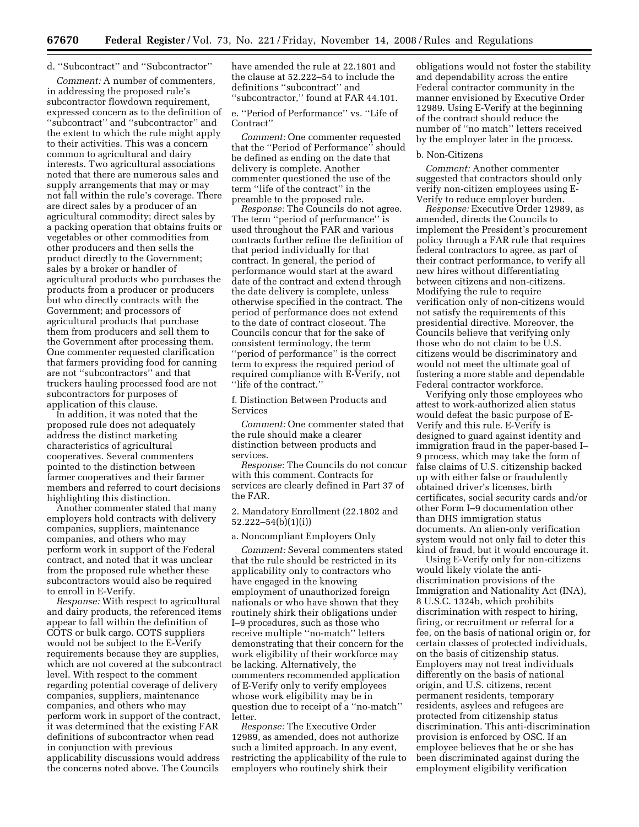## d. ''Subcontract'' and ''Subcontractor''

*Comment:* A number of commenters, in addressing the proposed rule's subcontractor flowdown requirement, expressed concern as to the definition of ''subcontract'' and ''subcontractor'' and the extent to which the rule might apply to their activities. This was a concern common to agricultural and dairy interests. Two agricultural associations noted that there are numerous sales and supply arrangements that may or may not fall within the rule's coverage. There are direct sales by a producer of an agricultural commodity; direct sales by a packing operation that obtains fruits or vegetables or other commodities from other producers and then sells the product directly to the Government; sales by a broker or handler of agricultural products who purchases the products from a producer or producers but who directly contracts with the Government; and processors of agricultural products that purchase them from producers and sell them to the Government after processing them. One commenter requested clarification that farmers providing food for canning are not ''subcontractors'' and that truckers hauling processed food are not subcontractors for purposes of application of this clause.

In addition, it was noted that the proposed rule does not adequately address the distinct marketing characteristics of agricultural cooperatives. Several commenters pointed to the distinction between farmer cooperatives and their farmer members and referred to court decisions highlighting this distinction.

Another commenter stated that many employers hold contracts with delivery companies, suppliers, maintenance companies, and others who may perform work in support of the Federal contract, and noted that it was unclear from the proposed rule whether these subcontractors would also be required to enroll in E-Verify.

*Response:* With respect to agricultural and dairy products, the referenced items appear to fall within the definition of COTS or bulk cargo. COTS suppliers would not be subject to the E-Verify requirements because they are supplies, which are not covered at the subcontract level. With respect to the comment regarding potential coverage of delivery companies, suppliers, maintenance companies, and others who may perform work in support of the contract, it was determined that the existing FAR definitions of subcontractor when read in conjunction with previous applicability discussions would address the concerns noted above. The Councils

have amended the rule at 22.1801 and the clause at 52.222–54 to include the definitions ''subcontract'' and ''subcontractor,'' found at FAR 44.101.

e. ''Period of Performance'' vs. ''Life of Contract''

*Comment:* One commenter requested that the ''Period of Performance'' should be defined as ending on the date that delivery is complete. Another commenter questioned the use of the term ''life of the contract'' in the preamble to the proposed rule.

*Response:* The Councils do not agree. The term ''period of performance'' is used throughout the FAR and various contracts further refine the definition of that period individually for that contract. In general, the period of performance would start at the award date of the contract and extend through the date delivery is complete, unless otherwise specified in the contract. The period of performance does not extend to the date of contract closeout. The Councils concur that for the sake of consistent terminology, the term ''period of performance'' is the correct term to express the required period of required compliance with E-Verify, not ''life of the contract.''

f. Distinction Between Products and Services

*Comment:* One commenter stated that the rule should make a clearer distinction between products and services.

*Response:* The Councils do not concur with this comment. Contracts for services are clearly defined in Part 37 of the FAR.

2. Mandatory Enrollment (22.1802 and 52.222–54(b)(1)(i))

#### a. Noncompliant Employers Only

*Comment:* Several commenters stated that the rule should be restricted in its applicability only to contractors who have engaged in the knowing employment of unauthorized foreign nationals or who have shown that they routinely shirk their obligations under I–9 procedures, such as those who receive multiple ''no-match'' letters demonstrating that their concern for the work eligibility of their workforce may be lacking. Alternatively, the commenters recommended application of E-Verify only to verify employees whose work eligibility may be in question due to receipt of a ''no-match'' letter.

*Response:* The Executive Order 12989, as amended, does not authorize such a limited approach. In any event, restricting the applicability of the rule to employers who routinely shirk their

obligations would not foster the stability and dependability across the entire Federal contractor community in the manner envisioned by Executive Order 12989. Using E-Verify at the beginning of the contract should reduce the number of ''no match'' letters received by the employer later in the process.

# b. Non-Citizens

*Comment:* Another commenter suggested that contractors should only verify non-citizen employees using E-Verify to reduce employer burden.

*Response:* Executive Order 12989, as amended, directs the Councils to implement the President's procurement policy through a FAR rule that requires federal contractors to agree, as part of their contract performance, to verify all new hires without differentiating between citizens and non-citizens. Modifying the rule to require verification only of non-citizens would not satisfy the requirements of this presidential directive. Moreover, the Councils believe that verifying only those who do not claim to be U.S. citizens would be discriminatory and would not meet the ultimate goal of fostering a more stable and dependable Federal contractor workforce.

Verifying only those employees who attest to work-authorized alien status would defeat the basic purpose of E-Verify and this rule. E-Verify is designed to guard against identity and immigration fraud in the paper-based I– 9 process, which may take the form of false claims of U.S. citizenship backed up with either false or fraudulently obtained driver's licenses, birth certificates, social security cards and/or other Form I–9 documentation other than DHS immigration status documents. An alien-only verification system would not only fail to deter this kind of fraud, but it would encourage it.

Using E-Verify only for non-citizens would likely violate the antidiscrimination provisions of the Immigration and Nationality Act (INA), 8 U.S.C. 1324b, which prohibits discrimination with respect to hiring, firing, or recruitment or referral for a fee, on the basis of national origin or, for certain classes of protected individuals, on the basis of citizenship status. Employers may not treat individuals differently on the basis of national origin, and U.S. citizens, recent permanent residents, temporary residents, asylees and refugees are protected from citizenship status discrimination. This anti-discrimination provision is enforced by OSC. If an employee believes that he or she has been discriminated against during the employment eligibility verification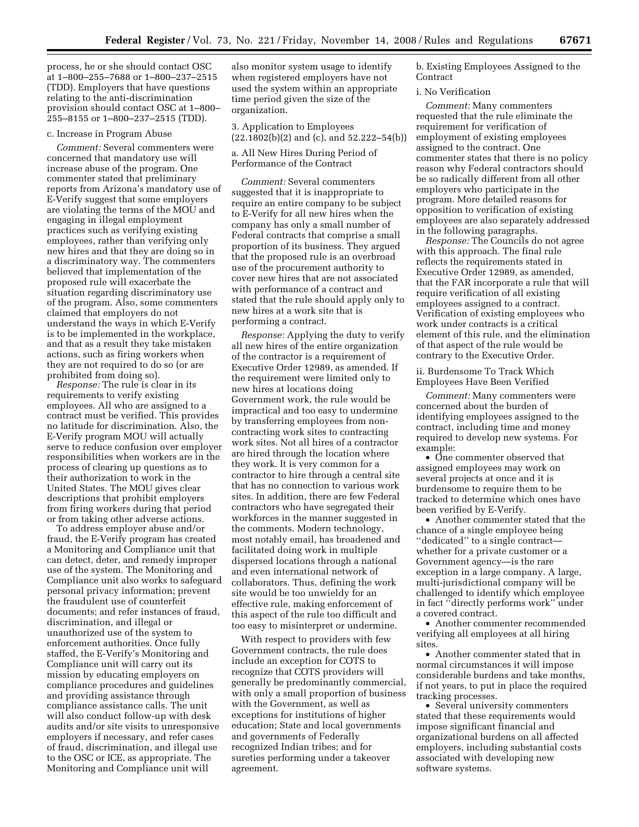process, he or she should contact OSC at 1–800–255–7688 or 1–800–237–2515 (TDD). Employers that have questions relating to the anti-discrimination provision should contact OSC at 1–800– 255–8155 or 1–800–237–2515 (TDD).

#### c. Increase in Program Abuse

*Comment:* Several commenters were concerned that mandatory use will increase abuse of the program. One commenter stated that preliminary reports from Arizona's mandatory use of E-Verify suggest that some employers are violating the terms of the MOU and engaging in illegal employment practices such as verifying existing employees, rather than verifying only new hires and that they are doing so in a discriminatory way. The commenters believed that implementation of the proposed rule will exacerbate the situation regarding discriminatory use of the program. Also, some commenters claimed that employers do not understand the ways in which E-Verify is to be implemented in the workplace, and that as a result they take mistaken actions, such as firing workers when they are not required to do so (or are prohibited from doing so).

*Response:* The rule is clear in its requirements to verify existing employees. All who are assigned to a contract must be verified. This provides no latitude for discrimination. Also, the E-Verify program MOU will actually serve to reduce confusion over employer responsibilities when workers are in the process of clearing up questions as to their authorization to work in the United States. The MOU gives clear descriptions that prohibit employers from firing workers during that period or from taking other adverse actions.

To address employer abuse and/or fraud, the E-Verify program has created a Monitoring and Compliance unit that can detect, deter, and remedy improper use of the system. The Monitoring and Compliance unit also works to safeguard personal privacy information; prevent the fraudulent use of counterfeit documents; and refer instances of fraud, discrimination, and illegal or unauthorized use of the system to enforcement authorities. Once fully staffed, the E-Verify's Monitoring and Compliance unit will carry out its mission by educating employers on compliance procedures and guidelines and providing assistance through compliance assistance calls. The unit will also conduct follow-up with desk audits and/or site visits to unresponsive employers if necessary, and refer cases of fraud, discrimination, and illegal use to the OSC or ICE, as appropriate. The Monitoring and Compliance unit will

also monitor system usage to identify when registered employers have not used the system within an appropriate time period given the size of the organization.

3. Application to Employees  $(22.1802(b)(2)$  and  $(c)$ , and  $52.222-54(b)$ 

a. All New Hires During Period of Performance of the Contract

*Comment:* Several commenters suggested that it is inappropriate to require an entire company to be subject to E-Verify for all new hires when the company has only a small number of Federal contracts that comprise a small proportion of its business. They argued that the proposed rule is an overbroad use of the procurement authority to cover new hires that are not associated with performance of a contract and stated that the rule should apply only to new hires at a work site that is performing a contract.

*Response:* Applying the duty to verify all new hires of the entire organization of the contractor is a requirement of Executive Order 12989, as amended. If the requirement were limited only to new hires at locations doing Government work, the rule would be impractical and too easy to undermine by transferring employees from noncontracting work sites to contracting work sites. Not all hires of a contractor are hired through the location where they work. It is very common for a contractor to hire through a central site that has no connection to various work sites. In addition, there are few Federal contractors who have segregated their workforces in the manner suggested in the comments. Modern technology, most notably email, has broadened and facilitated doing work in multiple dispersed locations through a national and even international network of collaborators. Thus, defining the work site would be too unwieldy for an effective rule, making enforcement of this aspect of the rule too difficult and too easy to misinterpret or undermine.

With respect to providers with few Government contracts, the rule does include an exception for COTS to recognize that COTS providers will generally be predominantly commercial, with only a small proportion of business with the Government, as well as exceptions for institutions of higher education; State and local governments and governments of Federally recognized Indian tribes; and for sureties performing under a takeover agreement.

b. Existing Employees Assigned to the **Contract** 

# i. No Verification

*Comment:* Many commenters requested that the rule eliminate the requirement for verification of employment of existing employees assigned to the contract. One commenter states that there is no policy reason why Federal contractors should be so radically different from all other employers who participate in the program. More detailed reasons for opposition to verification of existing employees are also separately addressed in the following paragraphs.

*Response:* The Councils do not agree with this approach. The final rule reflects the requirements stated in Executive Order 12989, as amended, that the FAR incorporate a rule that will require verification of all existing employees assigned to a contract. Verification of existing employees who work under contracts is a critical element of this rule, and the elimination of that aspect of the rule would be contrary to the Executive Order.

ii. Burdensome To Track Which Employees Have Been Verified

*Comment:* Many commenters were concerned about the burden of identifying employees assigned to the contract, including time and money required to develop new systems. For example:

• One commenter observed that assigned employees may work on several projects at once and it is burdensome to require them to be tracked to determine which ones have been verified by E-Verify.

• Another commenter stated that the chance of a single employee being ''dedicated'' to a single contract whether for a private customer or a Government agency—is the rare exception in a large company. A large, multi-jurisdictional company will be challenged to identify which employee in fact ''directly performs work'' under a covered contract.

• Another commenter recommended verifying all employees at all hiring sites.

• Another commenter stated that in normal circumstances it will impose considerable burdens and take months, if not years, to put in place the required tracking processes.

• Several university commenters stated that these requirements would impose significant financial and organizational burdens on all affected employers, including substantial costs associated with developing new software systems.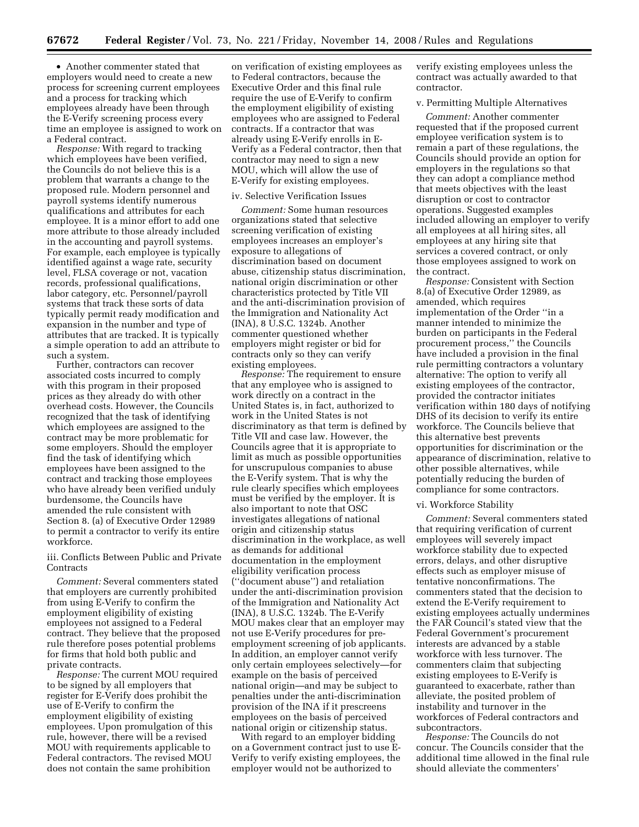• Another commenter stated that employers would need to create a new process for screening current employees and a process for tracking which employees already have been through the E-Verify screening process every time an employee is assigned to work on a Federal contract.

*Response:* With regard to tracking which employees have been verified, the Councils do not believe this is a problem that warrants a change to the proposed rule. Modern personnel and payroll systems identify numerous qualifications and attributes for each employee. It is a minor effort to add one more attribute to those already included in the accounting and payroll systems. For example, each employee is typically identified against a wage rate, security level, FLSA coverage or not, vacation records, professional qualifications, labor category, etc. Personnel/payroll systems that track these sorts of data typically permit ready modification and expansion in the number and type of attributes that are tracked. It is typically a simple operation to add an attribute to such a system.

Further, contractors can recover associated costs incurred to comply with this program in their proposed prices as they already do with other overhead costs. However, the Councils recognized that the task of identifying which employees are assigned to the contract may be more problematic for some employers. Should the employer find the task of identifying which employees have been assigned to the contract and tracking those employees who have already been verified unduly burdensome, the Councils have amended the rule consistent with Section 8. (a) of Executive Order 12989 to permit a contractor to verify its entire workforce.

iii. Conflicts Between Public and Private **Contracts** 

*Comment:* Several commenters stated that employers are currently prohibited from using E-Verify to confirm the employment eligibility of existing employees not assigned to a Federal contract. They believe that the proposed rule therefore poses potential problems for firms that hold both public and private contracts.

*Response:* The current MOU required to be signed by all employers that register for E-Verify does prohibit the use of E-Verify to confirm the employment eligibility of existing employees. Upon promulgation of this rule, however, there will be a revised MOU with requirements applicable to Federal contractors. The revised MOU does not contain the same prohibition

on verification of existing employees as to Federal contractors, because the Executive Order and this final rule require the use of E-Verify to confirm the employment eligibility of existing employees who are assigned to Federal contracts. If a contractor that was already using E-Verify enrolls in E-Verify as a Federal contractor, then that contractor may need to sign a new MOU, which will allow the use of E-Verify for existing employees.

# iv. Selective Verification Issues

*Comment:* Some human resources organizations stated that selective screening verification of existing employees increases an employer's exposure to allegations of discrimination based on document abuse, citizenship status discrimination, national origin discrimination or other characteristics protected by Title VII and the anti-discrimination provision of the Immigration and Nationality Act (INA), 8 U.S.C. 1324b. Another commenter questioned whether employers might register or bid for contracts only so they can verify existing employees.

*Response:* The requirement to ensure that any employee who is assigned to work directly on a contract in the United States is, in fact, authorized to work in the United States is not discriminatory as that term is defined by Title VII and case law. However, the Councils agree that it is appropriate to limit as much as possible opportunities for unscrupulous companies to abuse the E-Verify system. That is why the rule clearly specifies which employees must be verified by the employer. It is also important to note that OSC investigates allegations of national origin and citizenship status discrimination in the workplace, as well as demands for additional documentation in the employment eligibility verification process (''document abuse'') and retaliation under the anti-discrimination provision of the Immigration and Nationality Act (INA), 8 U.S.C. 1324b. The E-Verify MOU makes clear that an employer may not use E-Verify procedures for preemployment screening of job applicants. In addition, an employer cannot verify only certain employees selectively—for example on the basis of perceived national origin—and may be subject to penalties under the anti-discrimination provision of the INA if it prescreens employees on the basis of perceived national origin or citizenship status.

With regard to an employer bidding on a Government contract just to use E-Verify to verify existing employees, the employer would not be authorized to

verify existing employees unless the contract was actually awarded to that contractor.

# v. Permitting Multiple Alternatives

*Comment:* Another commenter requested that if the proposed current employee verification system is to remain a part of these regulations, the Councils should provide an option for employers in the regulations so that they can adopt a compliance method that meets objectives with the least disruption or cost to contractor operations. Suggested examples included allowing an employer to verify all employees at all hiring sites, all employees at any hiring site that services a covered contract, or only those employees assigned to work on the contract.

*Response:* Consistent with Section 8.(a) of Executive Order 12989, as amended, which requires implementation of the Order ''in a manner intended to minimize the burden on participants in the Federal procurement process,'' the Councils have included a provision in the final rule permitting contractors a voluntary alternative: The option to verify all existing employees of the contractor, provided the contractor initiates verification within 180 days of notifying DHS of its decision to verify its entire workforce. The Councils believe that this alternative best prevents opportunities for discrimination or the appearance of discrimination, relative to other possible alternatives, while potentially reducing the burden of compliance for some contractors.

## vi. Workforce Stability

*Comment:* Several commenters stated that requiring verification of current employees will severely impact workforce stability due to expected errors, delays, and other disruptive effects such as employer misuse of tentative nonconfirmations. The commenters stated that the decision to extend the E-Verify requirement to existing employees actually undermines the FAR Council's stated view that the Federal Government's procurement interests are advanced by a stable workforce with less turnover. The commenters claim that subjecting existing employees to E-Verify is guaranteed to exacerbate, rather than alleviate, the posited problem of instability and turnover in the workforces of Federal contractors and subcontractors.

*Response:* The Councils do not concur. The Councils consider that the additional time allowed in the final rule should alleviate the commenters'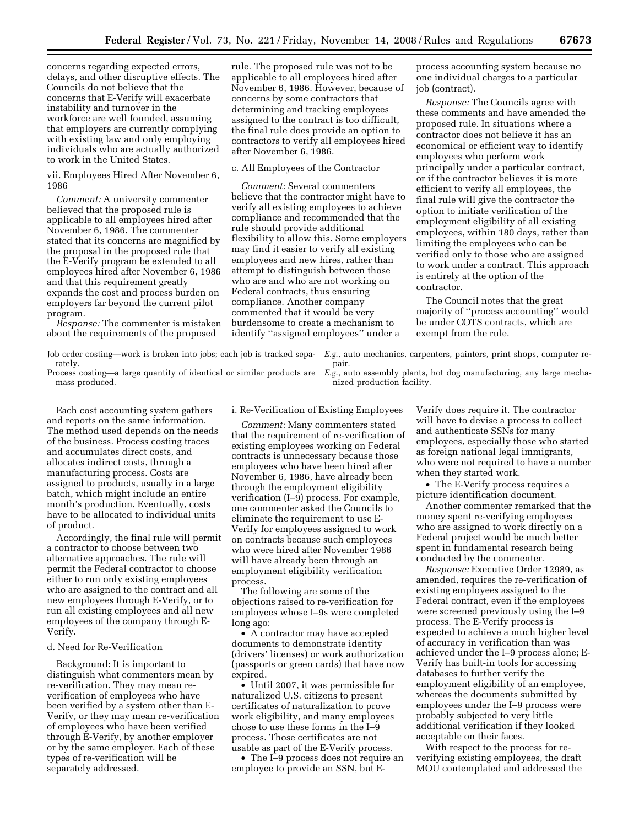concerns regarding expected errors, delays, and other disruptive effects. The Councils do not believe that the concerns that E-Verify will exacerbate instability and turnover in the workforce are well founded, assuming that employers are currently complying with existing law and only employing individuals who are actually authorized to work in the United States.

vii. Employees Hired After November 6, 1986

*Comment:* A university commenter believed that the proposed rule is applicable to all employees hired after November 6, 1986. The commenter stated that its concerns are magnified by the proposal in the proposed rule that the E-Verify program be extended to all employees hired after November 6, 1986 and that this requirement greatly expands the cost and process burden on employers far beyond the current pilot program.

*Response:* The commenter is mistaken about the requirements of the proposed

rule. The proposed rule was not to be applicable to all employees hired after November 6, 1986. However, because of concerns by some contractors that determining and tracking employees assigned to the contract is too difficult, the final rule does provide an option to contractors to verify all employees hired after November 6, 1986.

# c. All Employees of the Contractor

*Comment:* Several commenters believe that the contractor might have to verify all existing employees to achieve compliance and recommended that the rule should provide additional flexibility to allow this. Some employers may find it easier to verify all existing employees and new hires, rather than attempt to distinguish between those who are and who are not working on Federal contracts, thus ensuring compliance. Another company commented that it would be very burdensome to create a mechanism to identify ''assigned employees'' under a

process accounting system because no one individual charges to a particular job (contract).

*Response:* The Councils agree with these comments and have amended the proposed rule. In situations where a contractor does not believe it has an economical or efficient way to identify employees who perform work principally under a particular contract, or if the contractor believes it is more efficient to verify all employees, the final rule will give the contractor the option to initiate verification of the employment eligibility of all existing employees, within 180 days, rather than limiting the employees who can be verified only to those who are assigned to work under a contract. This approach is entirely at the option of the contractor.

The Council notes that the great majority of ''process accounting'' would be under COTS contracts, which are exempt from the rule.

Job order costing—work is broken into jobs; each job is tracked sepa-*E.g*., auto mechanics, carpenters, painters, print shops, computer rerately. pair.

Process costing—a large quantity of identical or similar products are mass produced. *E.g*., auto assembly plants, hot dog manufacturing, any large mechanized production facility.

Each cost accounting system gathers and reports on the same information. The method used depends on the needs of the business. Process costing traces and accumulates direct costs, and allocates indirect costs, through a manufacturing process. Costs are assigned to products, usually in a large batch, which might include an entire month's production. Eventually, costs have to be allocated to individual units of product.

Accordingly, the final rule will permit a contractor to choose between two alternative approaches. The rule will permit the Federal contractor to choose either to run only existing employees who are assigned to the contract and all new employees through E-Verify, or to run all existing employees and all new employees of the company through E-Verify.

# d. Need for Re-Verification

Background: It is important to distinguish what commenters mean by re-verification. They may mean reverification of employees who have been verified by a system other than E-Verify, or they may mean re-verification of employees who have been verified through E-Verify, by another employer or by the same employer. Each of these types of re-verification will be separately addressed.

## i. Re-Verification of Existing Employees

*Comment:* Many commenters stated that the requirement of re-verification of existing employees working on Federal contracts is unnecessary because those employees who have been hired after November 6, 1986, have already been through the employment eligibility verification (I–9) process. For example, one commenter asked the Councils to eliminate the requirement to use E-Verify for employees assigned to work on contracts because such employees who were hired after November 1986 will have already been through an employment eligibility verification process.

The following are some of the objections raised to re-verification for employees whose I–9s were completed long ago:

• A contractor may have accepted documents to demonstrate identity (drivers' licenses) or work authorization (passports or green cards) that have now expired.

• Until 2007, it was permissible for naturalized U.S. citizens to present certificates of naturalization to prove work eligibility, and many employees chose to use these forms in the I–9 process. Those certificates are not usable as part of the E-Verify process.

• The I–9 process does not require an employee to provide an SSN, but E-

Verify does require it. The contractor will have to devise a process to collect and authenticate SSNs for many employees, especially those who started as foreign national legal immigrants, who were not required to have a number when they started work.

• The E-Verify process requires a picture identification document.

Another commenter remarked that the money spent re-verifying employees who are assigned to work directly on a Federal project would be much better spent in fundamental research being conducted by the commenter.

*Response:* Executive Order 12989, as amended, requires the re-verification of existing employees assigned to the Federal contract, even if the employees were screened previously using the I–9 process. The E-Verify process is expected to achieve a much higher level of accuracy in verification than was achieved under the I–9 process alone; E-Verify has built-in tools for accessing databases to further verify the employment eligibility of an employee, whereas the documents submitted by employees under the I–9 process were probably subjected to very little additional verification if they looked acceptable on their faces.

With respect to the process for reverifying existing employees, the draft MOU contemplated and addressed the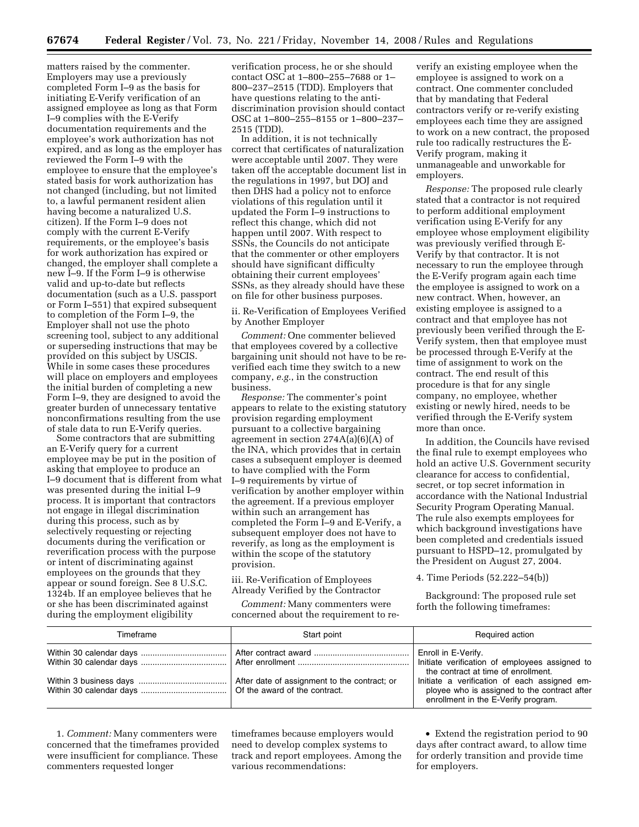matters raised by the commenter. Employers may use a previously completed Form I–9 as the basis for initiating E-Verify verification of an assigned employee as long as that Form I–9 complies with the E-Verify documentation requirements and the employee's work authorization has not expired, and as long as the employer has reviewed the Form I–9 with the employee to ensure that the employee's stated basis for work authorization has not changed (including, but not limited to, a lawful permanent resident alien having become a naturalized U.S. citizen). If the Form I–9 does not comply with the current E-Verify requirements, or the employee's basis for work authorization has expired or changed, the employer shall complete a new I–9. If the Form I–9 is otherwise valid and up-to-date but reflects documentation (such as a U.S. passport or Form I–551) that expired subsequent to completion of the Form I–9, the Employer shall not use the photo screening tool, subject to any additional or superseding instructions that may be provided on this subject by USCIS. While in some cases these procedures will place on employers and employees the initial burden of completing a new Form I–9, they are designed to avoid the greater burden of unnecessary tentative nonconfirmations resulting from the use of stale data to run E-Verify queries.

Some contractors that are submitting an E-Verify query for a current employee may be put in the position of asking that employee to produce an I–9 document that is different from what was presented during the initial I–9 process. It is important that contractors not engage in illegal discrimination during this process, such as by selectively requesting or rejecting documents during the verification or reverification process with the purpose or intent of discriminating against employees on the grounds that they appear or sound foreign. See 8 U.S.C. 1324b. If an employee believes that he or she has been discriminated against during the employment eligibility

verification process, he or she should contact OSC at 1–800–255–7688 or 1– 800–237–2515 (TDD). Employers that have questions relating to the antidiscrimination provision should contact OSC at 1–800–255–8155 or 1–800–237– 2515 (TDD).

In addition, it is not technically correct that certificates of naturalization were acceptable until 2007. They were taken off the acceptable document list in the regulations in 1997, but DOJ and then DHS had a policy not to enforce violations of this regulation until it updated the Form I–9 instructions to reflect this change, which did not happen until 2007. With respect to SSNs, the Councils do not anticipate that the commenter or other employers should have significant difficulty obtaining their current employees' SSNs, as they already should have these on file for other business purposes.

ii. Re-Verification of Employees Verified by Another Employer

*Comment:* One commenter believed that employees covered by a collective bargaining unit should not have to be reverified each time they switch to a new company, *e.g.*, in the construction business.

*Response:* The commenter's point appears to relate to the existing statutory provision regarding employment pursuant to a collective bargaining agreement in section 274A(a)(6)(A) of the INA, which provides that in certain cases a subsequent employer is deemed to have complied with the Form I–9 requirements by virtue of verification by another employer within the agreement. If a previous employer within such an arrangement has completed the Form I–9 and E-Verify, a subsequent employer does not have to reverify, as long as the employment is within the scope of the statutory provision.

iii. Re-Verification of Employees Already Verified by the Contractor

*Comment:* Many commenters were concerned about the requirement to re-

verify an existing employee when the employee is assigned to work on a contract. One commenter concluded that by mandating that Federal contractors verify or re-verify existing employees each time they are assigned to work on a new contract, the proposed rule too radically restructures the E-Verify program, making it unmanageable and unworkable for employers.

*Response:* The proposed rule clearly stated that a contractor is not required to perform additional employment verification using E-Verify for any employee whose employment eligibility was previously verified through E-Verify by that contractor. It is not necessary to run the employee through the E-Verify program again each time the employee is assigned to work on a new contract. When, however, an existing employee is assigned to a contract and that employee has not previously been verified through the E-Verify system, then that employee must be processed through E-Verify at the time of assignment to work on the contract. The end result of this procedure is that for any single company, no employee, whether existing or newly hired, needs to be verified through the E-Verify system more than once.

In addition, the Councils have revised the final rule to exempt employees who hold an active U.S. Government security clearance for access to confidential, secret, or top secret information in accordance with the National Industrial Security Program Operating Manual. The rule also exempts employees for which background investigations have been completed and credentials issued pursuant to HSPD–12, promulgated by the President on August 27, 2004.

4. Time Periods (52.222–54(b))

Background: The proposed rule set forth the following timeframes:

| Timeframe | Start point                                                                   | Required action                                                                                                                     |  |  |
|-----------|-------------------------------------------------------------------------------|-------------------------------------------------------------------------------------------------------------------------------------|--|--|
|           |                                                                               | Enroll in E-Verify.<br>Initiate verification of employees assigned to<br>the contract at time of enrollment.                        |  |  |
|           | After date of assignment to the contract; or<br>Of the award of the contract. | Initiate a verification of each assigned em-<br>ployee who is assigned to the contract after<br>enrollment in the E-Verify program. |  |  |

1. *Comment:* Many commenters were concerned that the timeframes provided were insufficient for compliance. These commenters requested longer

timeframes because employers would need to develop complex systems to track and report employees. Among the various recommendations:

• Extend the registration period to 90 days after contract award, to allow time for orderly transition and provide time for employers.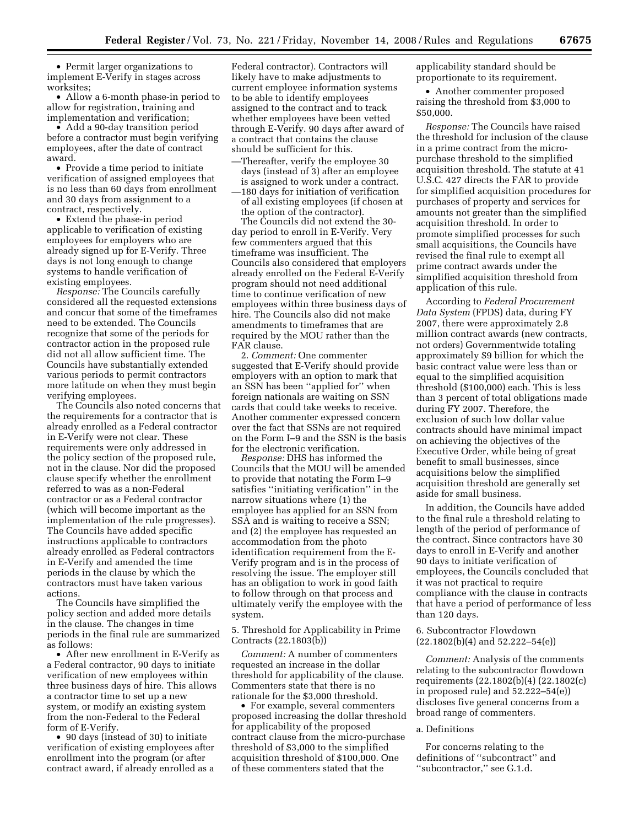• Permit larger organizations to implement E-Verify in stages across worksites;

• Allow a 6-month phase-in period to allow for registration, training and implementation and verification;

• Add a 90-day transition period before a contractor must begin verifying employees, after the date of contract award.

• Provide a time period to initiate verification of assigned employees that is no less than 60 days from enrollment and 30 days from assignment to a contract, respectively.

• Extend the phase-in period applicable to verification of existing employees for employers who are already signed up for E-Verify. Three days is not long enough to change systems to handle verification of existing employees.

*Response:* The Councils carefully considered all the requested extensions and concur that some of the timeframes need to be extended. The Councils recognize that some of the periods for contractor action in the proposed rule did not all allow sufficient time. The Councils have substantially extended various periods to permit contractors more latitude on when they must begin verifying employees.

The Councils also noted concerns that the requirements for a contractor that is already enrolled as a Federal contractor in E-Verify were not clear. These requirements were only addressed in the policy section of the proposed rule, not in the clause. Nor did the proposed clause specify whether the enrollment referred to was as a non-Federal contractor or as a Federal contractor (which will become important as the implementation of the rule progresses). The Councils have added specific instructions applicable to contractors already enrolled as Federal contractors in E-Verify and amended the time periods in the clause by which the contractors must have taken various actions.

The Councils have simplified the policy section and added more details in the clause. The changes in time periods in the final rule are summarized as follows:

• After new enrollment in E-Verify as a Federal contractor, 90 days to initiate verification of new employees within three business days of hire. This allows a contractor time to set up a new system, or modify an existing system from the non-Federal to the Federal form of E-Verify.

• 90 days (instead of 30) to initiate verification of existing employees after enrollment into the program (or after contract award, if already enrolled as a

Federal contractor). Contractors will likely have to make adjustments to current employee information systems to be able to identify employees assigned to the contract and to track whether employees have been vetted through E-Verify. 90 days after award of a contract that contains the clause should be sufficient for this.

- —Thereafter, verify the employee 30 days (instead of 3) after an employee is assigned to work under a contract. —180 days for initiation of verification
- of all existing employees (if chosen at the option of the contractor).

The Councils did not extend the 30 day period to enroll in E-Verify. Very few commenters argued that this timeframe was insufficient. The Councils also considered that employers already enrolled on the Federal E-Verify program should not need additional time to continue verification of new employees within three business days of hire. The Councils also did not make amendments to timeframes that are required by the MOU rather than the FAR clause.

2. *Comment:* One commenter suggested that E-Verify should provide employers with an option to mark that an SSN has been ''applied for'' when foreign nationals are waiting on SSN cards that could take weeks to receive. Another commenter expressed concern over the fact that SSNs are not required on the Form I–9 and the SSN is the basis for the electronic verification.

*Response:* DHS has informed the Councils that the MOU will be amended to provide that notating the Form I–9 satisfies ''initiating verification'' in the narrow situations where (1) the employee has applied for an SSN from SSA and is waiting to receive a SSN; and (2) the employee has requested an accommodation from the photo identification requirement from the E-Verify program and is in the process of resolving the issue. The employer still has an obligation to work in good faith to follow through on that process and ultimately verify the employee with the system.

5. Threshold for Applicability in Prime Contracts (22.1803(b))

*Comment:* A number of commenters requested an increase in the dollar threshold for applicability of the clause. Commenters state that there is no rationale for the \$3,000 threshold.

• For example, several commenters proposed increasing the dollar threshold for applicability of the proposed contract clause from the micro-purchase threshold of \$3,000 to the simplified acquisition threshold of \$100,000. One of these commenters stated that the

applicability standard should be proportionate to its requirement.

• Another commenter proposed raising the threshold from \$3,000 to \$50,000.

*Response:* The Councils have raised the threshold for inclusion of the clause in a prime contract from the micropurchase threshold to the simplified acquisition threshold. The statute at 41 U.S.C. 427 directs the FAR to provide for simplified acquisition procedures for purchases of property and services for amounts not greater than the simplified acquisition threshold. In order to promote simplified processes for such small acquisitions, the Councils have revised the final rule to exempt all prime contract awards under the simplified acquisition threshold from application of this rule.

According to *Federal Procurement Data System* (FPDS) data, during FY 2007, there were approximately 2.8 million contract awards (new contracts, not orders) Governmentwide totaling approximately \$9 billion for which the basic contract value were less than or equal to the simplified acquisition threshold (\$100,000) each. This is less than 3 percent of total obligations made during FY 2007. Therefore, the exclusion of such low dollar value contracts should have minimal impact on achieving the objectives of the Executive Order, while being of great benefit to small businesses, since acquisitions below the simplified acquisition threshold are generally set aside for small business.

In addition, the Councils have added to the final rule a threshold relating to length of the period of performance of the contract. Since contractors have 30 days to enroll in E-Verify and another 90 days to initiate verification of employees, the Councils concluded that it was not practical to require compliance with the clause in contracts that have a period of performance of less than 120 days.

# 6. Subcontractor Flowdown  $(22.1802(b)(4)$  and  $52.222-54(e))$

*Comment:* Analysis of the comments relating to the subcontractor flowdown requirements (22.1802(b)(4) (22.1802(c) in proposed rule) and 52.222–54(e)) discloses five general concerns from a broad range of commenters.

#### a. Definitions

For concerns relating to the definitions of ''subcontract'' and ''subcontractor,'' see G.1.d.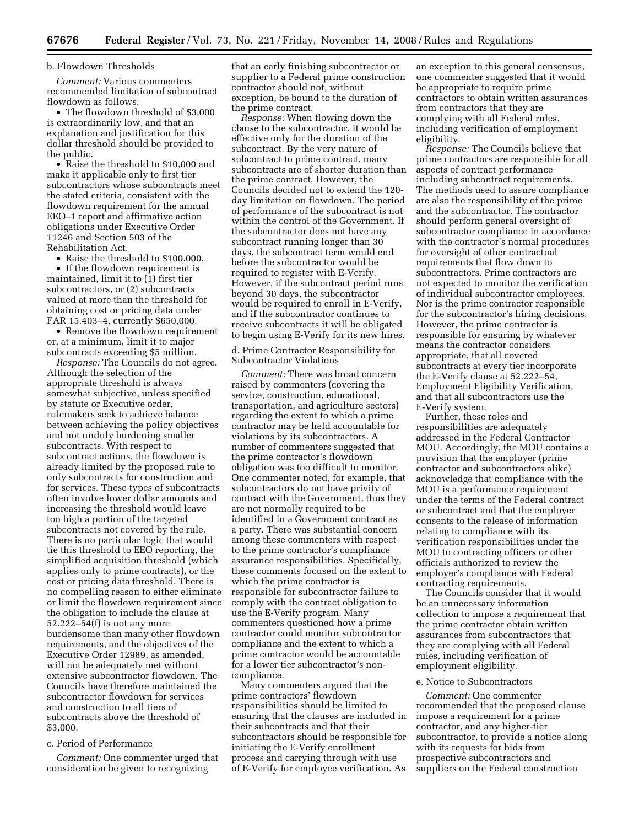# b. Flowdown Thresholds

*Comment:* Various commenters recommended limitation of subcontract flowdown as follows:

• The flowdown threshold of \$3,000 is extraordinarily low, and that an explanation and justification for this dollar threshold should be provided to the public.

• Raise the threshold to \$10,000 and make it applicable only to first tier subcontractors whose subcontracts meet the stated criteria, consistent with the flowdown requirement for the annual EEO–1 report and affirmative action obligations under Executive Order 11246 and Section 503 of the Rehabilitation Act.

• Raise the threshold to \$100,000.

• If the flowdown requirement is maintained, limit it to (1) first tier subcontractors, or (2) subcontracts valued at more than the threshold for obtaining cost or pricing data under FAR 15.403–4, currently \$650,000.

• Remove the flowdown requirement or, at a minimum, limit it to major subcontracts exceeding \$5 million.

*Response:* The Councils do not agree. Although the selection of the appropriate threshold is always somewhat subjective, unless specified by statute or Executive order, rulemakers seek to achieve balance between achieving the policy objectives and not unduly burdening smaller subcontracts. With respect to subcontract actions, the flowdown is already limited by the proposed rule to only subcontracts for construction and for services. These types of subcontracts often involve lower dollar amounts and increasing the threshold would leave too high a portion of the targeted subcontracts not covered by the rule. There is no particular logic that would tie this threshold to EEO reporting, the simplified acquisition threshold (which applies only to prime contracts), or the cost or pricing data threshold. There is no compelling reason to either eliminate or limit the flowdown requirement since the obligation to include the clause at 52.222–54(f) is not any more burdensome than many other flowdown requirements, and the objectives of the Executive Order 12989, as amended, will not be adequately met without extensive subcontractor flowdown. The Councils have therefore maintained the subcontractor flowdown for services and construction to all tiers of subcontracts above the threshold of \$3,000.

# c. Period of Performance

*Comment:* One commenter urged that consideration be given to recognizing

that an early finishing subcontractor or supplier to a Federal prime construction contractor should not, without exception, be bound to the duration of the prime contract.

*Response:* When flowing down the clause to the subcontractor, it would be effective only for the duration of the subcontract. By the very nature of subcontract to prime contract, many subcontracts are of shorter duration than the prime contract. However, the Councils decided not to extend the 120 day limitation on flowdown. The period of performance of the subcontract is not within the control of the Government. If the subcontractor does not have any subcontract running longer than 30 days, the subcontract term would end before the subcontractor would be required to register with E-Verify. However, if the subcontract period runs beyond 30 days, the subcontractor would be required to enroll in E-Verify, and if the subcontractor continues to receive subcontracts it will be obligated to begin using E-Verify for its new hires.

d. Prime Contractor Responsibility for Subcontractor Violations

*Comment:* There was broad concern raised by commenters (covering the service, construction, educational, transportation, and agriculture sectors) regarding the extent to which a prime contractor may be held accountable for violations by its subcontractors. A number of commenters suggested that the prime contractor's flowdown obligation was too difficult to monitor. One commenter noted, for example, that subcontractors do not have privity of contract with the Government, thus they are not normally required to be identified in a Government contract as a party. There was substantial concern among these commenters with respect to the prime contractor's compliance assurance responsibilities. Specifically, these comments focused on the extent to which the prime contractor is responsible for subcontractor failure to comply with the contract obligation to use the E-Verify program. Many commenters questioned how a prime contractor could monitor subcontractor compliance and the extent to which a prime contractor would be accountable for a lower tier subcontractor's noncompliance.

Many commenters argued that the prime contractors' flowdown responsibilities should be limited to ensuring that the clauses are included in their subcontracts and that their subcontractors should be responsible for initiating the E-Verify enrollment process and carrying through with use of E-Verify for employee verification. As

an exception to this general consensus, one commenter suggested that it would be appropriate to require prime contractors to obtain written assurances from contractors that they are complying with all Federal rules, including verification of employment eligibility.

*Response:* The Councils believe that prime contractors are responsible for all aspects of contract performance including subcontract requirements. The methods used to assure compliance are also the responsibility of the prime and the subcontractor. The contractor should perform general oversight of subcontractor compliance in accordance with the contractor's normal procedures for oversight of other contractual requirements that flow down to subcontractors. Prime contractors are not expected to monitor the verification of individual subcontractor employees. Nor is the prime contractor responsible for the subcontractor's hiring decisions. However, the prime contractor is responsible for ensuring by whatever means the contractor considers appropriate, that all covered subcontracts at every tier incorporate the E-Verify clause at 52.222–54, Employment Eligibility Verification, and that all subcontractors use the E-Verify system.

Further, these roles and responsibilities are adequately addressed in the Federal Contractor MOU. Accordingly, the MOU contains a provision that the employer (prime contractor and subcontractors alike) acknowledge that compliance with the MOU is a performance requirement under the terms of the Federal contract or subcontract and that the employer consents to the release of information relating to compliance with its verification responsibilities under the MOU to contracting officers or other officials authorized to review the employer's compliance with Federal contracting requirements.

The Councils consider that it would be an unnecessary information collection to impose a requirement that the prime contractor obtain written assurances from subcontractors that they are complying with all Federal rules, including verification of employment eligibility.

#### e. Notice to Subcontractors

*Comment:* One commenter recommended that the proposed clause impose a requirement for a prime contractor, and any higher-tier subcontractor, to provide a notice along with its requests for bids from prospective subcontractors and suppliers on the Federal construction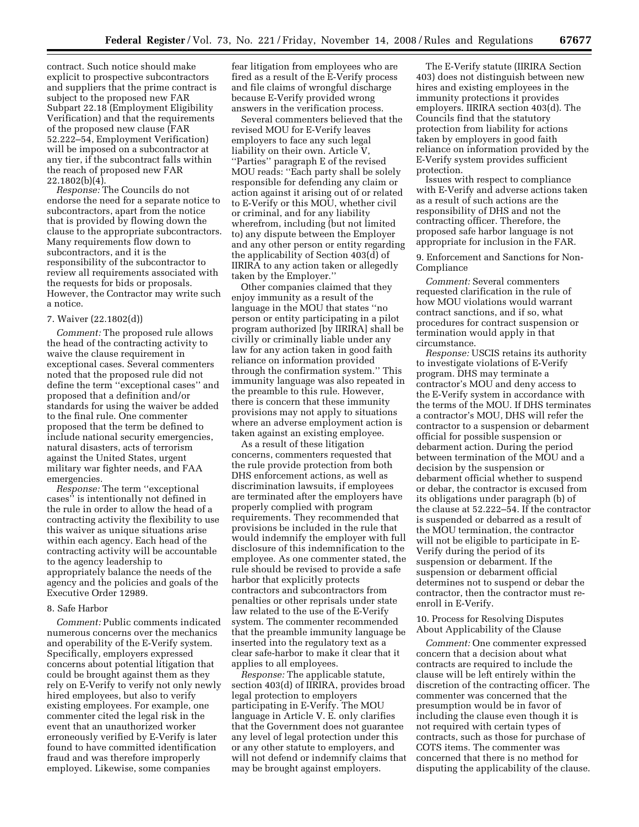contract. Such notice should make explicit to prospective subcontractors and suppliers that the prime contract is subject to the proposed new FAR Subpart 22.18 (Employment Eligibility Verification) and that the requirements of the proposed new clause (FAR 52.222–54, Employment Verification) will be imposed on a subcontractor at any tier, if the subcontract falls within the reach of proposed new FAR 22.1802(b)(4).

*Response:* The Councils do not endorse the need for a separate notice to subcontractors, apart from the notice that is provided by flowing down the clause to the appropriate subcontractors. Many requirements flow down to subcontractors, and it is the responsibility of the subcontractor to review all requirements associated with the requests for bids or proposals. However, the Contractor may write such a notice.

# 7. Waiver (22.1802(d))

*Comment:* The proposed rule allows the head of the contracting activity to waive the clause requirement in exceptional cases. Several commenters noted that the proposed rule did not define the term ''exceptional cases'' and proposed that a definition and/or standards for using the waiver be added to the final rule. One commenter proposed that the term be defined to include national security emergencies, natural disasters, acts of terrorism against the United States, urgent military war fighter needs, and FAA emergencies.

*Response:* The term ''exceptional cases'' is intentionally not defined in the rule in order to allow the head of a contracting activity the flexibility to use this waiver as unique situations arise within each agency. Each head of the contracting activity will be accountable to the agency leadership to appropriately balance the needs of the agency and the policies and goals of the Executive Order 12989.

#### 8. Safe Harbor

*Comment:* Public comments indicated numerous concerns over the mechanics and operability of the E-Verify system. Specifically, employers expressed concerns about potential litigation that could be brought against them as they rely on E-Verify to verify not only newly hired employees, but also to verify existing employees. For example, one commenter cited the legal risk in the event that an unauthorized worker erroneously verified by E-Verify is later found to have committed identification fraud and was therefore improperly employed. Likewise, some companies

fear litigation from employees who are fired as a result of the E-Verify process and file claims of wrongful discharge because E-Verify provided wrong answers in the verification process.

Several commenters believed that the revised MOU for E-Verify leaves employers to face any such legal liability on their own. Article V, ''Parties'' paragraph E of the revised MOU reads: ''Each party shall be solely responsible for defending any claim or action against it arising out of or related to E-Verify or this MOU, whether civil or criminal, and for any liability wherefrom, including (but not limited to) any dispute between the Employer and any other person or entity regarding the applicability of Section 403(d) of IIRIRA to any action taken or allegedly taken by the Employer.''

Other companies claimed that they enjoy immunity as a result of the language in the MOU that states ''no person or entity participating in a pilot program authorized [by IIRIRA] shall be civilly or criminally liable under any law for any action taken in good faith reliance on information provided through the confirmation system.'' This immunity language was also repeated in the preamble to this rule. However, there is concern that these immunity provisions may not apply to situations where an adverse employment action is taken against an existing employee.

As a result of these litigation concerns, commenters requested that the rule provide protection from both DHS enforcement actions, as well as discrimination lawsuits, if employees are terminated after the employers have properly complied with program requirements. They recommended that provisions be included in the rule that would indemnify the employer with full disclosure of this indemnification to the employee. As one commenter stated, the rule should be revised to provide a safe harbor that explicitly protects contractors and subcontractors from penalties or other reprisals under state law related to the use of the E-Verify system. The commenter recommended that the preamble immunity language be inserted into the regulatory text as a clear safe-harbor to make it clear that it applies to all employees.

*Response:* The applicable statute, section 403(d) of IIRIRA, provides broad legal protection to employers participating in E-Verify. The MOU language in Article V. E. only clarifies that the Government does not guarantee any level of legal protection under this or any other statute to employers, and will not defend or indemnify claims that may be brought against employers.

The E-Verify statute (IIRIRA Section 403) does not distinguish between new hires and existing employees in the immunity protections it provides employers. IIRIRA section 403(d). The Councils find that the statutory protection from liability for actions taken by employers in good faith reliance on information provided by the E-Verify system provides sufficient protection.

Issues with respect to compliance with E-Verify and adverse actions taken as a result of such actions are the responsibility of DHS and not the contracting officer. Therefore, the proposed safe harbor language is not appropriate for inclusion in the FAR.

9. Enforcement and Sanctions for Non-Compliance

*Comment:* Several commenters requested clarification in the rule of how MOU violations would warrant contract sanctions, and if so, what procedures for contract suspension or termination would apply in that circumstance.

*Response:* USCIS retains its authority to investigate violations of E-Verify program. DHS may terminate a contractor's MOU and deny access to the E-Verify system in accordance with the terms of the MOU. If DHS terminates a contractor's MOU, DHS will refer the contractor to a suspension or debarment official for possible suspension or debarment action. During the period between termination of the MOU and a decision by the suspension or debarment official whether to suspend or debar, the contractor is excused from its obligations under paragraph (b) of the clause at 52.222–54. If the contractor is suspended or debarred as a result of the MOU termination, the contractor will not be eligible to participate in E-Verify during the period of its suspension or debarment. If the suspension or debarment official determines not to suspend or debar the contractor, then the contractor must reenroll in E-Verify.

10. Process for Resolving Disputes About Applicability of the Clause

*Comment:* One commenter expressed concern that a decision about what contracts are required to include the clause will be left entirely within the discretion of the contracting officer. The commenter was concerned that the presumption would be in favor of including the clause even though it is not required with certain types of contracts, such as those for purchase of COTS items. The commenter was concerned that there is no method for disputing the applicability of the clause.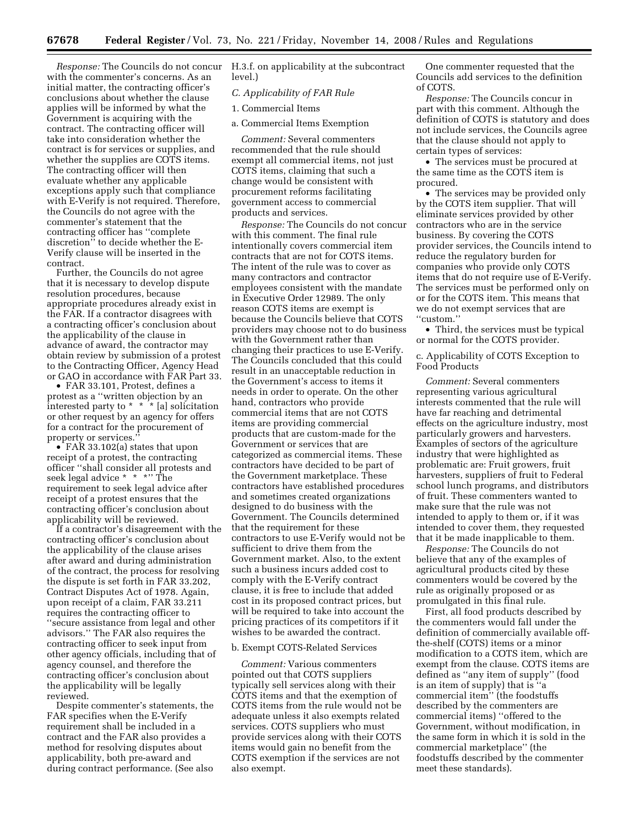with the commenter's concerns. As an initial matter, the contracting officer's conclusions about whether the clause applies will be informed by what the Government is acquiring with the contract. The contracting officer will take into consideration whether the contract is for services or supplies, and whether the supplies are COTS items. The contracting officer will then evaluate whether any applicable exceptions apply such that compliance with E-Verify is not required. Therefore, the Councils do not agree with the commenter's statement that the contracting officer has ''complete discretion'' to decide whether the E-Verify clause will be inserted in the contract.

Further, the Councils do not agree that it is necessary to develop dispute resolution procedures, because appropriate procedures already exist in the FAR. If a contractor disagrees with a contracting officer's conclusion about the applicability of the clause in advance of award, the contractor may obtain review by submission of a protest to the Contracting Officer, Agency Head or GAO in accordance with FAR Part 33.

• FAR 33.101, Protest, defines a protest as a ''written objection by an interested party to \* \* \* [a] solicitation or other request by an agency for offers for a contract for the procurement of property or services."

• FAR 33.102(a) states that upon receipt of a protest, the contracting officer ''shall consider all protests and seek legal advice \* \* \* \* The requirement to seek legal advice after receipt of a protest ensures that the contracting officer's conclusion about applicability will be reviewed.

If a contractor's disagreement with the contracting officer's conclusion about the applicability of the clause arises after award and during administration of the contract, the process for resolving the dispute is set forth in FAR 33.202, Contract Disputes Act of 1978. Again, upon receipt of a claim, FAR 33.211 requires the contracting officer to ''secure assistance from legal and other advisors.'' The FAR also requires the contracting officer to seek input from other agency officials, including that of agency counsel, and therefore the contracting officer's conclusion about the applicability will be legally reviewed.

Despite commenter's statements, the FAR specifies when the E-Verify requirement shall be included in a contract and the FAR also provides a method for resolving disputes about applicability, both pre-award and during contract performance. (See also

*Response:* The Councils do not concur H.3.f. on applicability at the subcontract level.)

*C. Applicability of FAR Rule* 

1. Commercial Items

a. Commercial Items Exemption

*Comment:* Several commenters recommended that the rule should exempt all commercial items, not just COTS items, claiming that such a change would be consistent with procurement reforms facilitating government access to commercial products and services.

*Response:* The Councils do not concur with this comment. The final rule intentionally covers commercial item contracts that are not for COTS items. The intent of the rule was to cover as many contractors and contractor employees consistent with the mandate in Executive Order 12989. The only reason COTS items are exempt is because the Councils believe that COTS providers may choose not to do business with the Government rather than changing their practices to use E-Verify. The Councils concluded that this could result in an unacceptable reduction in the Government's access to items it needs in order to operate. On the other hand, contractors who provide commercial items that are not COTS items are providing commercial products that are custom-made for the Government or services that are categorized as commercial items. These contractors have decided to be part of the Government marketplace. These contractors have established procedures and sometimes created organizations designed to do business with the Government. The Councils determined that the requirement for these contractors to use E-Verify would not be sufficient to drive them from the Government market. Also, to the extent such a business incurs added cost to comply with the E-Verify contract clause, it is free to include that added cost in its proposed contract prices, but will be required to take into account the pricing practices of its competitors if it wishes to be awarded the contract.

# b. Exempt COTS-Related Services

*Comment:* Various commenters pointed out that COTS suppliers typically sell services along with their COTS items and that the exemption of COTS items from the rule would not be adequate unless it also exempts related services. COTS suppliers who must provide services along with their COTS items would gain no benefit from the COTS exemption if the services are not also exempt.

One commenter requested that the Councils add services to the definition of COTS.

*Response:* The Councils concur in part with this comment. Although the definition of COTS is statutory and does not include services, the Councils agree that the clause should not apply to certain types of services:

• The services must be procured at the same time as the COTS item is procured.

• The services may be provided only by the COTS item supplier. That will eliminate services provided by other contractors who are in the service business. By covering the COTS provider services, the Councils intend to reduce the regulatory burden for companies who provide only COTS items that do not require use of E-Verify. The services must be performed only on or for the COTS item. This means that we do not exempt services that are ''custom.''

• Third, the services must be typical or normal for the COTS provider.

c. Applicability of COTS Exception to Food Products

*Comment:* Several commenters representing various agricultural interests commented that the rule will have far reaching and detrimental effects on the agriculture industry, most particularly growers and harvesters. Examples of sectors of the agriculture industry that were highlighted as problematic are: Fruit growers, fruit harvesters, suppliers of fruit to Federal school lunch programs, and distributors of fruit. These commenters wanted to make sure that the rule was not intended to apply to them or, if it was intended to cover them, they requested that it be made inapplicable to them.

*Response:* The Councils do not believe that any of the examples of agricultural products cited by these commenters would be covered by the rule as originally proposed or as promulgated in this final rule.

First, all food products described by the commenters would fall under the definition of commercially available offthe-shelf (COTS) items or a minor modification to a COTS item, which are exempt from the clause. COTS items are defined as ''any item of supply'' (food is an item of supply) that is ''a commercial item'' (the foodstuffs described by the commenters are commercial items) ''offered to the Government, without modification, in the same form in which it is sold in the commercial marketplace'' (the foodstuffs described by the commenter meet these standards).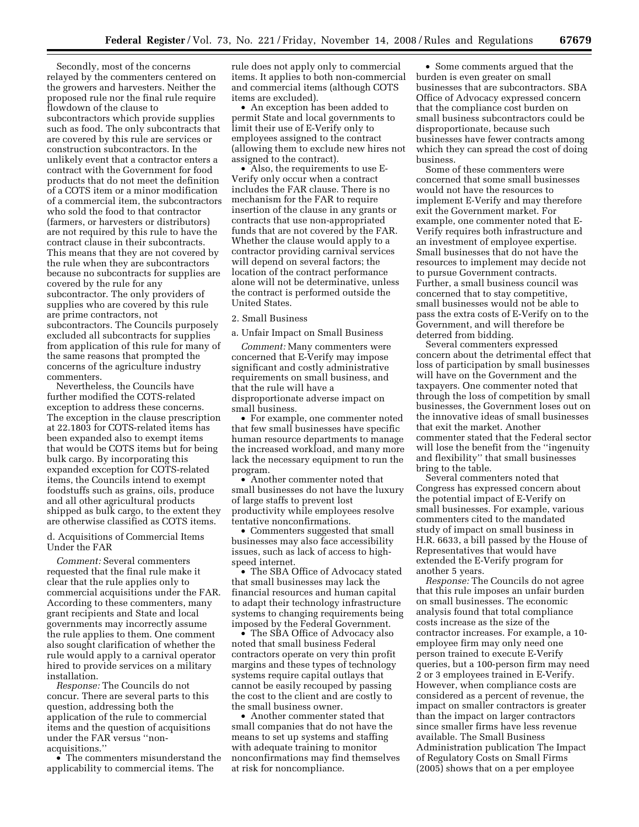Secondly, most of the concerns relayed by the commenters centered on the growers and harvesters. Neither the proposed rule nor the final rule require flowdown of the clause to subcontractors which provide supplies such as food. The only subcontracts that are covered by this rule are services or construction subcontractors. In the unlikely event that a contractor enters a contract with the Government for food products that do not meet the definition of a COTS item or a minor modification of a commercial item, the subcontractors who sold the food to that contractor (farmers, or harvesters or distributors) are not required by this rule to have the contract clause in their subcontracts. This means that they are not covered by the rule when they are subcontractors because no subcontracts for supplies are covered by the rule for any subcontractor. The only providers of supplies who are covered by this rule are prime contractors, not subcontractors. The Councils purposely excluded all subcontracts for supplies from application of this rule for many of the same reasons that prompted the concerns of the agriculture industry commenters.

Nevertheless, the Councils have further modified the COTS-related exception to address these concerns. The exception in the clause prescription at 22.1803 for COTS-related items has been expanded also to exempt items that would be COTS items but for being bulk cargo. By incorporating this expanded exception for COTS-related items, the Councils intend to exempt foodstuffs such as grains, oils, produce and all other agricultural products shipped as bulk cargo, to the extent they are otherwise classified as COTS items.

d. Acquisitions of Commercial Items Under the FAR

*Comment:* Several commenters requested that the final rule make it clear that the rule applies only to commercial acquisitions under the FAR. According to these commenters, many grant recipients and State and local governments may incorrectly assume the rule applies to them. One comment also sought clarification of whether the rule would apply to a carnival operator hired to provide services on a military installation.

*Response:* The Councils do not concur. There are several parts to this question, addressing both the application of the rule to commercial items and the question of acquisitions under the FAR versus ''nonacquisitions.''

• The commenters misunderstand the applicability to commercial items. The

rule does not apply only to commercial items. It applies to both non-commercial and commercial items (although COTS items are excluded).

• An exception has been added to permit State and local governments to limit their use of E-Verify only to employees assigned to the contract (allowing them to exclude new hires not assigned to the contract).

• Also, the requirements to use E-Verify only occur when a contract includes the FAR clause. There is no mechanism for the FAR to require insertion of the clause in any grants or contracts that use non-appropriated funds that are not covered by the FAR. Whether the clause would apply to a contractor providing carnival services will depend on several factors; the location of the contract performance alone will not be determinative, unless the contract is performed outside the United States.

2. Small Business

a. Unfair Impact on Small Business

*Comment:* Many commenters were concerned that E-Verify may impose significant and costly administrative requirements on small business, and that the rule will have a disproportionate adverse impact on small business.

• For example, one commenter noted that few small businesses have specific human resource departments to manage the increased workload, and many more lack the necessary equipment to run the program.

• Another commenter noted that small businesses do not have the luxury of large staffs to prevent lost productivity while employees resolve tentative nonconfirmations.

• Commenters suggested that small businesses may also face accessibility issues, such as lack of access to highspeed internet.

• The SBA Office of Advocacy stated that small businesses may lack the financial resources and human capital to adapt their technology infrastructure systems to changing requirements being imposed by the Federal Government.

• The SBA Office of Advocacy also noted that small business Federal contractors operate on very thin profit margins and these types of technology systems require capital outlays that cannot be easily recouped by passing the cost to the client and are costly to the small business owner.

• Another commenter stated that small companies that do not have the means to set up systems and staffing with adequate training to monitor nonconfirmations may find themselves at risk for noncompliance.

• Some comments argued that the burden is even greater on small businesses that are subcontractors. SBA Office of Advocacy expressed concern that the compliance cost burden on small business subcontractors could be disproportionate, because such businesses have fewer contracts among which they can spread the cost of doing business.

Some of these commenters were concerned that some small businesses would not have the resources to implement E-Verify and may therefore exit the Government market. For example, one commenter noted that E-Verify requires both infrastructure and an investment of employee expertise. Small businesses that do not have the resources to implement may decide not to pursue Government contracts. Further, a small business council was concerned that to stay competitive, small businesses would not be able to pass the extra costs of E-Verify on to the Government, and will therefore be deterred from bidding.

Several commenters expressed concern about the detrimental effect that loss of participation by small businesses will have on the Government and the taxpayers. One commenter noted that through the loss of competition by small businesses, the Government loses out on the innovative ideas of small businesses that exit the market. Another commenter stated that the Federal sector will lose the benefit from the ''ingenuity and flexibility'' that small businesses bring to the table.

Several commenters noted that Congress has expressed concern about the potential impact of E-Verify on small businesses. For example, various commenters cited to the mandated study of impact on small business in H.R. 6633, a bill passed by the House of Representatives that would have extended the E-Verify program for another 5 years.

*Response:* The Councils do not agree that this rule imposes an unfair burden on small businesses. The economic analysis found that total compliance costs increase as the size of the contractor increases. For example, a 10 employee firm may only need one person trained to execute E-Verify queries, but a 100-person firm may need 2 or 3 employees trained in E-Verify. However, when compliance costs are considered as a percent of revenue, the impact on smaller contractors is greater than the impact on larger contractors since smaller firms have less revenue available. The Small Business Administration publication The Impact of Regulatory Costs on Small Firms (2005) shows that on a per employee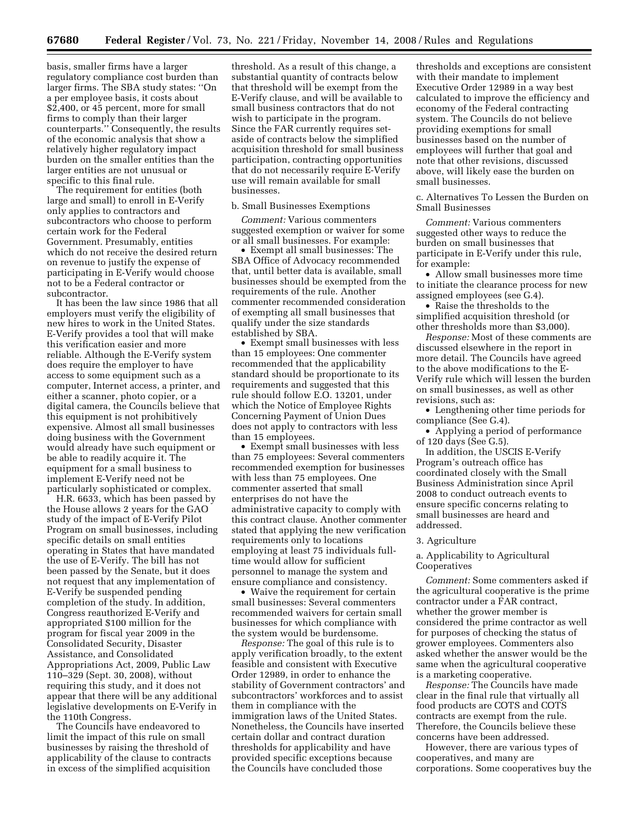basis, smaller firms have a larger regulatory compliance cost burden than larger firms. The SBA study states: ''On a per employee basis, it costs about \$2,400, or 45 percent, more for small firms to comply than their larger counterparts.'' Consequently, the results of the economic analysis that show a relatively higher regulatory impact burden on the smaller entities than the larger entities are not unusual or specific to this final rule.

The requirement for entities (both large and small) to enroll in E-Verify only applies to contractors and subcontractors who choose to perform certain work for the Federal Government. Presumably, entities which do not receive the desired return on revenue to justify the expense of participating in E-Verify would choose not to be a Federal contractor or subcontractor.

It has been the law since 1986 that all employers must verify the eligibility of new hires to work in the United States. E-Verify provides a tool that will make this verification easier and more reliable. Although the E-Verify system does require the employer to have access to some equipment such as a computer, Internet access, a printer, and either a scanner, photo copier, or a digital camera, the Councils believe that this equipment is not prohibitively expensive. Almost all small businesses doing business with the Government would already have such equipment or be able to readily acquire it. The equipment for a small business to implement E-Verify need not be particularly sophisticated or complex.

H.R. 6633, which has been passed by the House allows 2 years for the GAO study of the impact of E-Verify Pilot Program on small businesses, including specific details on small entities operating in States that have mandated the use of E-Verify. The bill has not been passed by the Senate, but it does not request that any implementation of E-Verify be suspended pending completion of the study. In addition, Congress reauthorized E-Verify and appropriated \$100 million for the program for fiscal year 2009 in the Consolidated Security, Disaster Assistance, and Consolidated Appropriations Act, 2009, Public Law 110–329 (Sept. 30, 2008), without requiring this study, and it does not appear that there will be any additional legislative developments on E-Verify in the 110th Congress.

The Councils have endeavored to limit the impact of this rule on small businesses by raising the threshold of applicability of the clause to contracts in excess of the simplified acquisition

threshold. As a result of this change, a substantial quantity of contracts below that threshold will be exempt from the E-Verify clause, and will be available to small business contractors that do not wish to participate in the program. Since the FAR currently requires setaside of contracts below the simplified acquisition threshold for small business participation, contracting opportunities that do not necessarily require E-Verify use will remain available for small businesses.

## b. Small Businesses Exemptions

*Comment:* Various commenters suggested exemption or waiver for some or all small businesses. For example:

• Exempt all small businesses: The SBA Office of Advocacy recommended that, until better data is available, small businesses should be exempted from the requirements of the rule. Another commenter recommended consideration of exempting all small businesses that qualify under the size standards established by SBA.

• Exempt small businesses with less than 15 employees: One commenter recommended that the applicability standard should be proportionate to its requirements and suggested that this rule should follow E.O. 13201, under which the Notice of Employee Rights Concerning Payment of Union Dues does not apply to contractors with less than 15 employees.

• Exempt small businesses with less than 75 employees: Several commenters recommended exemption for businesses with less than 75 employees. One commenter asserted that small enterprises do not have the administrative capacity to comply with this contract clause. Another commenter stated that applying the new verification requirements only to locations employing at least 75 individuals fulltime would allow for sufficient personnel to manage the system and ensure compliance and consistency.

• Waive the requirement for certain small businesses: Several commenters recommended waivers for certain small businesses for which compliance with the system would be burdensome.

*Response:* The goal of this rule is to apply verification broadly, to the extent feasible and consistent with Executive Order 12989, in order to enhance the stability of Government contractors' and subcontractors' workforces and to assist them in compliance with the immigration laws of the United States. Nonetheless, the Councils have inserted certain dollar and contract duration thresholds for applicability and have provided specific exceptions because the Councils have concluded those

thresholds and exceptions are consistent with their mandate to implement Executive Order 12989 in a way best calculated to improve the efficiency and economy of the Federal contracting system. The Councils do not believe providing exemptions for small businesses based on the number of employees will further that goal and note that other revisions, discussed above, will likely ease the burden on small businesses.

c. Alternatives To Lessen the Burden on Small Businesses

*Comment:* Various commenters suggested other ways to reduce the burden on small businesses that participate in E-Verify under this rule, for example:

• Allow small businesses more time to initiate the clearance process for new assigned employees (see G.4).

• Raise the thresholds to the simplified acquisition threshold (or other thresholds more than \$3,000).

*Response:* Most of these comments are discussed elsewhere in the report in more detail. The Councils have agreed to the above modifications to the E-Verify rule which will lessen the burden on small businesses, as well as other revisions, such as:

• Lengthening other time periods for compliance (See G.4).

• Applying a period of performance of 120 days (See G.5).

In addition, the USCIS E-Verify Program's outreach office has coordinated closely with the Small Business Administration since April 2008 to conduct outreach events to ensure specific concerns relating to small businesses are heard and addressed.

#### 3. Agriculture

a. Applicability to Agricultural Cooperatives

*Comment:* Some commenters asked if the agricultural cooperative is the prime contractor under a FAR contract, whether the grower member is considered the prime contractor as well for purposes of checking the status of grower employees. Commenters also asked whether the answer would be the same when the agricultural cooperative is a marketing cooperative.

*Response:* The Councils have made clear in the final rule that virtually all food products are COTS and COTS contracts are exempt from the rule. Therefore, the Councils believe these concerns have been addressed.

However, there are various types of cooperatives, and many are corporations. Some cooperatives buy the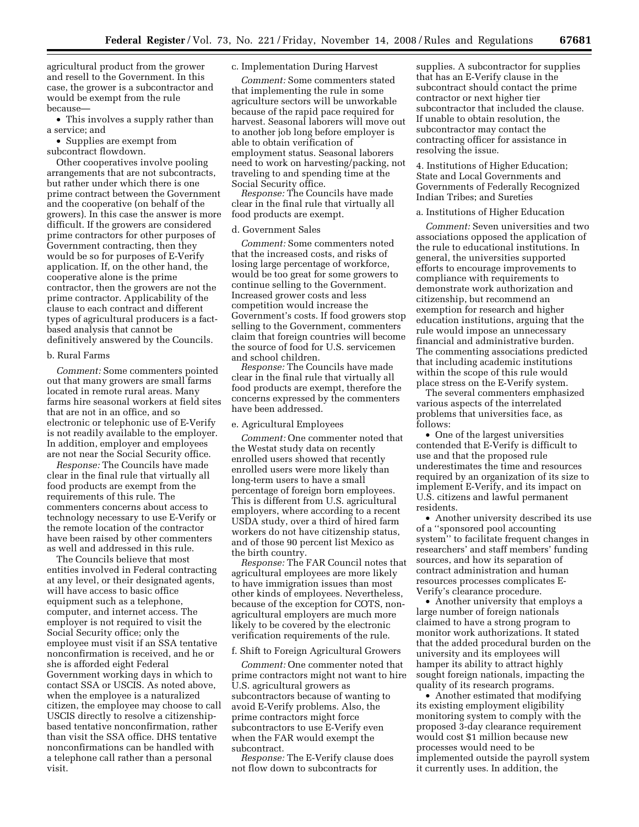agricultural product from the grower and resell to the Government. In this case, the grower is a subcontractor and would be exempt from the rule because—

• This involves a supply rather than a service; and

• Supplies are exempt from

subcontract flowdown.

Other cooperatives involve pooling arrangements that are not subcontracts, but rather under which there is one prime contract between the Government and the cooperative (on behalf of the growers). In this case the answer is more difficult. If the growers are considered prime contractors for other purposes of Government contracting, then they would be so for purposes of E-Verify application. If, on the other hand, the cooperative alone is the prime contractor, then the growers are not the prime contractor. Applicability of the clause to each contract and different types of agricultural producers is a factbased analysis that cannot be definitively answered by the Councils.

#### b. Rural Farms

*Comment:* Some commenters pointed out that many growers are small farms located in remote rural areas. Many farms hire seasonal workers at field sites that are not in an office, and so electronic or telephonic use of E-Verify is not readily available to the employer. In addition, employer and employees are not near the Social Security office.

*Response:* The Councils have made clear in the final rule that virtually all food products are exempt from the requirements of this rule. The commenters concerns about access to technology necessary to use E-Verify or the remote location of the contractor have been raised by other commenters as well and addressed in this rule.

The Councils believe that most entities involved in Federal contracting at any level, or their designated agents, will have access to basic office equipment such as a telephone, computer, and internet access. The employer is not required to visit the Social Security office; only the employee must visit if an SSA tentative nonconfirmation is received, and he or she is afforded eight Federal Government working days in which to contact SSA or USCIS. As noted above, when the employee is a naturalized citizen, the employee may choose to call USCIS directly to resolve a citizenshipbased tentative nonconfirmation, rather than visit the SSA office. DHS tentative nonconfirmations can be handled with a telephone call rather than a personal visit.

# c. Implementation During Harvest

*Comment:* Some commenters stated that implementing the rule in some agriculture sectors will be unworkable because of the rapid pace required for harvest. Seasonal laborers will move out to another job long before employer is able to obtain verification of employment status. Seasonal laborers need to work on harvesting/packing, not traveling to and spending time at the Social Security office.

*Response:* The Councils have made clear in the final rule that virtually all food products are exempt.

# d. Government Sales

*Comment:* Some commenters noted that the increased costs, and risks of losing large percentage of workforce, would be too great for some growers to continue selling to the Government. Increased grower costs and less competition would increase the Government's costs. If food growers stop selling to the Government, commenters claim that foreign countries will become the source of food for U.S. servicemen and school children.

*Response:* The Councils have made clear in the final rule that virtually all food products are exempt, therefore the concerns expressed by the commenters have been addressed.

## e. Agricultural Employees

*Comment:* One commenter noted that the Westat study data on recently enrolled users showed that recently enrolled users were more likely than long-term users to have a small percentage of foreign born employees. This is different from U.S. agricultural employers, where according to a recent USDA study, over a third of hired farm workers do not have citizenship status, and of those 90 percent list Mexico as the birth country.

*Response:* The FAR Council notes that agricultural employees are more likely to have immigration issues than most other kinds of employees. Nevertheless, because of the exception for COTS, nonagricultural employers are much more likely to be covered by the electronic verification requirements of the rule.

#### f. Shift to Foreign Agricultural Growers

*Comment:* One commenter noted that prime contractors might not want to hire U.S. agricultural growers as subcontractors because of wanting to avoid E-Verify problems. Also, the prime contractors might force subcontractors to use E-Verify even when the FAR would exempt the subcontract.

*Response:* The E-Verify clause does not flow down to subcontracts for

supplies. A subcontractor for supplies that has an E-Verify clause in the subcontract should contact the prime contractor or next higher tier subcontractor that included the clause. If unable to obtain resolution, the subcontractor may contact the contracting officer for assistance in resolving the issue.

4. Institutions of Higher Education; State and Local Governments and Governments of Federally Recognized Indian Tribes; and Sureties

## a. Institutions of Higher Education

*Comment:* Seven universities and two associations opposed the application of the rule to educational institutions. In general, the universities supported efforts to encourage improvements to compliance with requirements to demonstrate work authorization and citizenship, but recommend an exemption for research and higher education institutions, arguing that the rule would impose an unnecessary financial and administrative burden. The commenting associations predicted that including academic institutions within the scope of this rule would place stress on the E-Verify system.

The several commenters emphasized various aspects of the interrelated problems that universities face, as follows:

• One of the largest universities contended that E-Verify is difficult to use and that the proposed rule underestimates the time and resources required by an organization of its size to implement E-Verify, and its impact on U.S. citizens and lawful permanent residents.

• Another university described its use of a ''sponsored pool accounting system'' to facilitate frequent changes in researchers' and staff members' funding sources, and how its separation of contract administration and human resources processes complicates E-Verify's clearance procedure.

• Another university that employs a large number of foreign nationals claimed to have a strong program to monitor work authorizations. It stated that the added procedural burden on the university and its employees will hamper its ability to attract highly sought foreign nationals, impacting the quality of its research programs.

• Another estimated that modifying its existing employment eligibility monitoring system to comply with the proposed 3-day clearance requirement would cost \$1 million because new processes would need to be implemented outside the payroll system it currently uses. In addition, the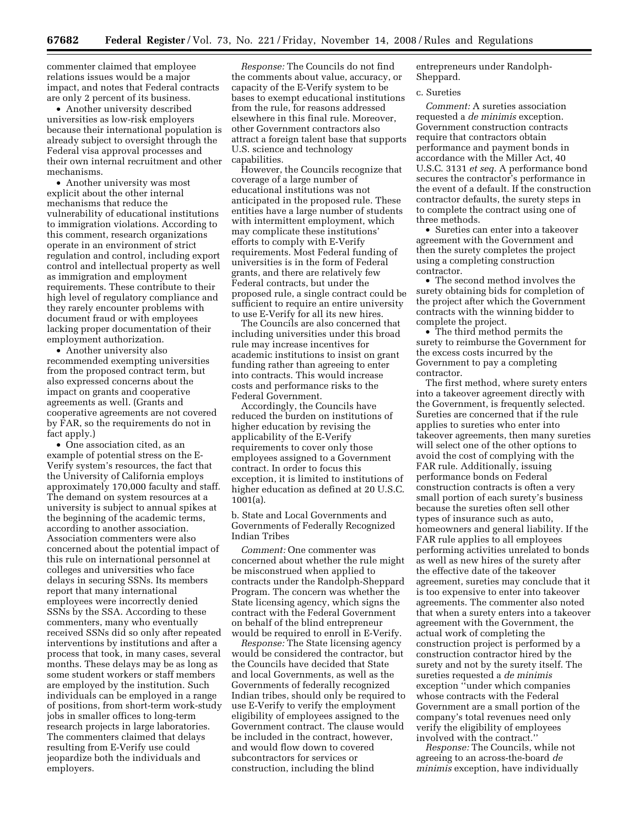commenter claimed that employee relations issues would be a major impact, and notes that Federal contracts are only 2 percent of its business.

• Another university described universities as low-risk employers because their international population is already subject to oversight through the Federal visa approval processes and their own internal recruitment and other mechanisms.

• Another university was most explicit about the other internal mechanisms that reduce the vulnerability of educational institutions to immigration violations. According to this comment, research organizations operate in an environment of strict regulation and control, including export control and intellectual property as well as immigration and employment requirements. These contribute to their high level of regulatory compliance and they rarely encounter problems with document fraud or with employees lacking proper documentation of their employment authorization.

• Another university also recommended exempting universities from the proposed contract term, but also expressed concerns about the impact on grants and cooperative agreements as well. (Grants and cooperative agreements are not covered by FAR, so the requirements do not in fact apply.)

• One association cited, as an example of potential stress on the E-Verify system's resources, the fact that the University of California employs approximately 170,000 faculty and staff. The demand on system resources at a university is subject to annual spikes at the beginning of the academic terms, according to another association. Association commenters were also concerned about the potential impact of this rule on international personnel at colleges and universities who face delays in securing SSNs. Its members report that many international employees were incorrectly denied SSNs by the SSA. According to these commenters, many who eventually received SSNs did so only after repeated interventions by institutions and after a process that took, in many cases, several months. These delays may be as long as some student workers or staff members are employed by the institution. Such individuals can be employed in a range of positions, from short-term work-study jobs in smaller offices to long-term research projects in large laboratories. The commenters claimed that delays resulting from E-Verify use could jeopardize both the individuals and employers.

*Response:* The Councils do not find the comments about value, accuracy, or capacity of the E-Verify system to be bases to exempt educational institutions from the rule, for reasons addressed elsewhere in this final rule. Moreover, other Government contractors also attract a foreign talent base that supports U.S. science and technology capabilities.

However, the Councils recognize that coverage of a large number of educational institutions was not anticipated in the proposed rule. These entities have a large number of students with intermittent employment, which may complicate these institutions' efforts to comply with E-Verify requirements. Most Federal funding of universities is in the form of Federal grants, and there are relatively few Federal contracts, but under the proposed rule, a single contract could be sufficient to require an entire university to use E-Verify for all its new hires.

The Councils are also concerned that including universities under this broad rule may increase incentives for academic institutions to insist on grant funding rather than agreeing to enter into contracts. This would increase costs and performance risks to the Federal Government.

Accordingly, the Councils have reduced the burden on institutions of higher education by revising the applicability of the E-Verify requirements to cover only those employees assigned to a Government contract. In order to focus this exception, it is limited to institutions of higher education as defined at 20 U.S.C. 1001(a).

b. State and Local Governments and Governments of Federally Recognized Indian Tribes

*Comment:* One commenter was concerned about whether the rule might be misconstrued when applied to contracts under the Randolph-Sheppard Program. The concern was whether the State licensing agency, which signs the contract with the Federal Government on behalf of the blind entrepreneur would be required to enroll in E-Verify.

*Response:* The State licensing agency would be considered the contractor, but the Councils have decided that State and local Governments, as well as the Governments of federally recognized Indian tribes, should only be required to use E-Verify to verify the employment eligibility of employees assigned to the Government contract. The clause would be included in the contract, however, and would flow down to covered subcontractors for services or construction, including the blind

entrepreneurs under Randolph-Sheppard.

#### c. Sureties

*Comment:* A sureties association requested a *de minimis* exception. Government construction contracts require that contractors obtain performance and payment bonds in accordance with the Miller Act, 40 U.S.C. 3131 *et seq.* A performance bond secures the contractor's performance in the event of a default. If the construction contractor defaults, the surety steps in to complete the contract using one of three methods.

• Sureties can enter into a takeover agreement with the Government and then the surety completes the project using a completing construction contractor.

• The second method involves the surety obtaining bids for completion of the project after which the Government contracts with the winning bidder to complete the project.

• The third method permits the surety to reimburse the Government for the excess costs incurred by the Government to pay a completing contractor.

The first method, where surety enters into a takeover agreement directly with the Government, is frequently selected. Sureties are concerned that if the rule applies to sureties who enter into takeover agreements, then many sureties will select one of the other options to avoid the cost of complying with the FAR rule. Additionally, issuing performance bonds on Federal construction contracts is often a very small portion of each surety's business because the sureties often sell other types of insurance such as auto, homeowners and general liability. If the FAR rule applies to all employees performing activities unrelated to bonds as well as new hires of the surety after the effective date of the takeover agreement, sureties may conclude that it is too expensive to enter into takeover agreements. The commenter also noted that when a surety enters into a takeover agreement with the Government, the actual work of completing the construction project is performed by a construction contractor hired by the surety and not by the surety itself. The sureties requested a *de minimis*  exception ''under which companies whose contracts with the Federal Government are a small portion of the company's total revenues need only verify the eligibility of employees involved with the contract.''

*Response:* The Councils, while not agreeing to an across-the-board *de minimis* exception, have individually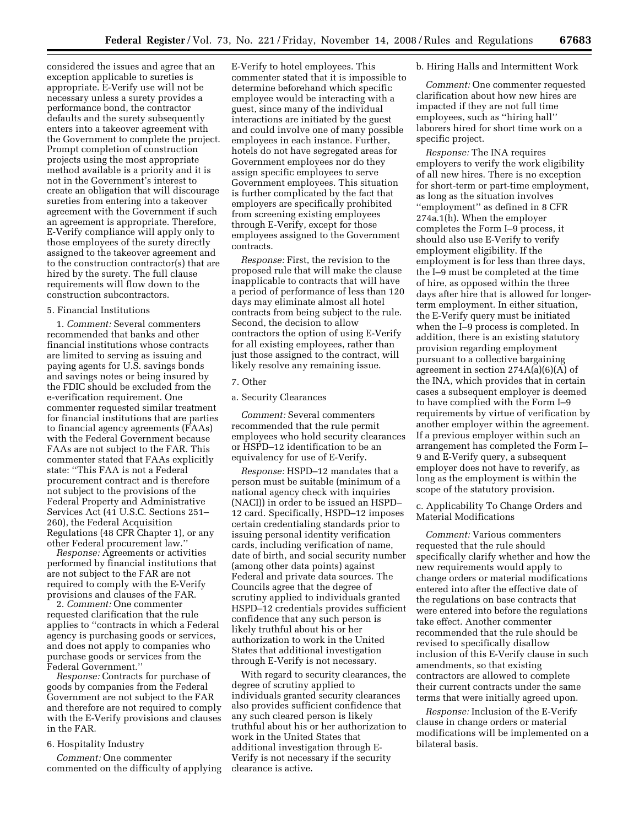considered the issues and agree that an exception applicable to sureties is appropriate. E-Verify use will not be necessary unless a surety provides a performance bond, the contractor defaults and the surety subsequently enters into a takeover agreement with the Government to complete the project. Prompt completion of construction projects using the most appropriate method available is a priority and it is not in the Government's interest to create an obligation that will discourage sureties from entering into a takeover agreement with the Government if such an agreement is appropriate. Therefore, E-Verify compliance will apply only to those employees of the surety directly assigned to the takeover agreement and to the construction contractor(s) that are hired by the surety. The full clause requirements will flow down to the construction subcontractors.

# 5. Financial Institutions

1. *Comment:* Several commenters recommended that banks and other financial institutions whose contracts are limited to serving as issuing and paying agents for U.S. savings bonds and savings notes or being insured by the FDIC should be excluded from the e-verification requirement. One commenter requested similar treatment for financial institutions that are parties to financial agency agreements (FAAs) with the Federal Government because FAAs are not subject to the FAR. This commenter stated that FAAs explicitly state: ''This FAA is not a Federal procurement contract and is therefore not subject to the provisions of the Federal Property and Administrative Services Act (41 U.S.C. Sections 251– 260), the Federal Acquisition Regulations (48 CFR Chapter 1), or any other Federal procurement law.''

*Response:* Agreements or activities performed by financial institutions that are not subject to the FAR are not required to comply with the E-Verify provisions and clauses of the FAR.

2. *Comment:* One commenter requested clarification that the rule applies to ''contracts in which a Federal agency is purchasing goods or services, and does not apply to companies who purchase goods or services from the Federal Government.''

*Response:* Contracts for purchase of goods by companies from the Federal Government are not subject to the FAR and therefore are not required to comply with the E-Verify provisions and clauses in the FAR.

# 6. Hospitality Industry

*Comment:* One commenter commented on the difficulty of applying

E-Verify to hotel employees. This commenter stated that it is impossible to determine beforehand which specific employee would be interacting with a guest, since many of the individual interactions are initiated by the guest and could involve one of many possible employees in each instance. Further, hotels do not have segregated areas for Government employees nor do they assign specific employees to serve Government employees. This situation is further complicated by the fact that employers are specifically prohibited from screening existing employees through E-Verify, except for those employees assigned to the Government contracts.

*Response:* First, the revision to the proposed rule that will make the clause inapplicable to contracts that will have a period of performance of less than 120 days may eliminate almost all hotel contracts from being subject to the rule. Second, the decision to allow contractors the option of using E-Verify for all existing employees, rather than just those assigned to the contract, will likely resolve any remaining issue.

#### 7. Other

# a. Security Clearances

*Comment:* Several commenters recommended that the rule permit employees who hold security clearances or HSPD–12 identification to be an equivalency for use of E-Verify.

*Response:* HSPD–12 mandates that a person must be suitable (minimum of a national agency check with inquiries (NACI)) in order to be issued an HSPD– 12 card. Specifically, HSPD–12 imposes certain credentialing standards prior to issuing personal identity verification cards, including verification of name, date of birth, and social security number (among other data points) against Federal and private data sources. The Councils agree that the degree of scrutiny applied to individuals granted HSPD–12 credentials provides sufficient confidence that any such person is likely truthful about his or her authorization to work in the United States that additional investigation through E-Verify is not necessary.

With regard to security clearances, the degree of scrutiny applied to individuals granted security clearances also provides sufficient confidence that any such cleared person is likely truthful about his or her authorization to work in the United States that additional investigation through E-Verify is not necessary if the security clearance is active.

#### b. Hiring Halls and Intermittent Work

*Comment:* One commenter requested clarification about how new hires are impacted if they are not full time employees, such as ''hiring hall'' laborers hired for short time work on a specific project.

*Response:* The INA requires employers to verify the work eligibility of all new hires. There is no exception for short-term or part-time employment, as long as the situation involves ''employment'' as defined in 8 CFR 274a.1(h). When the employer completes the Form I–9 process, it should also use E-Verify to verify employment eligibility. If the employment is for less than three days, the I–9 must be completed at the time of hire, as opposed within the three days after hire that is allowed for longerterm employment. In either situation, the E-Verify query must be initiated when the I–9 process is completed. In addition, there is an existing statutory provision regarding employment pursuant to a collective bargaining agreement in section  $274A(a)(6)(A)$  of the INA, which provides that in certain cases a subsequent employer is deemed to have complied with the Form I–9 requirements by virtue of verification by another employer within the agreement. If a previous employer within such an arrangement has completed the Form I– 9 and E-Verify query, a subsequent employer does not have to reverify, as long as the employment is within the scope of the statutory provision.

c. Applicability To Change Orders and Material Modifications

*Comment:* Various commenters requested that the rule should specifically clarify whether and how the new requirements would apply to change orders or material modifications entered into after the effective date of the regulations on base contracts that were entered into before the regulations take effect. Another commenter recommended that the rule should be revised to specifically disallow inclusion of this E-Verify clause in such amendments, so that existing contractors are allowed to complete their current contracts under the same terms that were initially agreed upon.

*Response:* Inclusion of the E-Verify clause in change orders or material modifications will be implemented on a bilateral basis.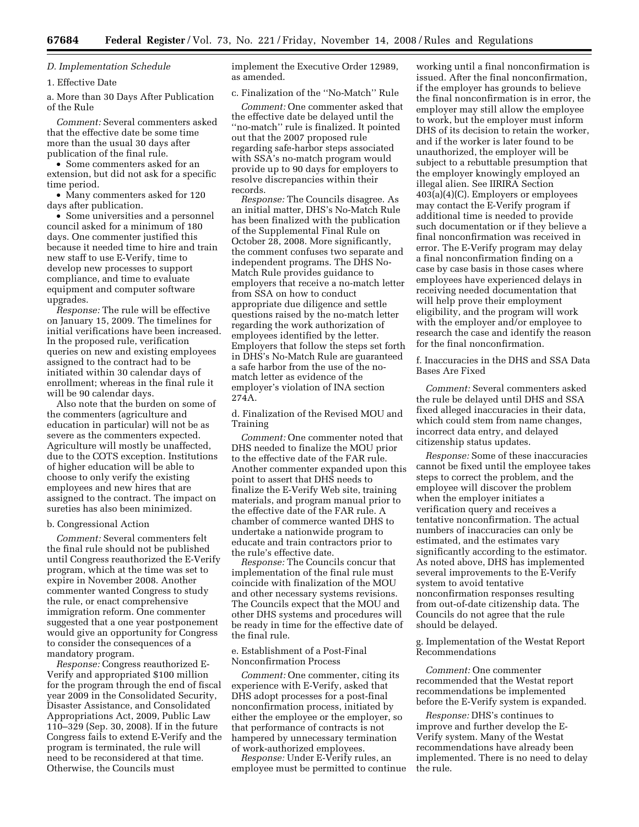*D. Implementation Schedule* 

1. Effective Date

a. More than 30 Days After Publication of the Rule

*Comment:* Several commenters asked that the effective date be some time more than the usual 30 days after publication of the final rule.

• Some commenters asked for an extension, but did not ask for a specific time period.

• Many commenters asked for 120 days after publication.

• Some universities and a personnel council asked for a minimum of 180 days. One commenter justified this because it needed time to hire and train new staff to use E-Verify, time to develop new processes to support compliance, and time to evaluate equipment and computer software upgrades.

*Response:* The rule will be effective on January 15, 2009. The timelines for initial verifications have been increased. In the proposed rule, verification queries on new and existing employees assigned to the contract had to be initiated within 30 calendar days of enrollment; whereas in the final rule it will be 90 calendar days.

Also note that the burden on some of the commenters (agriculture and education in particular) will not be as severe as the commenters expected. Agriculture will mostly be unaffected, due to the COTS exception. Institutions of higher education will be able to choose to only verify the existing employees and new hires that are assigned to the contract. The impact on sureties has also been minimized.

# b. Congressional Action

*Comment:* Several commenters felt the final rule should not be published until Congress reauthorized the E-Verify program, which at the time was set to expire in November 2008. Another commenter wanted Congress to study the rule, or enact comprehensive immigration reform. One commenter suggested that a one year postponement would give an opportunity for Congress to consider the consequences of a mandatory program.

*Response:* Congress reauthorized E-Verify and appropriated \$100 million for the program through the end of fiscal year 2009 in the Consolidated Security, Disaster Assistance, and Consolidated Appropriations Act, 2009, Public Law 110–329 (Sep. 30, 2008). If in the future Congress fails to extend E-Verify and the program is terminated, the rule will need to be reconsidered at that time. Otherwise, the Councils must

implement the Executive Order 12989, as amended.

c. Finalization of the ''No-Match'' Rule

*Comment:* One commenter asked that the effective date be delayed until the ''no-match'' rule is finalized. It pointed out that the 2007 proposed rule regarding safe-harbor steps associated with SSA's no-match program would provide up to 90 days for employers to resolve discrepancies within their records.

*Response:* The Councils disagree. As an initial matter, DHS's No-Match Rule has been finalized with the publication of the Supplemental Final Rule on October 28, 2008. More significantly, the comment confuses two separate and independent programs. The DHS No-Match Rule provides guidance to employers that receive a no-match letter from SSA on how to conduct appropriate due diligence and settle questions raised by the no-match letter regarding the work authorization of employees identified by the letter. Employers that follow the steps set forth in DHS's No-Match Rule are guaranteed a safe harbor from the use of the nomatch letter as evidence of the employer's violation of INA section 274A.

d. Finalization of the Revised MOU and Training

*Comment:* One commenter noted that DHS needed to finalize the MOU prior to the effective date of the FAR rule. Another commenter expanded upon this point to assert that DHS needs to finalize the E-Verify Web site, training materials, and program manual prior to the effective date of the FAR rule. A chamber of commerce wanted DHS to undertake a nationwide program to educate and train contractors prior to the rule's effective date.

*Response:* The Councils concur that implementation of the final rule must coincide with finalization of the MOU and other necessary systems revisions. The Councils expect that the MOU and other DHS systems and procedures will be ready in time for the effective date of the final rule.

# e. Establishment of a Post-Final Nonconfirmation Process

*Comment:* One commenter, citing its experience with E-Verify, asked that DHS adopt processes for a post-final nonconfirmation process, initiated by either the employee or the employer, so that performance of contracts is not hampered by unnecessary termination of work-authorized employees.

*Response:* Under E-Verify rules, an employee must be permitted to continue

working until a final nonconfirmation is issued. After the final nonconfirmation, if the employer has grounds to believe the final nonconfirmation is in error, the employer may still allow the employee to work, but the employer must inform DHS of its decision to retain the worker, and if the worker is later found to be unauthorized, the employer will be subject to a rebuttable presumption that the employer knowingly employed an illegal alien. See IIRIRA Section 403(a)(4)(C). Employers or employees may contact the E-Verify program if additional time is needed to provide such documentation or if they believe a final nonconfirmation was received in error. The E-Verify program may delay a final nonconfirmation finding on a case by case basis in those cases where employees have experienced delays in receiving needed documentation that will help prove their employment eligibility, and the program will work with the employer and/or employee to research the case and identify the reason for the final nonconfirmation.

f. Inaccuracies in the DHS and SSA Data Bases Are Fixed

*Comment:* Several commenters asked the rule be delayed until DHS and SSA fixed alleged inaccuracies in their data, which could stem from name changes, incorrect data entry, and delayed citizenship status updates.

*Response:* Some of these inaccuracies cannot be fixed until the employee takes steps to correct the problem, and the employee will discover the problem when the employer initiates a verification query and receives a tentative nonconfirmation. The actual numbers of inaccuracies can only be estimated, and the estimates vary significantly according to the estimator. As noted above, DHS has implemented several improvements to the E-Verify system to avoid tentative nonconfirmation responses resulting from out-of-date citizenship data. The Councils do not agree that the rule should be delayed.

g. Implementation of the Westat Report Recommendations

*Comment:* One commenter recommended that the Westat report recommendations be implemented before the E-Verify system is expanded.

*Response:* DHS's continues to improve and further develop the E-Verify system. Many of the Westat recommendations have already been implemented. There is no need to delay the rule.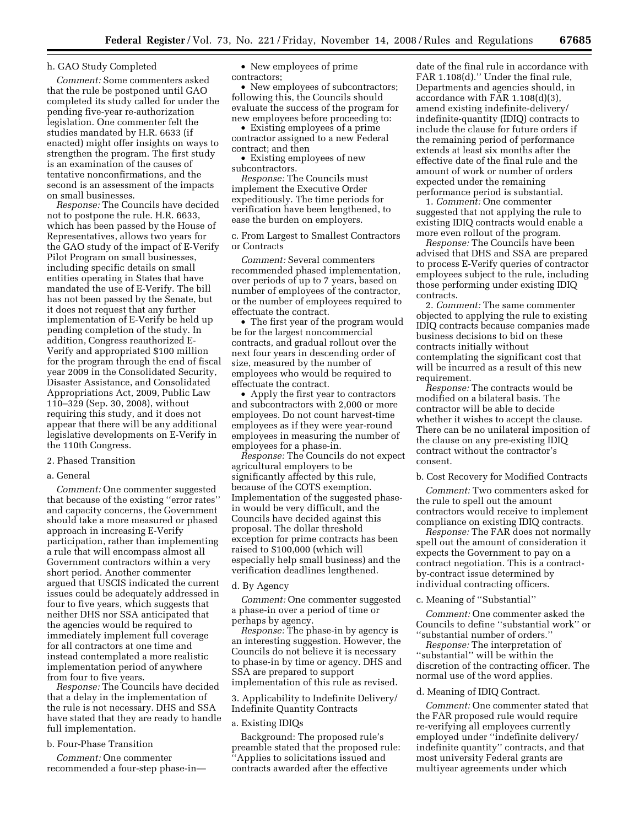## h. GAO Study Completed

*Comment:* Some commenters asked that the rule be postponed until GAO completed its study called for under the pending five-year re-authorization legislation. One commenter felt the studies mandated by H.R. 6633 (if enacted) might offer insights on ways to strengthen the program. The first study is an examination of the causes of tentative nonconfirmations, and the second is an assessment of the impacts on small businesses.

*Response:* The Councils have decided not to postpone the rule. H.R. 6633, which has been passed by the House of Representatives, allows two years for the GAO study of the impact of E-Verify Pilot Program on small businesses, including specific details on small entities operating in States that have mandated the use of E-Verify. The bill has not been passed by the Senate, but it does not request that any further implementation of E-Verify be held up pending completion of the study. In addition, Congress reauthorized E-Verify and appropriated \$100 million for the program through the end of fiscal year 2009 in the Consolidated Security, Disaster Assistance, and Consolidated Appropriations Act, 2009, Public Law 110–329 (Sep. 30, 2008), without requiring this study, and it does not appear that there will be any additional legislative developments on E-Verify in the 110th Congress.

## 2. Phased Transition

# a. General

*Comment:* One commenter suggested that because of the existing ''error rates'' and capacity concerns, the Government should take a more measured or phased approach in increasing E-Verify participation, rather than implementing a rule that will encompass almost all Government contractors within a very short period. Another commenter argued that USCIS indicated the current issues could be adequately addressed in four to five years, which suggests that neither DHS nor SSA anticipated that the agencies would be required to immediately implement full coverage for all contractors at one time and instead contemplated a more realistic implementation period of anywhere from four to five years.

*Response:* The Councils have decided that a delay in the implementation of the rule is not necessary. DHS and SSA have stated that they are ready to handle full implementation.

# b. Four-Phase Transition

*Comment:* One commenter recommended a four-step phase-in—

• New employees of prime contractors;

• New employees of subcontractors; following this, the Councils should evaluate the success of the program for new employees before proceeding to:

• Existing employees of a prime contractor assigned to a new Federal contract; and then

• Existing employees of new subcontractors.

*Response:* The Councils must implement the Executive Order expeditiously. The time periods for verification have been lengthened, to ease the burden on employers.

c. From Largest to Smallest Contractors or Contracts

*Comment:* Several commenters recommended phased implementation, over periods of up to 7 years, based on number of employees of the contractor, or the number of employees required to effectuate the contract.

• The first year of the program would be for the largest noncommercial contracts, and gradual rollout over the next four years in descending order of size, measured by the number of employees who would be required to effectuate the contract.

• Apply the first year to contractors and subcontractors with 2,000 or more employees. Do not count harvest-time employees as if they were year-round employees in measuring the number of employees for a phase-in.

*Response:* The Councils do not expect agricultural employers to be significantly affected by this rule, because of the COTS exemption. Implementation of the suggested phasein would be very difficult, and the Councils have decided against this proposal. The dollar threshold exception for prime contracts has been raised to \$100,000 (which will especially help small business) and the verification deadlines lengthened.

#### d. By Agency

*Comment:* One commenter suggested a phase-in over a period of time or perhaps by agency.

*Response:* The phase-in by agency is an interesting suggestion. However, the Councils do not believe it is necessary to phase-in by time or agency. DHS and SSA are prepared to support implementation of this rule as revised.

3. Applicability to Indefinite Delivery/ Indefinite Quantity Contracts

#### a. Existing IDIQs

Background: The proposed rule's preamble stated that the proposed rule: ''Applies to solicitations issued and contracts awarded after the effective

date of the final rule in accordance with FAR 1.108(d).'' Under the final rule, Departments and agencies should, in accordance with FAR 1.108(d)(3), amend existing indefinite-delivery/ indefinite-quantity (IDIQ) contracts to include the clause for future orders if the remaining period of performance extends at least six months after the effective date of the final rule and the amount of work or number of orders expected under the remaining performance period is substantial.

1. *Comment:* One commenter suggested that not applying the rule to existing IDIQ contracts would enable a more even rollout of the program.

*Response:* The Councils have been advised that DHS and SSA are prepared to process E-Verify queries of contractor employees subject to the rule, including those performing under existing IDIQ contracts.

2. *Comment:* The same commenter objected to applying the rule to existing IDIQ contracts because companies made business decisions to bid on these contracts initially without contemplating the significant cost that will be incurred as a result of this new requirement.

*Response:* The contracts would be modified on a bilateral basis. The contractor will be able to decide whether it wishes to accept the clause. There can be no unilateral imposition of the clause on any pre-existing IDIQ contract without the contractor's consent.

b. Cost Recovery for Modified Contracts

*Comment:* Two commenters asked for the rule to spell out the amount contractors would receive to implement compliance on existing IDIQ contracts.

*Response:* The FAR does not normally spell out the amount of consideration it expects the Government to pay on a contract negotiation. This is a contractby-contract issue determined by individual contracting officers.

#### c. Meaning of ''Substantial''

*Comment:* One commenter asked the Councils to define ''substantial work'' or ''substantial number of orders.''

*Response:* The interpretation of ''substantial'' will be within the discretion of the contracting officer. The normal use of the word applies.

#### d. Meaning of IDIQ Contract.

*Comment:* One commenter stated that the FAR proposed rule would require re-verifying all employees currently employed under ''indefinite delivery/ indefinite quantity'' contracts, and that most university Federal grants are multiyear agreements under which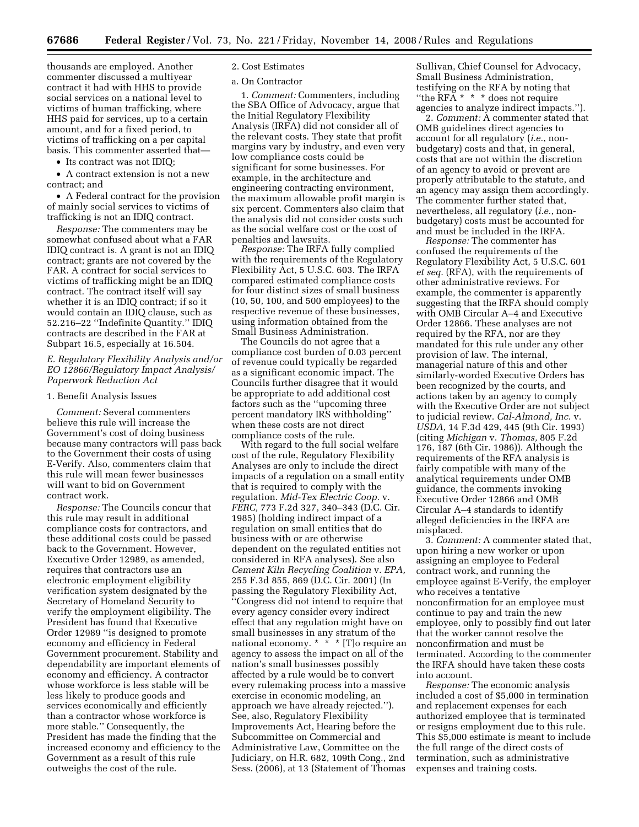thousands are employed. Another commenter discussed a multiyear contract it had with HHS to provide social services on a national level to victims of human trafficking, where HHS paid for services, up to a certain amount, and for a fixed period, to victims of trafficking on a per capital basis. This commenter asserted that—

• Its contract was not IDIQ;

• A contract extension is not a new contract; and

• A Federal contract for the provision of mainly social services to victims of trafficking is not an IDIQ contract.

*Response:* The commenters may be somewhat confused about what a FAR IDIQ contract is. A grant is not an IDIQ contract; grants are not covered by the FAR. A contract for social services to victims of trafficking might be an IDIQ contract. The contract itself will say whether it is an IDIQ contract; if so it would contain an IDIQ clause, such as 52.216–22 ''Indefinite Quantity.'' IDIQ contracts are described in the FAR at Subpart 16.5, especially at 16.504.

# *E. Regulatory Flexibility Analysis and/or EO 12866/Regulatory Impact Analysis/ Paperwork Reduction Act*

## 1. Benefit Analysis Issues

*Comment:* Several commenters believe this rule will increase the Government's cost of doing business because many contractors will pass back to the Government their costs of using E-Verify. Also, commenters claim that this rule will mean fewer businesses will want to bid on Government contract work.

*Response:* The Councils concur that this rule may result in additional compliance costs for contractors, and these additional costs could be passed back to the Government. However, Executive Order 12989, as amended, requires that contractors use an electronic employment eligibility verification system designated by the Secretary of Homeland Security to verify the employment eligibility. The President has found that Executive Order 12989 ''is designed to promote economy and efficiency in Federal Government procurement. Stability and dependability are important elements of economy and efficiency. A contractor whose workforce is less stable will be less likely to produce goods and services economically and efficiently than a contractor whose workforce is more stable.'' Consequently, the President has made the finding that the increased economy and efficiency to the Government as a result of this rule outweighs the cost of the rule.

# 2. Cost Estimates

#### a. On Contractor

1. *Comment:* Commenters, including the SBA Office of Advocacy, argue that the Initial Regulatory Flexibility Analysis (IRFA) did not consider all of the relevant costs. They state that profit margins vary by industry, and even very low compliance costs could be significant for some businesses. For example, in the architecture and engineering contracting environment, the maximum allowable profit margin is six percent. Commenters also claim that the analysis did not consider costs such as the social welfare cost or the cost of penalties and lawsuits.

*Response:* The IRFA fully complied with the requirements of the Regulatory Flexibility Act, 5 U.S.C. 603. The IRFA compared estimated compliance costs for four distinct sizes of small business (10, 50, 100, and 500 employees) to the respective revenue of these businesses, using information obtained from the Small Business Administration.

The Councils do not agree that a compliance cost burden of 0.03 percent of revenue could typically be regarded as a significant economic impact. The Councils further disagree that it would be appropriate to add additional cost factors such as the ''upcoming three percent mandatory IRS withholding'' when these costs are not direct compliance costs of the rule.

With regard to the full social welfare cost of the rule, Regulatory Flexibility Analyses are only to include the direct impacts of a regulation on a small entity that is required to comply with the regulation. *Mid-Tex Electric Coop.* v. *FERC,* 773 F.2d 327, 340–343 (D.C. Cir. 1985) (holding indirect impact of a regulation on small entities that do business with or are otherwise dependent on the regulated entities not considered in RFA analyses). See also *Cement Kiln Recycling Coalition* v. *EPA,*  255 F.3d 855, 869 (D.C. Cir. 2001) (In passing the Regulatory Flexibility Act, ''Congress did not intend to require that every agency consider every indirect effect that any regulation might have on small businesses in any stratum of the national economy. \* \* \* [T]o require an agency to assess the impact on all of the nation's small businesses possibly affected by a rule would be to convert every rulemaking process into a massive exercise in economic modeling, an approach we have already rejected.''). See, also, Regulatory Flexibility Improvements Act, Hearing before the Subcommittee on Commercial and Administrative Law, Committee on the Judiciary, on H.R. 682, 109th Cong., 2nd Sess. (2006), at 13 (Statement of Thomas

Sullivan, Chief Counsel for Advocacy, Small Business Administration, testifying on the RFA by noting that ''the RFA \* \* \* does not require agencies to analyze indirect impacts.'').

2. *Comment:* A commenter stated that OMB guidelines direct agencies to account for all regulatory (*i.e.*, nonbudgetary) costs and that, in general, costs that are not within the discretion of an agency to avoid or prevent are properly attributable to the statute, and an agency may assign them accordingly. The commenter further stated that, nevertheless, all regulatory (*i.e.*, nonbudgetary) costs must be accounted for and must be included in the IRFA.

*Response:* The commenter has confused the requirements of the Regulatory Flexibility Act, 5 U.S.C. 601 *et seq.* (RFA), with the requirements of other administrative reviews. For example, the commenter is apparently suggesting that the IRFA should comply with OMB Circular A–4 and Executive Order 12866. These analyses are not required by the RFA, nor are they mandated for this rule under any other provision of law. The internal, managerial nature of this and other similarly-worded Executive Orders has been recognized by the courts, and actions taken by an agency to comply with the Executive Order are not subject to judicial review. *Cal-Almond, Inc*. v. *USDA,* 14 F.3d 429, 445 (9th Cir. 1993) (citing *Michigan* v. *Thomas,* 805 F.2d 176, 187 (6th Cir. 1986)). Although the requirements of the RFA analysis is fairly compatible with many of the analytical requirements under OMB guidance, the comments invoking Executive Order 12866 and OMB Circular A–4 standards to identify alleged deficiencies in the IRFA are misplaced.

3. *Comment:* A commenter stated that, upon hiring a new worker or upon assigning an employee to Federal contract work, and running the employee against E-Verify, the employer who receives a tentative nonconfirmation for an employee must continue to pay and train the new employee, only to possibly find out later that the worker cannot resolve the nonconfirmation and must be terminated. According to the commenter the IRFA should have taken these costs into account.

*Response:* The economic analysis included a cost of \$5,000 in termination and replacement expenses for each authorized employee that is terminated or resigns employment due to this rule. This \$5,000 estimate is meant to include the full range of the direct costs of termination, such as administrative expenses and training costs.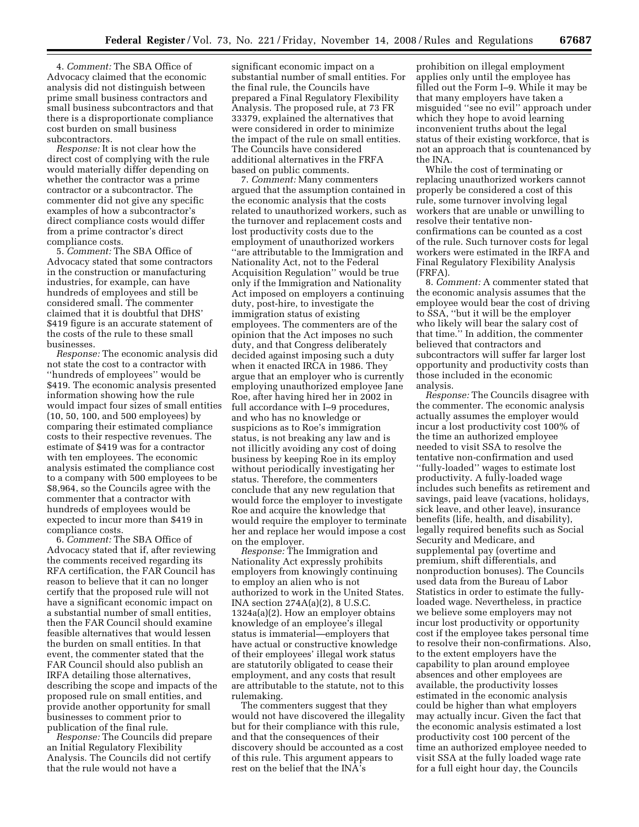4. *Comment:* The SBA Office of Advocacy claimed that the economic analysis did not distinguish between prime small business contractors and small business subcontractors and that there is a disproportionate compliance cost burden on small business subcontractors.

*Response:* It is not clear how the direct cost of complying with the rule would materially differ depending on whether the contractor was a prime contractor or a subcontractor. The commenter did not give any specific examples of how a subcontractor's direct compliance costs would differ from a prime contractor's direct compliance costs.

5. *Comment:* The SBA Office of Advocacy stated that some contractors in the construction or manufacturing industries, for example, can have hundreds of employees and still be considered small. The commenter claimed that it is doubtful that DHS' \$419 figure is an accurate statement of the costs of the rule to these small businesses.

*Response:* The economic analysis did not state the cost to a contractor with ''hundreds of employees'' would be \$419. The economic analysis presented information showing how the rule would impact four sizes of small entities (10, 50, 100, and 500 employees) by comparing their estimated compliance costs to their respective revenues. The estimate of \$419 was for a contractor with ten employees. The economic analysis estimated the compliance cost to a company with 500 employees to be \$8,964, so the Councils agree with the commenter that a contractor with hundreds of employees would be expected to incur more than \$419 in compliance costs.

6. *Comment:* The SBA Office of Advocacy stated that if, after reviewing the comments received regarding its RFA certification, the FAR Council has reason to believe that it can no longer certify that the proposed rule will not have a significant economic impact on a substantial number of small entities, then the FAR Council should examine feasible alternatives that would lessen the burden on small entities. In that event, the commenter stated that the FAR Council should also publish an IRFA detailing those alternatives, describing the scope and impacts of the proposed rule on small entities, and provide another opportunity for small businesses to comment prior to publication of the final rule.

*Response:* The Councils did prepare an Initial Regulatory Flexibility Analysis. The Councils did not certify that the rule would not have a

significant economic impact on a substantial number of small entities. For the final rule, the Councils have prepared a Final Regulatory Flexibility Analysis. The proposed rule, at 73 FR 33379, explained the alternatives that were considered in order to minimize the impact of the rule on small entities. The Councils have considered additional alternatives in the FRFA based on public comments.

7. *Comment:* Many commenters argued that the assumption contained in the economic analysis that the costs related to unauthorized workers, such as the turnover and replacement costs and lost productivity costs due to the employment of unauthorized workers ''are attributable to the Immigration and Nationality Act, not to the Federal Acquisition Regulation'' would be true only if the Immigration and Nationality Act imposed on employers a continuing duty, post-hire, to investigate the immigration status of existing employees. The commenters are of the opinion that the Act imposes no such duty, and that Congress deliberately decided against imposing such a duty when it enacted IRCA in 1986. They argue that an employer who is currently employing unauthorized employee Jane Roe, after having hired her in 2002 in full accordance with I–9 procedures, and who has no knowledge or suspicions as to Roe's immigration status, is not breaking any law and is not illicitly avoiding any cost of doing business by keeping Roe in its employ without periodically investigating her status. Therefore, the commenters conclude that any new regulation that would force the employer to investigate Roe and acquire the knowledge that would require the employer to terminate her and replace her would impose a cost on the employer.

*Response:* The Immigration and Nationality Act expressly prohibits employers from knowingly continuing to employ an alien who is not authorized to work in the United States. INA section 274A(a)(2), 8 U.S.C. 1324a(a)(2). How an employer obtains knowledge of an employee's illegal status is immaterial—employers that have actual or constructive knowledge of their employees' illegal work status are statutorily obligated to cease their employment, and any costs that result are attributable to the statute, not to this rulemaking.

The commenters suggest that they would not have discovered the illegality but for their compliance with this rule, and that the consequences of their discovery should be accounted as a cost of this rule. This argument appears to rest on the belief that the INA's

prohibition on illegal employment applies only until the employee has filled out the Form I–9. While it may be that many employers have taken a misguided ''see no evil'' approach under which they hope to avoid learning inconvenient truths about the legal status of their existing workforce, that is not an approach that is countenanced by the INA.

While the cost of terminating or replacing unauthorized workers cannot properly be considered a cost of this rule, some turnover involving legal workers that are unable or unwilling to resolve their tentative nonconfirmations can be counted as a cost of the rule. Such turnover costs for legal workers were estimated in the IRFA and Final Regulatory Flexibility Analysis (FRFA).

8. *Comment:* A commenter stated that the economic analysis assumes that the employee would bear the cost of driving to SSA, ''but it will be the employer who likely will bear the salary cost of that time.'' In addition, the commenter believed that contractors and subcontractors will suffer far larger lost opportunity and productivity costs than those included in the economic analysis.

*Response:* The Councils disagree with the commenter. The economic analysis actually assumes the employer would incur a lost productivity cost 100% of the time an authorized employee needed to visit SSA to resolve the tentative non-confirmation and used ''fully-loaded'' wages to estimate lost productivity. A fully-loaded wage includes such benefits as retirement and savings, paid leave (vacations, holidays, sick leave, and other leave), insurance benefits (life, health, and disability), legally required benefits such as Social Security and Medicare, and supplemental pay (overtime and premium, shift differentials, and nonproduction bonuses). The Councils used data from the Bureau of Labor Statistics in order to estimate the fullyloaded wage. Nevertheless, in practice we believe some employers may not incur lost productivity or opportunity cost if the employee takes personal time to resolve their non-confirmations. Also, to the extent employers have the capability to plan around employee absences and other employees are available, the productivity losses estimated in the economic analysis could be higher than what employers may actually incur. Given the fact that the economic analysis estimated a lost productivity cost 100 percent of the time an authorized employee needed to visit SSA at the fully loaded wage rate for a full eight hour day, the Councils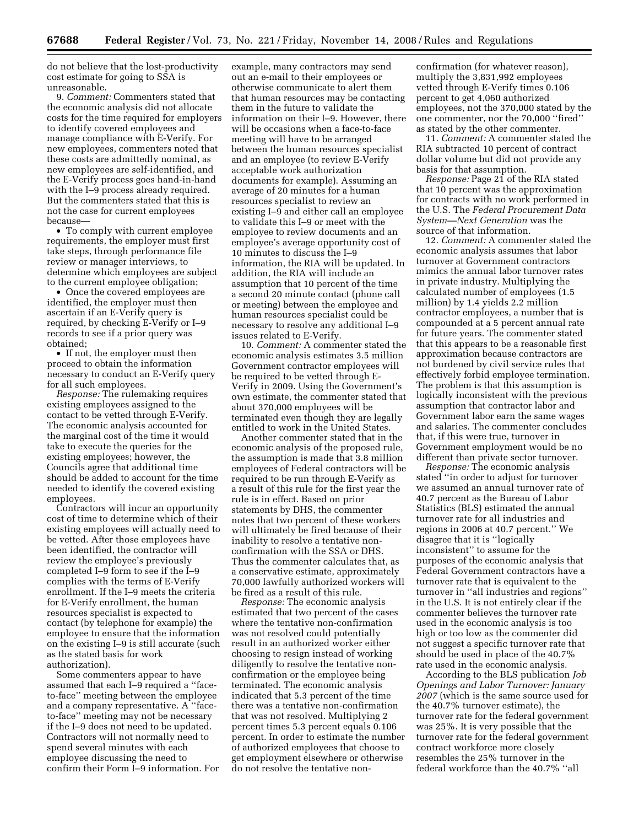do not believe that the lost-productivity cost estimate for going to SSA is unreasonable.

9. *Comment:* Commenters stated that the economic analysis did not allocate costs for the time required for employers to identify covered employees and manage compliance with E-Verify. For new employees, commenters noted that these costs are admittedly nominal, as new employees are self-identified, and the E-Verify process goes hand-in-hand with the I–9 process already required. But the commenters stated that this is not the case for current employees because—

• To comply with current employee requirements, the employer must first take steps, through performance file review or manager interviews, to determine which employees are subject to the current employee obligation;

• Once the covered employees are identified, the employer must then ascertain if an E-Verify query is required, by checking E-Verify or I–9 records to see if a prior query was obtained;

• If not, the employer must then proceed to obtain the information necessary to conduct an E-Verify query for all such employees.

*Response:* The rulemaking requires existing employees assigned to the contact to be vetted through E-Verify. The economic analysis accounted for the marginal cost of the time it would take to execute the queries for the existing employees; however, the Councils agree that additional time should be added to account for the time needed to identify the covered existing employees.

Contractors will incur an opportunity cost of time to determine which of their existing employees will actually need to be vetted. After those employees have been identified, the contractor will review the employee's previously completed I–9 form to see if the I–9 complies with the terms of E-Verify enrollment. If the I–9 meets the criteria for E-Verify enrollment, the human resources specialist is expected to contact (by telephone for example) the employee to ensure that the information on the existing I–9 is still accurate (such as the stated basis for work authorization).

Some commenters appear to have assumed that each I–9 required a ''faceto-face'' meeting between the employee and a company representative. A ''faceto-face'' meeting may not be necessary if the I–9 does not need to be updated. Contractors will not normally need to spend several minutes with each employee discussing the need to confirm their Form I–9 information. For

example, many contractors may send out an e-mail to their employees or otherwise communicate to alert them that human resources may be contacting them in the future to validate the information on their I–9. However, there will be occasions when a face-to-face meeting will have to be arranged between the human resources specialist and an employee (to review E-Verify acceptable work authorization documents for example). Assuming an average of 20 minutes for a human resources specialist to review an existing I–9 and either call an employee to validate this I–9 or meet with the employee to review documents and an employee's average opportunity cost of 10 minutes to discuss the I–9 information, the RIA will be updated. In addition, the RIA will include an assumption that 10 percent of the time a second 20 minute contact (phone call or meeting) between the employee and human resources specialist could be necessary to resolve any additional I–9 issues related to E-Verify.

10. *Comment:* A commenter stated the economic analysis estimates 3.5 million Government contractor employees will be required to be vetted through E-Verify in 2009. Using the Government's own estimate, the commenter stated that about 370,000 employees will be terminated even though they are legally entitled to work in the United States.

Another commenter stated that in the economic analysis of the proposed rule, the assumption is made that 3.8 million employees of Federal contractors will be required to be run through E-Verify as a result of this rule for the first year the rule is in effect. Based on prior statements by DHS, the commenter notes that two percent of these workers will ultimately be fired because of their inability to resolve a tentative nonconfirmation with the SSA or DHS. Thus the commenter calculates that, as a conservative estimate, approximately 70,000 lawfully authorized workers will be fired as a result of this rule.

*Response:* The economic analysis estimated that two percent of the cases where the tentative non-confirmation was not resolved could potentially result in an authorized worker either choosing to resign instead of working diligently to resolve the tentative nonconfirmation or the employee being terminated. The economic analysis indicated that 5.3 percent of the time there was a tentative non-confirmation that was not resolved. Multiplying 2 percent times 5.3 percent equals 0.106 percent. In order to estimate the number of authorized employees that choose to get employment elsewhere or otherwise do not resolve the tentative nonconfirmation (for whatever reason), multiply the 3,831,992 employees vetted through E-Verify times 0.106 percent to get 4,060 authorized employees, not the 370,000 stated by the one commenter, nor the 70,000 ''fired'' as stated by the other commenter.

11. *Comment:* A commenter stated the RIA subtracted 10 percent of contract dollar volume but did not provide any basis for that assumption.

*Response:* Page 21 of the RIA stated that 10 percent was the approximation for contracts with no work performed in the U.S. The *Federal Procurement Data System—Next Generation* was the source of that information.

12. *Comment:* A commenter stated the economic analysis assumes that labor turnover at Government contractors mimics the annual labor turnover rates in private industry. Multiplying the calculated number of employees (1.5 million) by 1.4 yields 2.2 million contractor employees, a number that is compounded at a 5 percent annual rate for future years. The commenter stated that this appears to be a reasonable first approximation because contractors are not burdened by civil service rules that effectively forbid employee termination. The problem is that this assumption is logically inconsistent with the previous assumption that contractor labor and Government labor earn the same wages and salaries. The commenter concludes that, if this were true, turnover in Government employment would be no different than private sector turnover.

*Response:* The economic analysis stated ''in order to adjust for turnover we assumed an annual turnover rate of 40.7 percent as the Bureau of Labor Statistics (BLS) estimated the annual turnover rate for all industries and regions in 2006 at 40.7 percent.'' We disagree that it is ''logically inconsistent'' to assume for the purposes of the economic analysis that Federal Government contractors have a turnover rate that is equivalent to the turnover in ''all industries and regions'' in the U.S. It is not entirely clear if the commenter believes the turnover rate used in the economic analysis is too high or too low as the commenter did not suggest a specific turnover rate that should be used in place of the 40.7% rate used in the economic analysis.

According to the BLS publication *Job Openings and Labor Turnover: January 2007* (which is the same source used for the 40.7% turnover estimate), the turnover rate for the federal government was 25%. It is very possible that the turnover rate for the federal government contract workforce more closely resembles the 25% turnover in the federal workforce than the 40.7% ''all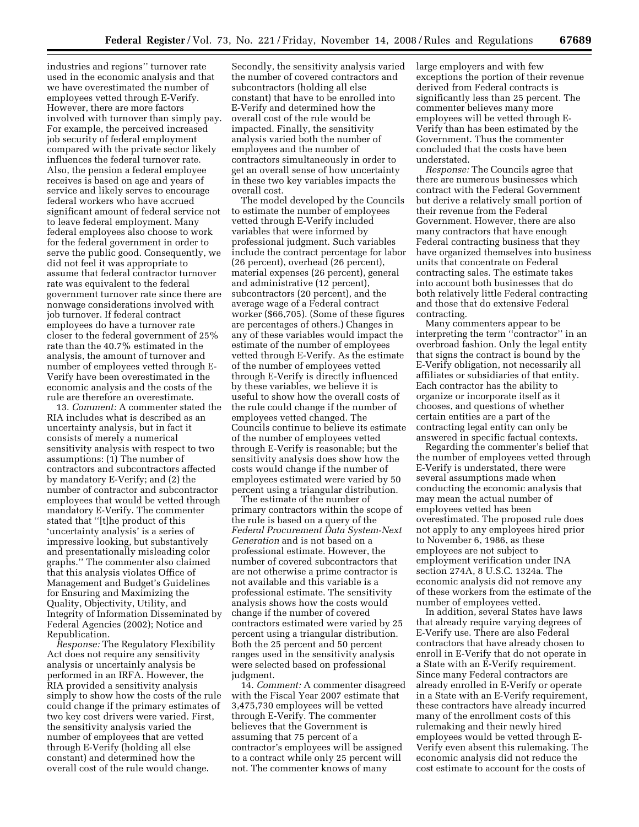industries and regions'' turnover rate used in the economic analysis and that we have overestimated the number of employees vetted through E-Verify. However, there are more factors involved with turnover than simply pay. For example, the perceived increased job security of federal employment compared with the private sector likely influences the federal turnover rate. Also, the pension a federal employee receives is based on age and years of service and likely serves to encourage federal workers who have accrued significant amount of federal service not to leave federal employment. Many federal employees also choose to work for the federal government in order to serve the public good. Consequently, we did not feel it was appropriate to assume that federal contractor turnover rate was equivalent to the federal government turnover rate since there are nonwage considerations involved with job turnover. If federal contract employees do have a turnover rate closer to the federal government of 25% rate than the 40.7% estimated in the analysis, the amount of turnover and number of employees vetted through E-Verify have been overestimated in the economic analysis and the costs of the rule are therefore an overestimate.

13. *Comment:* A commenter stated the RIA includes what is described as an uncertainty analysis, but in fact it consists of merely a numerical sensitivity analysis with respect to two assumptions: (1) The number of contractors and subcontractors affected by mandatory E-Verify; and (2) the number of contractor and subcontractor employees that would be vetted through mandatory E-Verify. The commenter stated that ''[t]he product of this 'uncertainty analysis' is a series of impressive looking, but substantively and presentationally misleading color graphs.'' The commenter also claimed that this analysis violates Office of Management and Budget's Guidelines for Ensuring and Maximizing the Quality, Objectivity, Utility, and Integrity of Information Disseminated by Federal Agencies (2002); Notice and Republication.

*Response:* The Regulatory Flexibility Act does not require any sensitivity analysis or uncertainly analysis be performed in an IRFA. However, the RIA provided a sensitivity analysis simply to show how the costs of the rule could change if the primary estimates of two key cost drivers were varied. First, the sensitivity analysis varied the number of employees that are vetted through E-Verify (holding all else constant) and determined how the overall cost of the rule would change.

Secondly, the sensitivity analysis varied the number of covered contractors and subcontractors (holding all else constant) that have to be enrolled into E-Verify and determined how the overall cost of the rule would be impacted. Finally, the sensitivity analysis varied both the number of employees and the number of contractors simultaneously in order to get an overall sense of how uncertainty in these two key variables impacts the overall cost.

The model developed by the Councils to estimate the number of employees vetted through E-Verify included variables that were informed by professional judgment. Such variables include the contract percentage for labor (26 percent), overhead (26 percent), material expenses (26 percent), general and administrative (12 percent), subcontractors (20 percent), and the average wage of a Federal contract worker (\$66,705). (Some of these figures are percentages of others.) Changes in any of these variables would impact the estimate of the number of employees vetted through E-Verify. As the estimate of the number of employees vetted through E-Verify is directly influenced by these variables, we believe it is useful to show how the overall costs of the rule could change if the number of employees vetted changed. The Councils continue to believe its estimate of the number of employees vetted through E-Verify is reasonable; but the sensitivity analysis does show how the costs would change if the number of employees estimated were varied by 50 percent using a triangular distribution.

The estimate of the number of primary contractors within the scope of the rule is based on a query of the *Federal Procurement Data System-Next Generation* and is not based on a professional estimate. However, the number of covered subcontractors that are not otherwise a prime contractor is not available and this variable is a professional estimate. The sensitivity analysis shows how the costs would change if the number of covered contractors estimated were varied by 25 percent using a triangular distribution. Both the 25 percent and 50 percent ranges used in the sensitivity analysis were selected based on professional judgment.

14. *Comment:* A commenter disagreed with the Fiscal Year 2007 estimate that 3,475,730 employees will be vetted through E-Verify. The commenter believes that the Government is assuming that 75 percent of a contractor's employees will be assigned to a contract while only 25 percent will not. The commenter knows of many

large employers and with few exceptions the portion of their revenue derived from Federal contracts is significantly less than 25 percent. The commenter believes many more employees will be vetted through E-Verify than has been estimated by the Government. Thus the commenter concluded that the costs have been understated.

*Response:* The Councils agree that there are numerous businesses which contract with the Federal Government but derive a relatively small portion of their revenue from the Federal Government. However, there are also many contractors that have enough Federal contracting business that they have organized themselves into business units that concentrate on Federal contracting sales. The estimate takes into account both businesses that do both relatively little Federal contracting and those that do extensive Federal contracting.

Many commenters appear to be interpreting the term ''contractor'' in an overbroad fashion. Only the legal entity that signs the contract is bound by the E-Verify obligation, not necessarily all affiliates or subsidiaries of that entity. Each contractor has the ability to organize or incorporate itself as it chooses, and questions of whether certain entities are a part of the contracting legal entity can only be answered in specific factual contexts.

Regarding the commenter's belief that the number of employees vetted through E-Verify is understated, there were several assumptions made when conducting the economic analysis that may mean the actual number of employees vetted has been overestimated. The proposed rule does not apply to any employees hired prior to November 6, 1986, as these employees are not subject to employment verification under INA section 274A, 8 U.S.C. 1324a. The economic analysis did not remove any of these workers from the estimate of the number of employees vetted.

In addition, several States have laws that already require varying degrees of E-Verify use. There are also Federal contractors that have already chosen to enroll in E-Verify that do not operate in a State with an E-Verify requirement. Since many Federal contractors are already enrolled in E-Verify or operate in a State with an E-Verify requirement, these contractors have already incurred many of the enrollment costs of this rulemaking and their newly hired employees would be vetted through E-Verify even absent this rulemaking. The economic analysis did not reduce the cost estimate to account for the costs of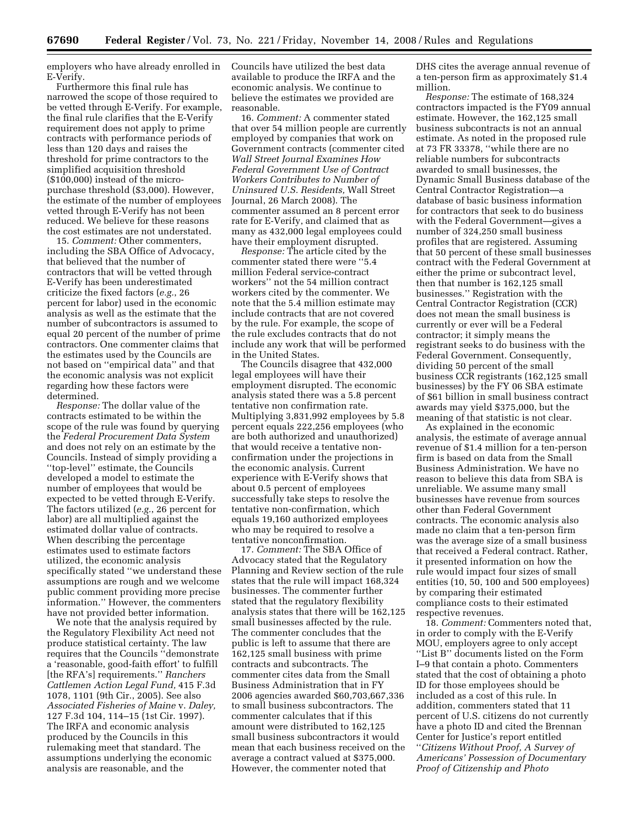employers who have already enrolled in E-Verify.

Furthermore this final rule has narrowed the scope of those required to be vetted through E-Verify. For example, the final rule clarifies that the E-Verify requirement does not apply to prime contracts with performance periods of less than 120 days and raises the threshold for prime contractors to the simplified acquisition threshold (\$100,000) instead of the micropurchase threshold (\$3,000). However, the estimate of the number of employees vetted through E-Verify has not been reduced. We believe for these reasons the cost estimates are not understated.

15. *Comment:* Other commenters, including the SBA Office of Advocacy, that believed that the number of contractors that will be vetted through E-Verify has been underestimated criticize the fixed factors (*e.g.*, 26 percent for labor) used in the economic analysis as well as the estimate that the number of subcontractors is assumed to equal 20 percent of the number of prime contractors. One commenter claims that the estimates used by the Councils are not based on ''empirical data'' and that the economic analysis was not explicit regarding how these factors were determined.

*Response:* The dollar value of the contracts estimated to be within the scope of the rule was found by querying the *Federal Procurement Data System*  and does not rely on an estimate by the Councils. Instead of simply providing a ''top-level'' estimate, the Councils developed a model to estimate the number of employees that would be expected to be vetted through E-Verify. The factors utilized (*e.g.*, 26 percent for labor) are all multiplied against the estimated dollar value of contracts. When describing the percentage estimates used to estimate factors utilized, the economic analysis specifically stated ''we understand these assumptions are rough and we welcome public comment providing more precise information.'' However, the commenters have not provided better information.

We note that the analysis required by the Regulatory Flexibility Act need not produce statistical certainty. The law requires that the Councils ''demonstrate a 'reasonable, good-faith effort' to fulfill [the RFA's] requirements.'' *Ranchers Cattlemen Action Legal Fund,* 415 F.3d 1078, 1101 (9th Cir., 2005). See also *Associated Fisheries of Maine* v. *Daley,*  127 F.3d 104, 114–15 (1st Cir. 1997). The IRFA and economic analysis produced by the Councils in this rulemaking meet that standard. The assumptions underlying the economic analysis are reasonable, and the

Councils have utilized the best data available to produce the IRFA and the economic analysis. We continue to believe the estimates we provided are reasonable.

16. *Comment:* A commenter stated that over 54 million people are currently employed by companies that work on Government contracts (commenter cited *Wall Street Journal Examines How Federal Government Use of Contract Workers Contributes to Number of Uninsured U.S. Residents,* Wall Street Journal, 26 March 2008). The commenter assumed an 8 percent error rate for E-Verify, and claimed that as many as 432,000 legal employees could have their employment disrupted.

*Response:* The article cited by the commenter stated there were ''5.4 million Federal service-contract workers'' not the 54 million contract workers cited by the commenter. We note that the 5.4 million estimate may include contracts that are not covered by the rule. For example, the scope of the rule excludes contracts that do not include any work that will be performed in the United States.

The Councils disagree that 432,000 legal employees will have their employment disrupted. The economic analysis stated there was a 5.8 percent tentative non confirmation rate. Multiplying 3,831,992 employees by 5.8 percent equals 222,256 employees (who are both authorized and unauthorized) that would receive a tentative nonconfirmation under the projections in the economic analysis. Current experience with E-Verify shows that about 0.5 percent of employees successfully take steps to resolve the tentative non-confirmation, which equals 19,160 authorized employees who may be required to resolve a tentative nonconfirmation.

17. *Comment:* The SBA Office of Advocacy stated that the Regulatory Planning and Review section of the rule states that the rule will impact 168,324 businesses. The commenter further stated that the regulatory flexibility analysis states that there will be 162,125 small businesses affected by the rule. The commenter concludes that the public is left to assume that there are 162,125 small business with prime contracts and subcontracts. The commenter cites data from the Small Business Administration that in FY 2006 agencies awarded \$60,703,667,336 to small business subcontractors. The commenter calculates that if this amount were distributed to 162,125 small business subcontractors it would mean that each business received on the average a contract valued at \$375,000. However, the commenter noted that

DHS cites the average annual revenue of a ten-person firm as approximately \$1.4 million.

*Response:* The estimate of 168,324 contractors impacted is the FY09 annual estimate. However, the 162,125 small business subcontracts is not an annual estimate. As noted in the proposed rule at 73 FR 33378, ''while there are no reliable numbers for subcontracts awarded to small businesses, the Dynamic Small Business database of the Central Contractor Registration—a database of basic business information for contractors that seek to do business with the Federal Government—gives a number of 324,250 small business profiles that are registered. Assuming that 50 percent of these small businesses contract with the Federal Government at either the prime or subcontract level, then that number is 162,125 small businesses.'' Registration with the Central Contractor Registration (CCR) does not mean the small business is currently or ever will be a Federal contractor; it simply means the registrant seeks to do business with the Federal Government. Consequently, dividing 50 percent of the small business CCR registrants (162,125 small businesses) by the FY 06 SBA estimate of \$61 billion in small business contract awards may yield \$375,000, but the meaning of that statistic is not clear.

As explained in the economic analysis, the estimate of average annual revenue of \$1.4 million for a ten-person firm is based on data from the Small Business Administration. We have no reason to believe this data from SBA is unreliable. We assume many small businesses have revenue from sources other than Federal Government contracts. The economic analysis also made no claim that a ten-person firm was the average size of a small business that received a Federal contract. Rather, it presented information on how the rule would impact four sizes of small entities (10, 50, 100 and 500 employees) by comparing their estimated compliance costs to their estimated respective revenues.

18. *Comment:* Commenters noted that, in order to comply with the E-Verify MOU, employers agree to only accept ''List B'' documents listed on the Form I–9 that contain a photo. Commenters stated that the cost of obtaining a photo ID for those employees should be included as a cost of this rule. In addition, commenters stated that 11 percent of U.S. citizens do not currently have a photo ID and cited the Brennan Center for Justice's report entitled ''*Citizens Without Proof, A Survey of Americans' Possession of Documentary Proof of Citizenship and Photo*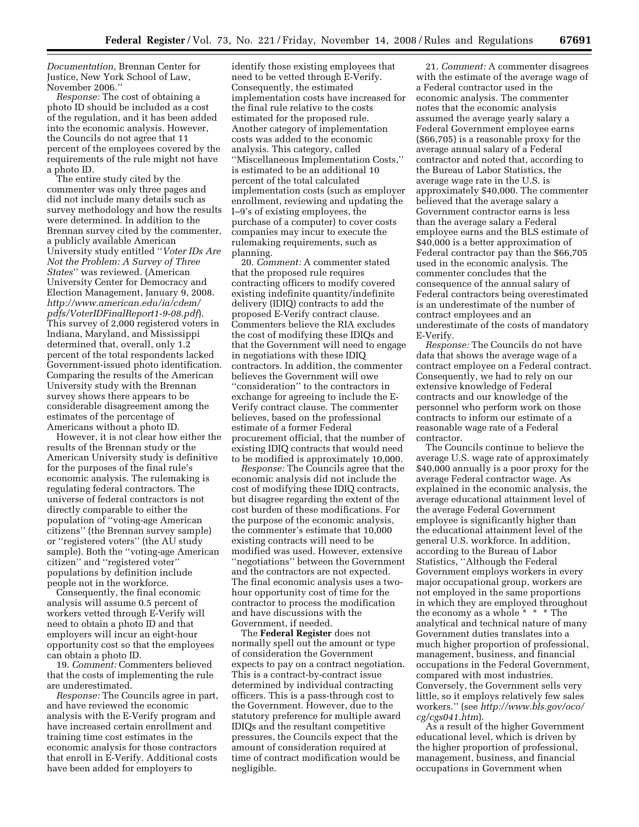*Documentation,* Brennan Center for Justice, New York School of Law, November 2006.''

*Response:* The cost of obtaining a photo ID should be included as a cost of the regulation, and it has been added into the economic analysis. However, the Councils do not agree that 11 percent of the employees covered by the requirements of the rule might not have a photo ID.

The entire study cited by the commenter was only three pages and did not include many details such as survey methodology and how the results were determined. In addition to the Brennan survey cited by the commenter, a publicly available American University study entitled ''*Voter IDs Are Not the Problem: A Survey of Three States*'' was reviewed. (American University Center for Democracy and Election Management, January 9, 2008. *[http://www.american.edu/ia/cdem/](http://www.american.edu/ia/cdem/pdfs/VoterIDFinalReport1-9-08.pdf)  pdfs/VoterIDFinalReport1-9-08.pdf*). This survey of 2,000 registered voters in Indiana, Maryland, and Mississippi determined that, overall, only 1.2 percent of the total respondents lacked Government-issued photo identification. Comparing the results of the American University study with the Brennan survey shows there appears to be considerable disagreement among the estimates of the percentage of Americans without a photo ID.

However, it is not clear how either the results of the Brennan study or the American University study is definitive for the purposes of the final rule's economic analysis. The rulemaking is regulating federal contractors. The universe of federal contractors is not directly comparable to either the population of ''voting-age American citizens'' (the Brennan survey sample) or ''registered voters'' (the AU study sample). Both the ''voting-age American citizen'' and ''registered voter'' populations by definition include people not in the workforce.

Consequently, the final economic analysis will assume 0.5 percent of workers vetted through E-Verify will need to obtain a photo ID and that employers will incur an eight-hour opportunity cost so that the employees can obtain a photo ID.

19. *Comment:* Commenters believed that the costs of implementing the rule are underestimated.

*Response:* The Councils agree in part, and have reviewed the economic analysis with the E-Verify program and have increased certain enrollment and training time cost estimates in the economic analysis for those contractors that enroll in E-Verify. Additional costs have been added for employers to

identify those existing employees that need to be vetted through E-Verify. Consequently, the estimated implementation costs have increased for the final rule relative to the costs estimated for the proposed rule. Another category of implementation costs was added to the economic analysis. This category, called ''Miscellaneous Implementation Costs,'' is estimated to be an additional 10 percent of the total calculated implementation costs (such as employer enrollment, reviewing and updating the I–9's of existing employees, the purchase of a computer) to cover costs companies may incur to execute the rulemaking requirements, such as planning.

20. *Comment:* A commenter stated that the proposed rule requires contracting officers to modify covered existing indefinite quantity/indefinite delivery (IDIQ) contracts to add the proposed E-Verify contract clause. Commenters believe the RIA excludes the cost of modifying these IDIQs and that the Government will need to engage in negotiations with these IDIQ contractors. In addition, the commenter believes the Government will owe ''consideration'' to the contractors in exchange for agreeing to include the E-Verify contract clause. The commenter believes, based on the professional estimate of a former Federal procurement official, that the number of existing IDIQ contracts that would need to be modified is approximately 10,000.

*Response:* The Councils agree that the economic analysis did not include the cost of modifying these IDIQ contracts, but disagree regarding the extent of the cost burden of these modifications. For the purpose of the economic analysis, the commenter's estimate that 10,000 existing contracts will need to be modified was used. However, extensive ''negotiations'' between the Government and the contractors are not expected. The final economic analysis uses a twohour opportunity cost of time for the contractor to process the modification and have discussions with the Government, if needed.

The **Federal Register** does not normally spell out the amount or type of consideration the Government expects to pay on a contract negotiation. This is a contract-by-contract issue determined by individual contracting officers. This is a pass-through cost to the Government. However, due to the statutory preference for multiple award IDIQs and the resultant competitive pressures, the Councils expect that the amount of consideration required at time of contract modification would be negligible.

21. *Comment:* A commenter disagrees with the estimate of the average wage of a Federal contractor used in the economic analysis. The commenter notes that the economic analysis assumed the average yearly salary a Federal Government employee earns (\$66,705) is a reasonable proxy for the average annual salary of a Federal contractor and noted that, according to the Bureau of Labor Statistics, the average wage rate in the U.S. is approximately \$40,000. The commenter believed that the average salary a Government contractor earns is less than the average salary a Federal employee earns and the BLS estimate of \$40,000 is a better approximation of Federal contractor pay than the \$66,705 used in the economic analysis. The commenter concludes that the consequence of the annual salary of Federal contractors being overestimated is an underestimate of the number of contract employees and an underestimate of the costs of mandatory E-Verify.

*Response:* The Councils do not have data that shows the average wage of a contract employee on a Federal contract. Consequently, we had to rely on our extensive knowledge of Federal contracts and our knowledge of the personnel who perform work on those contracts to inform our estimate of a reasonable wage rate of a Federal contractor.

The Councils continue to believe the average U.S. wage rate of approximately \$40,000 annually is a poor proxy for the average Federal contractor wage. As explained in the economic analysis, the average educational attainment level of the average Federal Government employee is significantly higher than the educational attainment level of the general U.S. workforce. In addition, according to the Bureau of Labor Statistics, ''Although the Federal Government employs workers in every major occupational group, workers are not employed in the same proportions in which they are employed throughout the economy as a whole \* \* \* The analytical and technical nature of many Government duties translates into a much higher proportion of professional, management, business, and financial occupations in the Federal Government, compared with most industries. Conversely, the Government sells very little, so it employs relatively few sales workers.'' (see *[http://www.bls.gov/oco/](http://www.bls.gov/oco/cg/cgs041.htm) cg/cgs041.htm*).

As a result of the higher Government educational level, which is driven by the higher proportion of professional, management, business, and financial occupations in Government when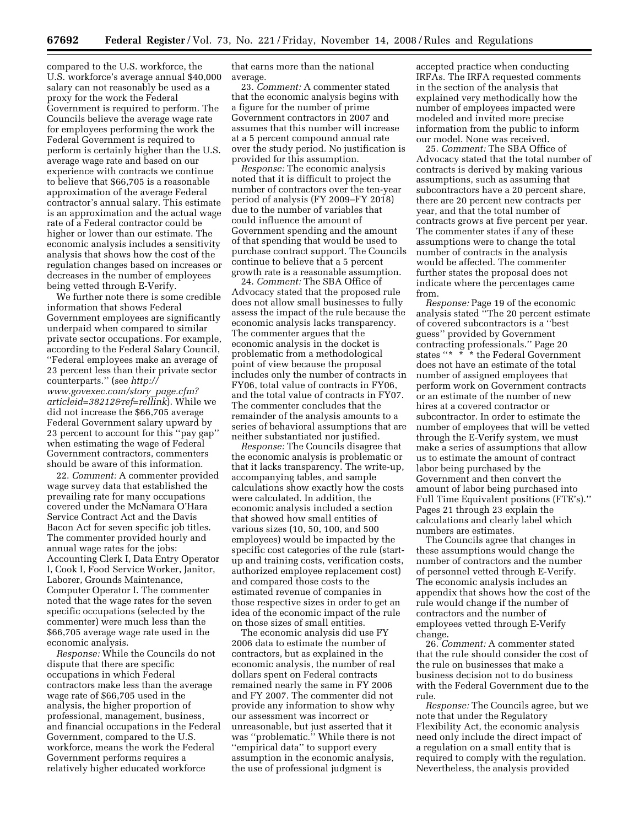compared to the U.S. workforce, the U.S. workforce's average annual \$40,000 salary can not reasonably be used as a proxy for the work the Federal Government is required to perform. The Councils believe the average wage rate for employees performing the work the Federal Government is required to perform is certainly higher than the U.S. average wage rate and based on our experience with contracts we continue to believe that \$66,705 is a reasonable approximation of the average Federal contractor's annual salary. This estimate is an approximation and the actual wage rate of a Federal contractor could be higher or lower than our estimate. The economic analysis includes a sensitivity analysis that shows how the cost of the regulation changes based on increases or decreases in the number of employees being vetted through E-Verify.

We further note there is some credible information that shows Federal Government employees are significantly underpaid when compared to similar private sector occupations. For example, according to the Federal Salary Council, ''Federal employees make an average of 23 percent less than their private sector counterparts.'' (see *http:// www.govexec.com/story*\_*page.cfm? [articleid=38212&ref=rellink](http://www.govexec.com/story_page.cfm?articleid=38212&ref=rellink)*). While we did not increase the \$66,705 average Federal Government salary upward by 23 percent to account for this ''pay gap'' when estimating the wage of Federal Government contractors, commenters should be aware of this information.

22. *Comment:* A commenter provided wage survey data that established the prevailing rate for many occupations covered under the McNamara O'Hara Service Contract Act and the Davis Bacon Act for seven specific job titles. The commenter provided hourly and annual wage rates for the jobs: Accounting Clerk I, Data Entry Operator I, Cook I, Food Service Worker, Janitor, Laborer, Grounds Maintenance, Computer Operator I. The commenter noted that the wage rates for the seven specific occupations (selected by the commenter) were much less than the \$66,705 average wage rate used in the economic analysis.

*Response:* While the Councils do not dispute that there are specific occupations in which Federal contractors make less than the average wage rate of \$66,705 used in the analysis, the higher proportion of professional, management, business, and financial occupations in the Federal Government, compared to the U.S. workforce, means the work the Federal Government performs requires a relatively higher educated workforce

that earns more than the national average.

23. *Comment:* A commenter stated that the economic analysis begins with a figure for the number of prime Government contractors in 2007 and assumes that this number will increase at a 5 percent compound annual rate over the study period. No justification is provided for this assumption.

*Response:* The economic analysis noted that it is difficult to project the number of contractors over the ten-year period of analysis (FY 2009–FY 2018) due to the number of variables that could influence the amount of Government spending and the amount of that spending that would be used to purchase contract support. The Councils continue to believe that a 5 percent growth rate is a reasonable assumption.

24. *Comment:* The SBA Office of Advocacy stated that the proposed rule does not allow small businesses to fully assess the impact of the rule because the economic analysis lacks transparency. The commenter argues that the economic analysis in the docket is problematic from a methodological point of view because the proposal includes only the number of contracts in FY06, total value of contracts in FY06, and the total value of contracts in FY07. The commenter concludes that the remainder of the analysis amounts to a series of behavioral assumptions that are neither substantiated nor justified.

*Response:* The Councils disagree that the economic analysis is problematic or that it lacks transparency. The write-up, accompanying tables, and sample calculations show exactly how the costs were calculated. In addition, the economic analysis included a section that showed how small entities of various sizes (10, 50, 100, and 500 employees) would be impacted by the specific cost categories of the rule (startup and training costs, verification costs, authorized employee replacement cost) and compared those costs to the estimated revenue of companies in those respective sizes in order to get an idea of the economic impact of the rule on those sizes of small entities.

The economic analysis did use FY 2006 data to estimate the number of contractors, but as explained in the economic analysis, the number of real dollars spent on Federal contracts remained nearly the same in FY 2006 and FY 2007. The commenter did not provide any information to show why our assessment was incorrect or unreasonable, but just asserted that it was ''problematic.'' While there is not ''empirical data'' to support every assumption in the economic analysis, the use of professional judgment is

accepted practice when conducting IRFAs. The IRFA requested comments in the section of the analysis that explained very methodically how the number of employees impacted were modeled and invited more precise information from the public to inform our model. None was received.

25. *Comment:* The SBA Office of Advocacy stated that the total number of contracts is derived by making various assumptions, such as assuming that subcontractors have a 20 percent share, there are 20 percent new contracts per year, and that the total number of contracts grows at five percent per year. The commenter states if any of these assumptions were to change the total number of contracts in the analysis would be affected. The commenter further states the proposal does not indicate where the percentages came from.

*Response:* Page 19 of the economic analysis stated ''The 20 percent estimate of covered subcontractors is a ''best guess'' provided by Government contracting professionals.'' Page 20 states "\* \* \* the Federal Government does not have an estimate of the total number of assigned employees that perform work on Government contracts or an estimate of the number of new hires at a covered contractor or subcontractor. In order to estimate the number of employees that will be vetted through the E-Verify system, we must make a series of assumptions that allow us to estimate the amount of contract labor being purchased by the Government and then convert the amount of labor being purchased into Full Time Equivalent positions (FTE's).'' Pages 21 through 23 explain the calculations and clearly label which numbers are estimates.

The Councils agree that changes in these assumptions would change the number of contractors and the number of personnel vetted through E-Verify. The economic analysis includes an appendix that shows how the cost of the rule would change if the number of contractors and the number of employees vetted through E-Verify change.

26. *Comment:* A commenter stated that the rule should consider the cost of the rule on businesses that make a business decision not to do business with the Federal Government due to the rule.

*Response:* The Councils agree, but we note that under the Regulatory Flexibility Act, the economic analysis need only include the direct impact of a regulation on a small entity that is required to comply with the regulation. Nevertheless, the analysis provided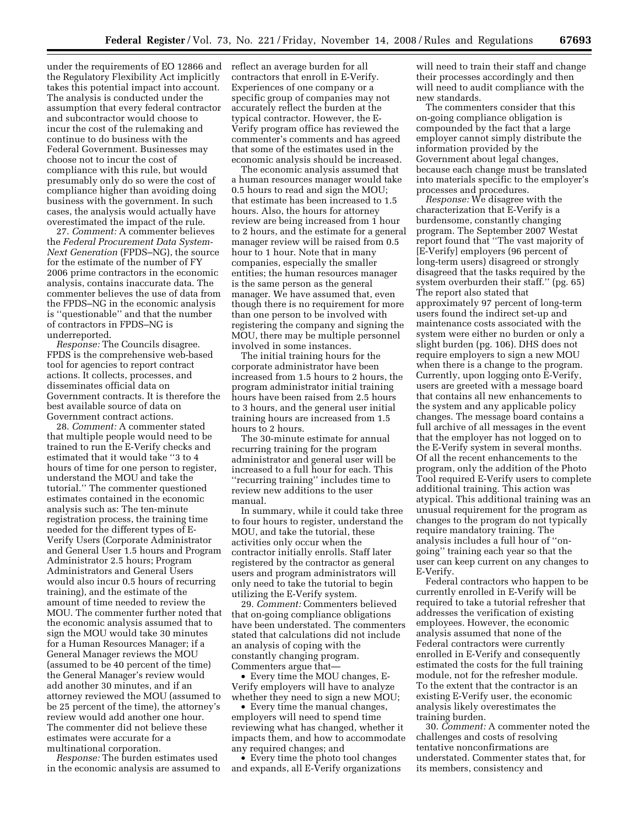under the requirements of EO 12866 and reflect an average burden for all the Regulatory Flexibility Act implicitly takes this potential impact into account. The analysis is conducted under the assumption that every federal contractor and subcontractor would choose to incur the cost of the rulemaking and continue to do business with the Federal Government. Businesses may choose not to incur the cost of compliance with this rule, but would presumably only do so were the cost of compliance higher than avoiding doing business with the government. In such cases, the analysis would actually have overestimated the impact of the rule.

27. *Comment:* A commenter believes the *Federal Procurement Data System-Next Generation* (FPDS–NG), the source for the estimate of the number of FY 2006 prime contractors in the economic analysis, contains inaccurate data. The commenter believes the use of data from the FPDS–NG in the economic analysis is ''questionable'' and that the number of contractors in FPDS–NG is underreported.

*Response:* The Councils disagree. FPDS is the comprehensive web-based tool for agencies to report contract actions. It collects, processes, and disseminates official data on Government contracts. It is therefore the best available source of data on Government contract actions.

28. *Comment:* A commenter stated that multiple people would need to be trained to run the E-Verify checks and estimated that it would take ''3 to 4 hours of time for one person to register, understand the MOU and take the tutorial.'' The commenter questioned estimates contained in the economic analysis such as: The ten-minute registration process, the training time needed for the different types of E-Verify Users (Corporate Administrator and General User 1.5 hours and Program Administrator 2.5 hours; Program Administrators and General Users would also incur 0.5 hours of recurring training), and the estimate of the amount of time needed to review the MOU. The commenter further noted that the economic analysis assumed that to sign the MOU would take 30 minutes for a Human Resources Manager; if a General Manager reviews the MOU (assumed to be 40 percent of the time) the General Manager's review would add another 30 minutes, and if an attorney reviewed the MOU (assumed to be 25 percent of the time), the attorney's review would add another one hour. The commenter did not believe these estimates were accurate for a multinational corporation.

*Response:* The burden estimates used in the economic analysis are assumed to

contractors that enroll in E-Verify. Experiences of one company or a specific group of companies may not accurately reflect the burden at the typical contractor. However, the E-Verify program office has reviewed the commenter's comments and has agreed that some of the estimates used in the economic analysis should be increased.

The economic analysis assumed that a human resources manager would take 0.5 hours to read and sign the MOU; that estimate has been increased to 1.5 hours. Also, the hours for attorney review are being increased from 1 hour to 2 hours, and the estimate for a general manager review will be raised from 0.5 hour to 1 hour. Note that in many companies, especially the smaller entities; the human resources manager is the same person as the general manager. We have assumed that, even though there is no requirement for more than one person to be involved with registering the company and signing the MOU, there may be multiple personnel involved in some instances.

The initial training hours for the corporate administrator have been increased from 1.5 hours to 2 hours, the program administrator initial training hours have been raised from 2.5 hours to 3 hours, and the general user initial training hours are increased from 1.5 hours to 2 hours.

The 30-minute estimate for annual recurring training for the program administrator and general user will be increased to a full hour for each. This ''recurring training'' includes time to review new additions to the user manual.

In summary, while it could take three to four hours to register, understand the MOU, and take the tutorial, these activities only occur when the contractor initially enrolls. Staff later registered by the contractor as general users and program administrators will only need to take the tutorial to begin utilizing the E-Verify system.

29. *Comment:* Commenters believed that on-going compliance obligations have been understated. The commenters stated that calculations did not include an analysis of coping with the constantly changing program. Commenters argue that—

• Every time the MOU changes, E-Verify employers will have to analyze whether they need to sign a new MOU;

• Every time the manual changes, employers will need to spend time reviewing what has changed, whether it impacts them, and how to accommodate any required changes; and

• Every time the photo tool changes and expands, all E-Verify organizations

will need to train their staff and change their processes accordingly and then will need to audit compliance with the new standards.

The commenters consider that this on-going compliance obligation is compounded by the fact that a large employer cannot simply distribute the information provided by the Government about legal changes, because each change must be translated into materials specific to the employer's processes and procedures.

*Response:* We disagree with the characterization that E-Verify is a burdensome, constantly changing program. The September 2007 Westat report found that ''The vast majority of [E-Verify] employers (96 percent of long-term users) disagreed or strongly disagreed that the tasks required by the system overburden their staff.'' (pg. 65) The report also stated that approximately 97 percent of long-term users found the indirect set-up and maintenance costs associated with the system were either no burden or only a slight burden (pg. 106). DHS does not require employers to sign a new MOU when there is a change to the program. Currently, upon logging onto E-Verify, users are greeted with a message board that contains all new enhancements to the system and any applicable policy changes. The message board contains a full archive of all messages in the event that the employer has not logged on to the E-Verify system in several months. Of all the recent enhancements to the program, only the addition of the Photo Tool required E-Verify users to complete additional training. This action was atypical. This additional training was an unusual requirement for the program as changes to the program do not typically require mandatory training. The analysis includes a full hour of ''ongoing'' training each year so that the user can keep current on any changes to E-Verify.

Federal contractors who happen to be currently enrolled in E-Verify will be required to take a tutorial refresher that addresses the verification of existing employees. However, the economic analysis assumed that none of the Federal contractors were currently enrolled in E-Verify and consequently estimated the costs for the full training module, not for the refresher module. To the extent that the contractor is an existing E-Verify user, the economic analysis likely overestimates the training burden.

30. *Comment:* A commenter noted the challenges and costs of resolving tentative nonconfirmations are understated. Commenter states that, for its members, consistency and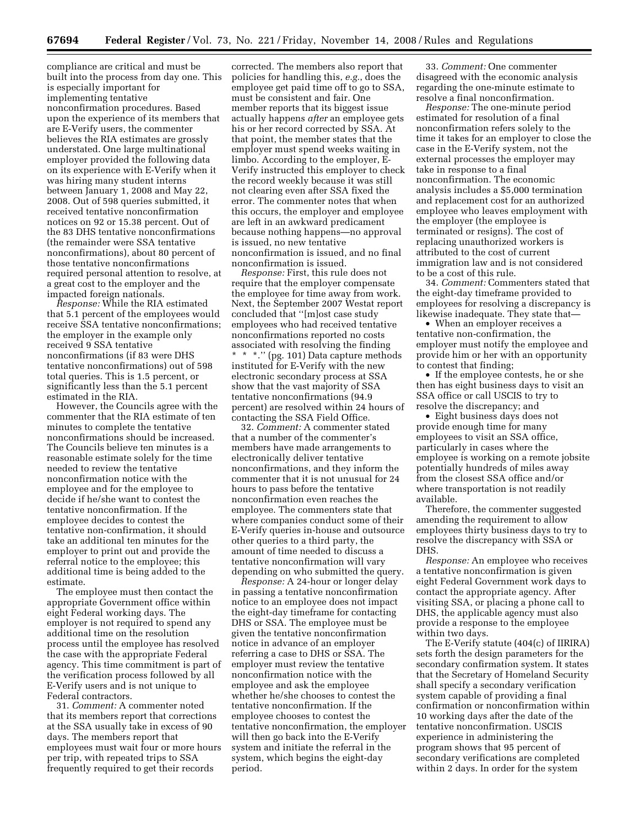compliance are critical and must be built into the process from day one. This is especially important for implementing tentative nonconfirmation procedures. Based upon the experience of its members that are E-Verify users, the commenter believes the RIA estimates are grossly understated. One large multinational employer provided the following data on its experience with E-Verify when it was hiring many student interns between January 1, 2008 and May 22, 2008. Out of 598 queries submitted, it received tentative nonconfirmation notices on 92 or 15.38 percent. Out of the 83 DHS tentative nonconfirmations (the remainder were SSA tentative nonconfirmations), about 80 percent of those tentative nonconfirmations required personal attention to resolve, at a great cost to the employer and the impacted foreign nationals.

*Response:* While the RIA estimated that 5.1 percent of the employees would receive SSA tentative nonconfirmations; the employer in the example only received 9 SSA tentative nonconfirmations (if 83 were DHS tentative nonconfirmations) out of 598 total queries. This is 1.5 percent, or significantly less than the 5.1 percent estimated in the RIA.

However, the Councils agree with the commenter that the RIA estimate of ten minutes to complete the tentative nonconfirmations should be increased. The Councils believe ten minutes is a reasonable estimate solely for the time needed to review the tentative nonconfirmation notice with the employee and for the employee to decide if he/she want to contest the tentative nonconfirmation. If the employee decides to contest the tentative non-confirmation, it should take an additional ten minutes for the employer to print out and provide the referral notice to the employee; this additional time is being added to the estimate.

The employee must then contact the appropriate Government office within eight Federal working days. The employer is not required to spend any additional time on the resolution process until the employee has resolved the case with the appropriate Federal agency. This time commitment is part of the verification process followed by all E-Verify users and is not unique to Federal contractors.

31. *Comment:* A commenter noted that its members report that corrections at the SSA usually take in excess of 90 days. The members report that employees must wait four or more hours per trip, with repeated trips to SSA frequently required to get their records

corrected. The members also report that policies for handling this, *e.g.*, does the employee get paid time off to go to SSA, must be consistent and fair. One member reports that its biggest issue actually happens *after* an employee gets his or her record corrected by SSA. At that point, the member states that the employer must spend weeks waiting in limbo. According to the employer, E-Verify instructed this employer to check the record weekly because it was still not clearing even after SSA fixed the error. The commenter notes that when this occurs, the employer and employee are left in an awkward predicament because nothing happens—no approval is issued, no new tentative nonconfirmation is issued, and no final nonconfirmation is issued.

*Response:* First, this rule does not require that the employer compensate the employee for time away from work. Next, the September 2007 Westat report concluded that ''[m]ost case study employees who had received tentative nonconfirmations reported no costs associated with resolving the finding \* \* \*.'' (pg. 101) Data capture methods instituted for E-Verify with the new electronic secondary process at SSA show that the vast majority of SSA tentative nonconfirmations (94.9 percent) are resolved within 24 hours of contacting the SSA Field Office.

32. *Comment:* A commenter stated that a number of the commenter's members have made arrangements to electronically deliver tentative nonconfirmations, and they inform the commenter that it is not unusual for 24 hours to pass before the tentative nonconfirmation even reaches the employee. The commenters state that where companies conduct some of their E-Verify queries in-house and outsource other queries to a third party, the amount of time needed to discuss a tentative nonconfirmation will vary depending on who submitted the query.

*Response:* A 24-hour or longer delay in passing a tentative nonconfirmation notice to an employee does not impact the eight-day timeframe for contacting DHS or SSA. The employee must be given the tentative nonconfirmation notice in advance of an employer referring a case to DHS or SSA. The employer must review the tentative nonconfirmation notice with the employee and ask the employee whether he/she chooses to contest the tentative nonconfirmation. If the employee chooses to contest the tentative nonconfirmation, the employer will then go back into the E-Verify system and initiate the referral in the system, which begins the eight-day period.

33. *Comment:* One commenter disagreed with the economic analysis regarding the one-minute estimate to resolve a final nonconfirmation.

*Response:* The one-minute period estimated for resolution of a final nonconfirmation refers solely to the time it takes for an employer to close the case in the E-Verify system, not the external processes the employer may take in response to a final nonconfirmation. The economic analysis includes a \$5,000 termination and replacement cost for an authorized employee who leaves employment with the employer (the employee is terminated or resigns). The cost of replacing unauthorized workers is attributed to the cost of current immigration law and is not considered to be a cost of this rule.

34. *Comment:* Commenters stated that the eight-day timeframe provided to employees for resolving a discrepancy is likewise inadequate. They state that—

• When an employer receives a tentative non-confirmation, the employer must notify the employee and provide him or her with an opportunity to contest that finding;

• If the employee contests, he or she then has eight business days to visit an SSA office or call USCIS to try to resolve the discrepancy; and

• Eight business days does not provide enough time for many employees to visit an SSA office, particularly in cases where the employee is working on a remote jobsite potentially hundreds of miles away from the closest SSA office and/or where transportation is not readily available.

Therefore, the commenter suggested amending the requirement to allow employees thirty business days to try to resolve the discrepancy with SSA or DHS.

*Response:* An employee who receives a tentative nonconfirmation is given eight Federal Government work days to contact the appropriate agency. After visiting SSA, or placing a phone call to DHS, the applicable agency must also provide a response to the employee within two days.

The E-Verify statute (404(c) of IIRIRA) sets forth the design parameters for the secondary confirmation system. It states that the Secretary of Homeland Security shall specify a secondary verification system capable of providing a final confirmation or nonconfirmation within 10 working days after the date of the tentative nonconfirmation. USCIS experience in administering the program shows that 95 percent of secondary verifications are completed within 2 days. In order for the system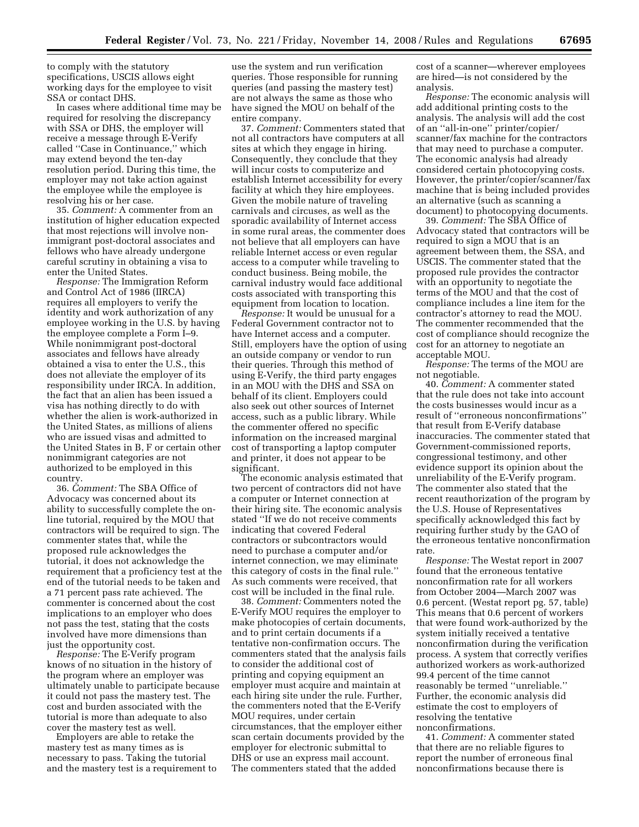to comply with the statutory specifications, USCIS allows eight working days for the employee to visit SSA or contact DHS.

In cases where additional time may be required for resolving the discrepancy with SSA or DHS, the employer will receive a message through E-Verify called ''Case in Continuance,'' which may extend beyond the ten-day resolution period. During this time, the employer may not take action against the employee while the employee is resolving his or her case.

35. *Comment:* A commenter from an institution of higher education expected that most rejections will involve nonimmigrant post-doctoral associates and fellows who have already undergone careful scrutiny in obtaining a visa to enter the United States.

*Response:* The Immigration Reform and Control Act of 1986 (IIRCA) requires all employers to verify the identity and work authorization of any employee working in the U.S. by having the employee complete a Form I–9. While nonimmigrant post-doctoral associates and fellows have already obtained a visa to enter the U.S., this does not alleviate the employer of its responsibility under IRCA. In addition, the fact that an alien has been issued a visa has nothing directly to do with whether the alien is work-authorized in the United States, as millions of aliens who are issued visas and admitted to the United States in B, F or certain other nonimmigrant categories are not authorized to be employed in this country.

36. *Comment:* The SBA Office of Advocacy was concerned about its ability to successfully complete the online tutorial, required by the MOU that contractors will be required to sign. The commenter states that, while the proposed rule acknowledges the tutorial, it does not acknowledge the requirement that a proficiency test at the end of the tutorial needs to be taken and a 71 percent pass rate achieved. The commenter is concerned about the cost implications to an employer who does not pass the test, stating that the costs involved have more dimensions than just the opportunity cost.

*Response:* The E-Verify program knows of no situation in the history of the program where an employer was ultimately unable to participate because it could not pass the mastery test. The cost and burden associated with the tutorial is more than adequate to also cover the mastery test as well.

Employers are able to retake the mastery test as many times as is necessary to pass. Taking the tutorial and the mastery test is a requirement to

use the system and run verification queries. Those responsible for running queries (and passing the mastery test) are not always the same as those who have signed the MOU on behalf of the entire company.

37. *Comment:* Commenters stated that not all contractors have computers at all sites at which they engage in hiring. Consequently, they conclude that they will incur costs to computerize and establish Internet accessibility for every facility at which they hire employees. Given the mobile nature of traveling carnivals and circuses, as well as the sporadic availability of Internet access in some rural areas, the commenter does not believe that all employers can have reliable Internet access or even regular access to a computer while traveling to conduct business. Being mobile, the carnival industry would face additional costs associated with transporting this equipment from location to location.

*Response:* It would be unusual for a Federal Government contractor not to have Internet access and a computer. Still, employers have the option of using an outside company or vendor to run their queries. Through this method of using E-Verify, the third party engages in an MOU with the DHS and SSA on behalf of its client. Employers could also seek out other sources of Internet access, such as a public library. While the commenter offered no specific information on the increased marginal cost of transporting a laptop computer and printer, it does not appear to be significant.

The economic analysis estimated that two percent of contractors did not have a computer or Internet connection at their hiring site. The economic analysis stated ''If we do not receive comments indicating that covered Federal contractors or subcontractors would need to purchase a computer and/or internet connection, we may eliminate this category of costs in the final rule.'' As such comments were received, that cost will be included in the final rule.

38. *Comment:* Commenters noted the E-Verify MOU requires the employer to make photocopies of certain documents, and to print certain documents if a tentative non-confirmation occurs. The commenters stated that the analysis fails to consider the additional cost of printing and copying equipment an employer must acquire and maintain at each hiring site under the rule. Further, the commenters noted that the E-Verify MOU requires, under certain circumstances, that the employer either scan certain documents provided by the employer for electronic submittal to DHS or use an express mail account. The commenters stated that the added

cost of a scanner—wherever employees are hired—is not considered by the analysis.

*Response:* The economic analysis will add additional printing costs to the analysis. The analysis will add the cost of an ''all-in-one'' printer/copier/ scanner/fax machine for the contractors that may need to purchase a computer. The economic analysis had already considered certain photocopying costs. However, the printer/copier/scanner/fax machine that is being included provides an alternative (such as scanning a document) to photocopying documents.

39. *Comment:* The SBA Office of Advocacy stated that contractors will be required to sign a MOU that is an agreement between them, the SSA, and USCIS. The commenter stated that the proposed rule provides the contractor with an opportunity to negotiate the terms of the MOU and that the cost of compliance includes a line item for the contractor's attorney to read the MOU. The commenter recommended that the cost of compliance should recognize the cost for an attorney to negotiate an acceptable MOU.

*Response:* The terms of the MOU are not negotiable.

40. *Comment:* A commenter stated that the rule does not take into account the costs businesses would incur as a result of ''erroneous nonconfirmations'' that result from E-Verify database inaccuracies. The commenter stated that Government-commissioned reports, congressional testimony, and other evidence support its opinion about the unreliability of the E-Verify program. The commenter also stated that the recent reauthorization of the program by the U.S. House of Representatives specifically acknowledged this fact by requiring further study by the GAO of the erroneous tentative nonconfirmation rate.

*Response:* The Westat report in 2007 found that the erroneous tentative nonconfirmation rate for all workers from October 2004—March 2007 was 0.6 percent. (Westat report pg. 57, table) This means that 0.6 percent of workers that were found work-authorized by the system initially received a tentative nonconfirmation during the verification process. A system that correctly verifies authorized workers as work-authorized 99.4 percent of the time cannot reasonably be termed ''unreliable.'' Further, the economic analysis did estimate the cost to employers of resolving the tentative nonconfirmations.

41. *Comment:* A commenter stated that there are no reliable figures to report the number of erroneous final nonconfirmations because there is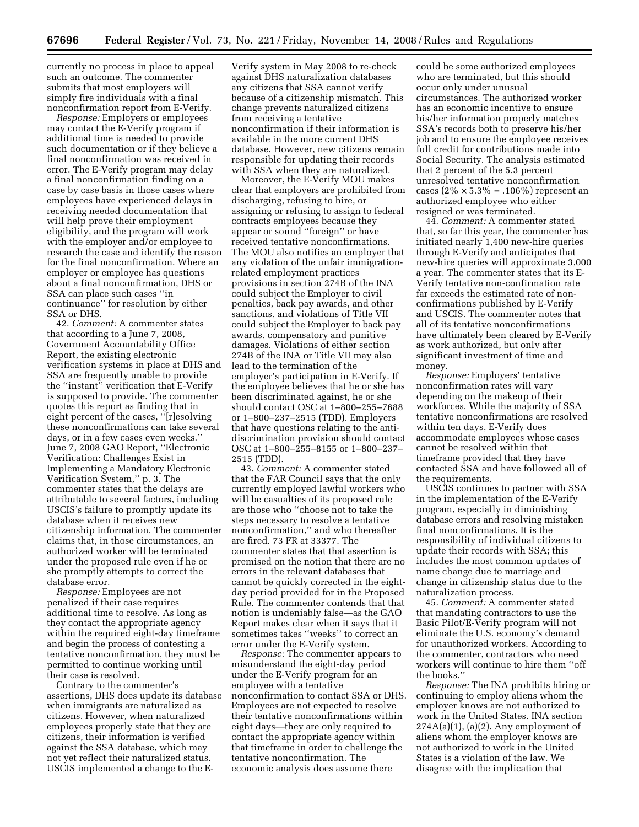currently no process in place to appeal such an outcome. The commenter submits that most employers will simply fire individuals with a final nonconfirmation report from E-Verify.

*Response:* Employers or employees may contact the E-Verify program if additional time is needed to provide such documentation or if they believe a final nonconfirmation was received in error. The E-Verify program may delay a final nonconfirmation finding on a case by case basis in those cases where employees have experienced delays in receiving needed documentation that will help prove their employment eligibility, and the program will work with the employer and/or employee to research the case and identify the reason for the final nonconfirmation. Where an employer or employee has questions about a final nonconfirmation, DHS or SSA can place such cases ''in continuance'' for resolution by either SSA or DHS.

42. *Comment:* A commenter states that according to a June 7, 2008, Government Accountability Office Report, the existing electronic verification systems in place at DHS and SSA are frequently unable to provide the ''instant'' verification that E-Verify is supposed to provide. The commenter quotes this report as finding that in eight percent of the cases, ''[r]esolving these nonconfirmations can take several days, or in a few cases even weeks.'' June 7, 2008 GAO Report, ''Electronic Verification: Challenges Exist in Implementing a Mandatory Electronic Verification System,'' p. 3. The commenter states that the delays are attributable to several factors, including USCIS's failure to promptly update its database when it receives new citizenship information. The commenter claims that, in those circumstances, an authorized worker will be terminated under the proposed rule even if he or she promptly attempts to correct the database error.

*Response:* Employees are not penalized if their case requires additional time to resolve. As long as they contact the appropriate agency within the required eight-day timeframe and begin the process of contesting a tentative nonconfirmation, they must be permitted to continue working until their case is resolved.

Contrary to the commenter's assertions, DHS does update its database when immigrants are naturalized as citizens. However, when naturalized employees properly state that they are citizens, their information is verified against the SSA database, which may not yet reflect their naturalized status. USCIS implemented a change to the E-

Verify system in May 2008 to re-check against DHS naturalization databases any citizens that SSA cannot verify because of a citizenship mismatch. This change prevents naturalized citizens from receiving a tentative nonconfirmation if their information is available in the more current DHS database. However, new citizens remain responsible for updating their records with SSA when they are naturalized.

Moreover, the E-Verify MOU makes clear that employers are prohibited from discharging, refusing to hire, or assigning or refusing to assign to federal contracts employees because they appear or sound ''foreign'' or have received tentative nonconfirmations. The MOU also notifies an employer that any violation of the unfair immigrationrelated employment practices provisions in section 274B of the INA could subject the Employer to civil penalties, back pay awards, and other sanctions, and violations of Title VII could subject the Employer to back pay awards, compensatory and punitive damages. Violations of either section 274B of the INA or Title VII may also lead to the termination of the employer's participation in E-Verify. If the employee believes that he or she has been discriminated against, he or she should contact OSC at 1–800–255–7688 or 1–800–237–2515 (TDD). Employers that have questions relating to the antidiscrimination provision should contact OSC at 1–800–255–8155 or 1–800–237– 2515 (TDD).

43. *Comment:* A commenter stated that the FAR Council says that the only currently employed lawful workers who will be casualties of its proposed rule are those who ''choose not to take the steps necessary to resolve a tentative nonconfirmation,'' and who thereafter are fired. 73 FR at 33377. The commenter states that that assertion is premised on the notion that there are no errors in the relevant databases that cannot be quickly corrected in the eightday period provided for in the Proposed Rule. The commenter contends that that notion is undeniably false—as the GAO Report makes clear when it says that it sometimes takes ''weeks'' to correct an error under the E-Verify system.

*Response:* The commenter appears to misunderstand the eight-day period under the E-Verify program for an employee with a tentative nonconfirmation to contact SSA or DHS. Employees are not expected to resolve their tentative nonconfirmations within eight days—they are only required to contact the appropriate agency within that timeframe in order to challenge the tentative nonconfirmation. The economic analysis does assume there

could be some authorized employees who are terminated, but this should occur only under unusual circumstances. The authorized worker has an economic incentive to ensure his/her information properly matches SSA's records both to preserve his/her job and to ensure the employee receives full credit for contributions made into Social Security. The analysis estimated that 2 percent of the 5.3 percent unresolved tentative nonconfirmation cases (2%  $\times\,5.3\%$  = .106%) represent an authorized employee who either resigned or was terminated.

44. *Comment:* A commenter stated that, so far this year, the commenter has initiated nearly 1,400 new-hire queries through E-Verify and anticipates that new-hire queries will approximate 3,000 a year. The commenter states that its E-Verify tentative non-confirmation rate far exceeds the estimated rate of nonconfirmations published by E-Verify and USCIS. The commenter notes that all of its tentative nonconfirmations have ultimately been cleared by E-Verify as work authorized, but only after significant investment of time and money.

*Response:* Employers' tentative nonconfirmation rates will vary depending on the makeup of their workforces. While the majority of SSA tentative nonconfirmations are resolved within ten days, E-Verify does accommodate employees whose cases cannot be resolved within that timeframe provided that they have contacted SSA and have followed all of the requirements.

USCIS continues to partner with SSA in the implementation of the E-Verify program, especially in diminishing database errors and resolving mistaken final nonconfirmations. It is the responsibility of individual citizens to update their records with SSA; this includes the most common updates of name change due to marriage and change in citizenship status due to the naturalization process.

45. *Comment:* A commenter stated that mandating contractors to use the Basic Pilot/E-Verify program will not eliminate the U.S. economy's demand for unauthorized workers. According to the commenter, contractors who need workers will continue to hire them ''off the books.''

*Response:* The INA prohibits hiring or continuing to employ aliens whom the employer knows are not authorized to work in the United States. INA section  $274A(a)(1)$ ,  $(a)(2)$ . Any employment of aliens whom the employer knows are not authorized to work in the United States is a violation of the law. We disagree with the implication that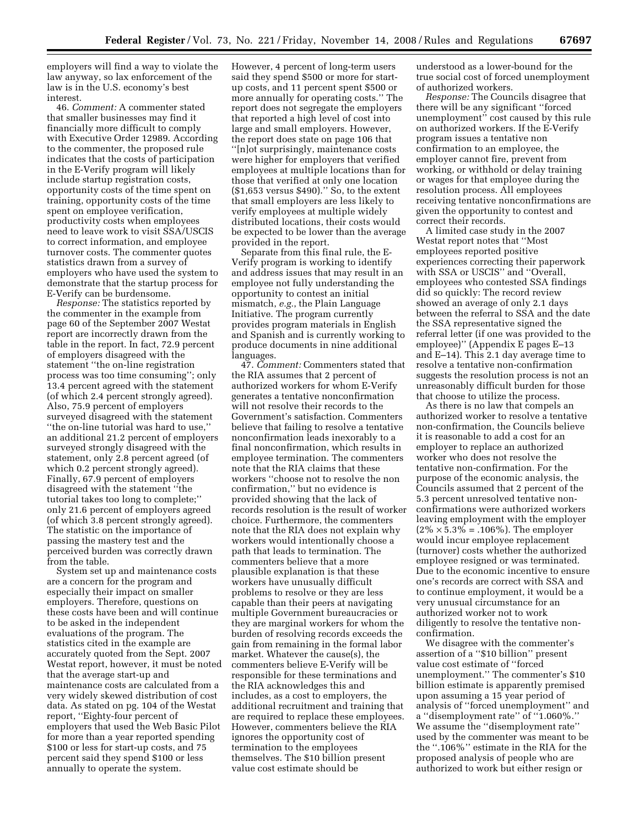employers will find a way to violate the law anyway, so lax enforcement of the law is in the U.S. economy's best interest.

46. *Comment:* A commenter stated that smaller businesses may find it financially more difficult to comply with Executive Order 12989. According to the commenter, the proposed rule indicates that the costs of participation in the E-Verify program will likely include startup registration costs, opportunity costs of the time spent on training, opportunity costs of the time spent on employee verification, productivity costs when employees need to leave work to visit SSA/USCIS to correct information, and employee turnover costs. The commenter quotes statistics drawn from a survey of employers who have used the system to demonstrate that the startup process for E-Verify can be burdensome.

*Response:* The statistics reported by the commenter in the example from page 60 of the September 2007 Westat report are incorrectly drawn from the table in the report. In fact, 72.9 percent of employers disagreed with the statement ''the on-line registration process was too time consuming''; only 13.4 percent agreed with the statement (of which 2.4 percent strongly agreed). Also, 75.9 percent of employers surveyed disagreed with the statement ''the on-line tutorial was hard to use,'' an additional 21.2 percent of employers surveyed strongly disagreed with the statement, only 2.8 percent agreed (of which  $0.2$  percent strongly agreed). Finally, 67.9 percent of employers disagreed with the statement ''the tutorial takes too long to complete;'' only 21.6 percent of employers agreed (of which 3.8 percent strongly agreed). The statistic on the importance of passing the mastery test and the perceived burden was correctly drawn from the table.

System set up and maintenance costs are a concern for the program and especially their impact on smaller employers. Therefore, questions on these costs have been and will continue to be asked in the independent evaluations of the program. The statistics cited in the example are accurately quoted from the Sept. 2007 Westat report, however, it must be noted that the average start-up and maintenance costs are calculated from a very widely skewed distribution of cost data. As stated on pg. 104 of the Westat report, ''Eighty-four percent of employers that used the Web Basic Pilot for more than a year reported spending \$100 or less for start-up costs, and 75 percent said they spend \$100 or less annually to operate the system.

However, 4 percent of long-term users said they spend \$500 or more for startup costs, and 11 percent spent \$500 or more annually for operating costs.'' The report does not segregate the employers that reported a high level of cost into large and small employers. However, the report does state on page 106 that ''[n]ot surprisingly, maintenance costs were higher for employers that verified employees at multiple locations than for those that verified at only one location (\$1,653 versus \$490).'' So, to the extent that small employers are less likely to verify employees at multiple widely distributed locations, their costs would be expected to be lower than the average provided in the report.

Separate from this final rule, the E-Verify program is working to identify and address issues that may result in an employee not fully understanding the opportunity to contest an initial mismatch, *e.g.*, the Plain Language Initiative. The program currently provides program materials in English and Spanish and is currently working to produce documents in nine additional languages.

47. *Comment:* Commenters stated that the RIA assumes that 2 percent of authorized workers for whom E-Verify generates a tentative nonconfirmation will not resolve their records to the Government's satisfaction. Commenters believe that failing to resolve a tentative nonconfirmation leads inexorably to a final nonconfirmation, which results in employee termination. The commenters note that the RIA claims that these workers ''choose not to resolve the non confirmation,'' but no evidence is provided showing that the lack of records resolution is the result of worker choice. Furthermore, the commenters note that the RIA does not explain why workers would intentionally choose a path that leads to termination. The commenters believe that a more plausible explanation is that these workers have unusually difficult problems to resolve or they are less capable than their peers at navigating multiple Government bureaucracies or they are marginal workers for whom the burden of resolving records exceeds the gain from remaining in the formal labor market. Whatever the cause(s), the commenters believe E-Verify will be responsible for these terminations and the RIA acknowledges this and includes, as a cost to employers, the additional recruitment and training that are required to replace these employees. However, commenters believe the RIA ignores the opportunity cost of termination to the employees themselves. The \$10 billion present value cost estimate should be

understood as a lower-bound for the true social cost of forced unemployment of authorized workers.

*Response:* The Councils disagree that there will be any significant ''forced unemployment'' cost caused by this rule on authorized workers. If the E-Verify program issues a tentative non confirmation to an employee, the employer cannot fire, prevent from working, or withhold or delay training or wages for that employee during the resolution process. All employees receiving tentative nonconfirmations are given the opportunity to contest and correct their records.

A limited case study in the 2007 Westat report notes that ''Most employees reported positive experiences correcting their paperwork with SSA or USCIS'' and ''Overall, employees who contested SSA findings did so quickly: The record review showed an average of only 2.1 days between the referral to SSA and the date the SSA representative signed the referral letter (if one was provided to the employee)'' (Appendix E pages E–13 and E–14). This 2.1 day average time to resolve a tentative non-confirmation suggests the resolution process is not an unreasonably difficult burden for those that choose to utilize the process.

As there is no law that compels an authorized worker to resolve a tentative non-confirmation, the Councils believe it is reasonable to add a cost for an employer to replace an authorized worker who does not resolve the tentative non-confirmation. For the purpose of the economic analysis, the Councils assumed that 2 percent of the 5.3 percent unresolved tentative nonconfirmations were authorized workers leaving employment with the employer  $(2\% \times 5.3\% = .106\%)$ . The employer would incur employee replacement (turnover) costs whether the authorized employee resigned or was terminated. Due to the economic incentive to ensure one's records are correct with SSA and to continue employment, it would be a very unusual circumstance for an authorized worker not to work diligently to resolve the tentative nonconfirmation.

We disagree with the commenter's assertion of a ''\$10 billion'' present value cost estimate of ''forced unemployment.'' The commenter's \$10 billion estimate is apparently premised upon assuming a 15 year period of analysis of ''forced unemployment'' and a ''disemployment rate'' of ''1.060%.'' We assume the ''disemployment rate'' used by the commenter was meant to be the ''.106%'' estimate in the RIA for the proposed analysis of people who are authorized to work but either resign or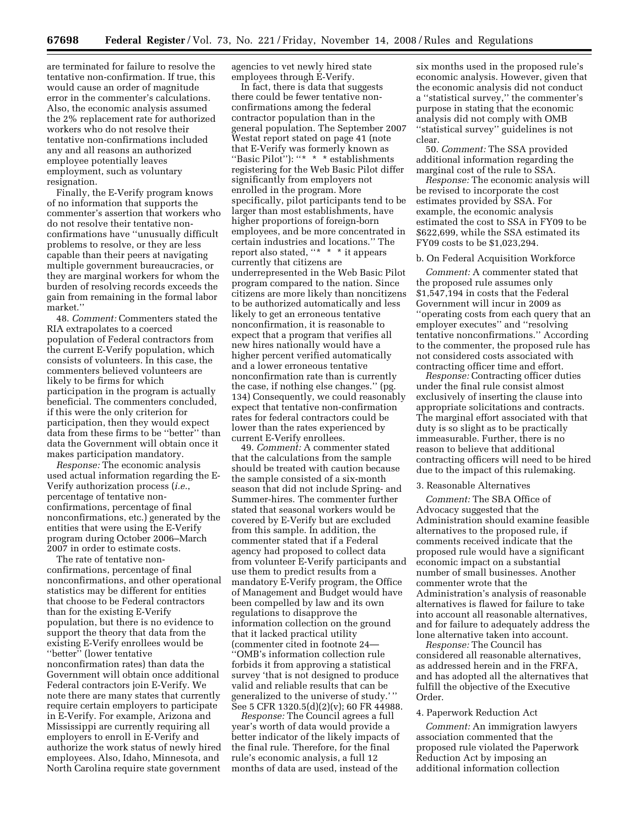are terminated for failure to resolve the tentative non-confirmation. If true, this would cause an order of magnitude error in the commenter's calculations. Also, the economic analysis assumed the 2% replacement rate for authorized workers who do not resolve their tentative non-confirmations included any and all reasons an authorized employee potentially leaves employment, such as voluntary resignation.

Finally, the E-Verify program knows of no information that supports the commenter's assertion that workers who do not resolve their tentative nonconfirmations have ''unusually difficult problems to resolve, or they are less capable than their peers at navigating multiple government bureaucracies, or they are marginal workers for whom the burden of resolving records exceeds the gain from remaining in the formal labor market.''

48. *Comment:* Commenters stated the RIA extrapolates to a coerced population of Federal contractors from the current E-Verify population, which consists of volunteers. In this case, the commenters believed volunteers are likely to be firms for which participation in the program is actually beneficial. The commenters concluded, if this were the only criterion for participation, then they would expect data from these firms to be ''better'' than data the Government will obtain once it makes participation mandatory.

*Response:* The economic analysis used actual information regarding the E-Verify authorization process (*i.e.*, percentage of tentative nonconfirmations, percentage of final nonconfirmations, etc.) generated by the entities that were using the E-Verify program during October 2006–March 2007 in order to estimate costs.

The rate of tentative nonconfirmations, percentage of final nonconfirmations, and other operational statistics may be different for entities that choose to be Federal contractors than for the existing E-Verify population, but there is no evidence to support the theory that data from the existing E-Verify enrollees would be ''better'' (lower tentative nonconfirmation rates) than data the Government will obtain once additional Federal contractors join E-Verify. We note there are many states that currently require certain employers to participate in E-Verify. For example, Arizona and Mississippi are currently requiring all employers to enroll in E-Verify and authorize the work status of newly hired employees. Also, Idaho, Minnesota, and North Carolina require state government

agencies to vet newly hired state employees through E-Verify.

In fact, there is data that suggests there could be fewer tentative nonconfirmations among the federal contractor population than in the general population. The September 2007 Westat report stated on page 41 (note that E-Verify was formerly known as "Basic Pilot"): "\* \* \* establishments registering for the Web Basic Pilot differ significantly from employers not enrolled in the program. More specifically, pilot participants tend to be larger than most establishments, have higher proportions of foreign-born employees, and be more concentrated in certain industries and locations.'' The report also stated, ''\* \* \* it appears currently that citizens are underrepresented in the Web Basic Pilot program compared to the nation. Since citizens are more likely than noncitizens to be authorized automatically and less likely to get an erroneous tentative nonconfirmation, it is reasonable to expect that a program that verifies all new hires nationally would have a higher percent verified automatically and a lower erroneous tentative nonconfirmation rate than is currently the case, if nothing else changes.'' (pg. 134) Consequently, we could reasonably expect that tentative non-confirmation rates for federal contractors could be lower than the rates experienced by current E-Verify enrollees.

49. *Comment:* A commenter stated that the calculations from the sample should be treated with caution because the sample consisted of a six-month season that did not include Spring- and Summer-hires. The commenter further stated that seasonal workers would be covered by E-Verify but are excluded from this sample. In addition, the commenter stated that if a Federal agency had proposed to collect data from volunteer E-Verify participants and use them to predict results from a mandatory E-Verify program, the Office of Management and Budget would have been compelled by law and its own regulations to disapprove the information collection on the ground that it lacked practical utility (commenter cited in footnote 24— ''OMB's information collection rule forbids it from approving a statistical survey 'that is not designed to produce valid and reliable results that can be generalized to the universe of study.' '' See 5 CFR 1320.5(d)(2)(v); 60 FR 44988.

*Response:* The Council agrees a full year's worth of data would provide a better indicator of the likely impacts of the final rule. Therefore, for the final rule's economic analysis, a full 12 months of data are used, instead of the

six months used in the proposed rule's economic analysis. However, given that the economic analysis did not conduct a ''statistical survey,'' the commenter's purpose in stating that the economic analysis did not comply with OMB ''statistical survey'' guidelines is not clear.

50. *Comment:* The SSA provided additional information regarding the marginal cost of the rule to SSA.

*Response:* The economic analysis will be revised to incorporate the cost estimates provided by SSA. For example, the economic analysis estimated the cost to SSA in FY09 to be \$622,699, while the SSA estimated its FY09 costs to be \$1,023,294.

# b. On Federal Acquisition Workforce

*Comment:* A commenter stated that the proposed rule assumes only \$1,547,194 in costs that the Federal Government will incur in 2009 as ''operating costs from each query that an employer executes'' and ''resolving tentative nonconfirmations.'' According to the commenter, the proposed rule has not considered costs associated with contracting officer time and effort.

*Response:* Contracting officer duties under the final rule consist almost exclusively of inserting the clause into appropriate solicitations and contracts. The marginal effort associated with that duty is so slight as to be practically immeasurable. Further, there is no reason to believe that additional contracting officers will need to be hired due to the impact of this rulemaking.

## 3. Reasonable Alternatives

*Comment:* The SBA Office of Advocacy suggested that the Administration should examine feasible alternatives to the proposed rule, if comments received indicate that the proposed rule would have a significant economic impact on a substantial number of small businesses. Another commenter wrote that the Administration's analysis of reasonable alternatives is flawed for failure to take into account all reasonable alternatives, and for failure to adequately address the lone alternative taken into account.

*Response:* The Council has considered all reasonable alternatives, as addressed herein and in the FRFA, and has adopted all the alternatives that fulfill the objective of the Executive Order.

#### 4. Paperwork Reduction Act

*Comment:* An immigration lawyers association commented that the proposed rule violated the Paperwork Reduction Act by imposing an additional information collection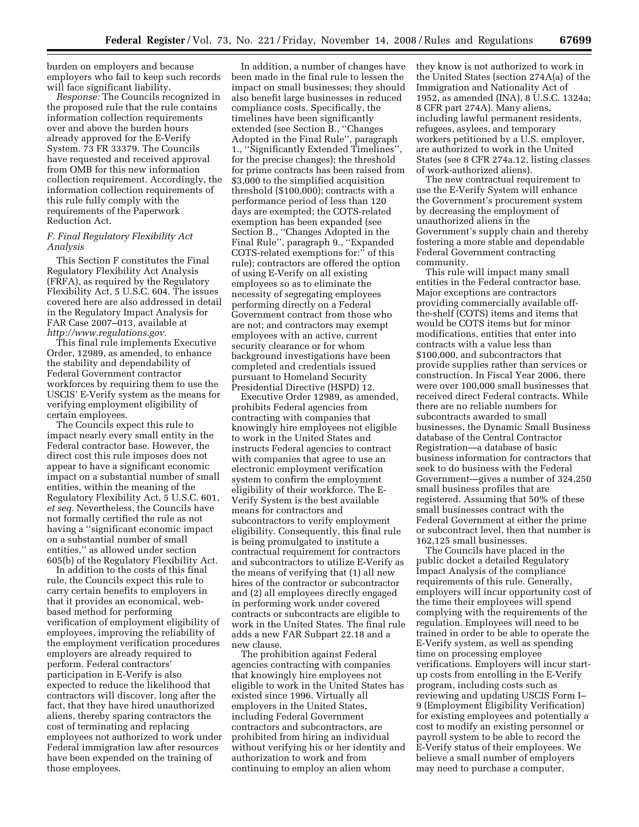burden on employers and because employers who fail to keep such records will face significant liability.

*Response:* The Councils recognized in the proposed rule that the rule contains information collection requirements over and above the burden hours already approved for the E-Verify System. 73 FR 33379. The Councils have requested and received approval from OMB for this new information collection requirement. Accordingly, the information collection requirements of this rule fully comply with the requirements of the Paperwork Reduction Act.

# *F. Final Regulatory Flexibility Act Analysis*

This Section F constitutes the Final Regulatory Flexibility Act Analysis (FRFA), as required by the Regulatory Flexibility Act, 5 U.S.C. 604. The issues covered here are also addressed in detail in the Regulatory Impact Analysis for FAR Case 2007–013, available at *[http://www.regulations.gov.](http://www.regulations.gov)* 

This final rule implements Executive Order, 12989, as amended, to enhance the stability and dependability of Federal Government contractor workforces by requiring them to use the USCIS' E-Verify system as the means for verifying employment eligibility of certain employees.

The Councils expect this rule to impact nearly every small entity in the Federal contractor base. However, the direct cost this rule imposes does not appear to have a significant economic impact on a substantial number of small entities, within the meaning of the Regulatory Flexibility Act, 5 U.S.C. 601, *et seq.* Nevertheless, the Councils have not formally certified the rule as not having a ''significant economic impact on a substantial number of small entities,'' as allowed under section 605(b) of the Regulatory Flexibility Act.

In addition to the costs of this final rule, the Councils expect this rule to carry certain benefits to employers in that it provides an economical, webbased method for performing verification of employment eligibility of employees, improving the reliability of the employment verification procedures employers are already required to perform. Federal contractors' participation in E-Verify is also expected to reduce the likelihood that contractors will discover, long after the fact, that they have hired unauthorized aliens, thereby sparing contractors the cost of terminating and replacing employees not authorized to work under Federal immigration law after resources have been expended on the training of those employees.

In addition, a number of changes have been made in the final rule to lessen the impact on small businesses; they should also benefit large businesses in reduced compliance costs. Specifically, the timelines have been significantly extended (see Section B., ''Changes Adopted in the Final Rule'', paragraph 1., ''Significantly Extended Timelines'', for the precise changes); the threshold for prime contracts has been raised from \$3,000 to the simplified acquisition threshold (\$100,000); contracts with a performance period of less than 120 days are exempted; the COTS-related exemption has been expanded (see Section B., ''Changes Adopted in the Final Rule'', paragraph 9., ''Expanded COTS-related exemptions for:'' of this rule); contractors are offered the option of using E-Verify on all existing employees so as to eliminate the necessity of segregating employees performing directly on a Federal Government contract from those who are not; and contractors may exempt employees with an active, current security clearance or for whom background investigations have been completed and credentials issued pursuant to Homeland Security Presidential Directive (HSPD) 12.

Executive Order 12989, as amended, prohibits Federal agencies from contracting with companies that knowingly hire employees not eligible to work in the United States and instructs Federal agencies to contract with companies that agree to use an electronic employment verification system to confirm the employment eligibility of their workforce. The E-Verify System is the best available means for contractors and subcontractors to verify employment eligibility. Consequently, this final rule is being promulgated to institute a contractual requirement for contractors and subcontractors to utilize E-Verify as the means of verifying that (1) all new hires of the contractor or subcontractor and (2) all employees directly engaged in performing work under covered contracts or subcontracts are eligible to work in the United States. The final rule adds a new FAR Subpart 22.18 and a new clause.

The prohibition against Federal agencies contracting with companies that knowingly hire employees not eligible to work in the United States has existed since 1996. Virtually all employers in the United States, including Federal Government contractors and subcontractors, are prohibited from hiring an individual without verifying his or her identity and authorization to work and from continuing to employ an alien whom

they know is not authorized to work in the United States (section 274A(a) of the Immigration and Nationality Act of 1952, as amended (INA), 8 U.S.C. 1324a; 8 CFR part 274A). Many aliens, including lawful permanent residents, refugees, asylees, and temporary workers petitioned by a U.S. employer, are authorized to work in the United States (see 8 CFR 274a.12, listing classes of work-authorized aliens).

The new contractual requirement to use the E-Verify System will enhance the Government's procurement system by decreasing the employment of unauthorized aliens in the Government's supply chain and thereby fostering a more stable and dependable Federal Government contracting community.

This rule will impact many small entities in the Federal contractor base. Major exceptions are contractors providing commercially available offthe-shelf (COTS) items and items that would be COTS items but for minor modifications, entities that enter into contracts with a value less than \$100,000, and subcontractors that provide supplies rather than services or construction. In Fiscal Year 2006, there were over 100,000 small businesses that received direct Federal contracts. While there are no reliable numbers for subcontracts awarded to small businesses, the Dynamic Small Business database of the Central Contractor Registration—a database of basic business information for contractors that seek to do business with the Federal Government—gives a number of 324,250 small business profiles that are registered. Assuming that 50% of these small businesses contract with the Federal Government at either the prime or subcontract level, then that number is 162,125 small businesses.

The Councils have placed in the public docket a detailed Regulatory Impact Analysis of the compliance requirements of this rule. Generally, employers will incur opportunity cost of the time their employees will spend complying with the requirements of the regulation. Employees will need to be trained in order to be able to operate the E-Verify system, as well as spending time on processing employee verifications. Employers will incur startup costs from enrolling in the E-Verify program, including costs such as reviewing and updating USCIS Form I– 9 (Employment Eligibility Verification) for existing employees and potentially a cost to modify an existing personnel or payroll system to be able to record the E-Verify status of their employees. We believe a small number of employers may need to purchase a computer,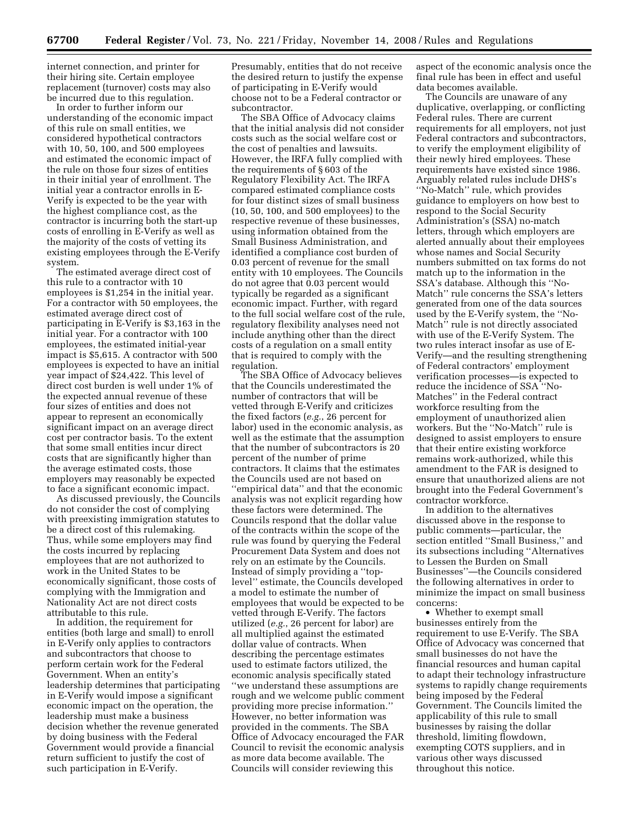internet connection, and printer for their hiring site. Certain employee replacement (turnover) costs may also be incurred due to this regulation.

In order to further inform our understanding of the economic impact of this rule on small entities, we considered hypothetical contractors with 10, 50, 100, and 500 employees and estimated the economic impact of the rule on those four sizes of entities in their initial year of enrollment. The initial year a contractor enrolls in E-Verify is expected to be the year with the highest compliance cost, as the contractor is incurring both the start-up costs of enrolling in E-Verify as well as the majority of the costs of vetting its existing employees through the E-Verify system.

The estimated average direct cost of this rule to a contractor with 10 employees is \$1,254 in the initial year. For a contractor with 50 employees, the estimated average direct cost of participating in E-Verify is \$3,163 in the initial year. For a contractor with 100 employees, the estimated initial-year impact is \$5,615. A contractor with 500 employees is expected to have an initial year impact of \$24,422. This level of direct cost burden is well under 1% of the expected annual revenue of these four sizes of entities and does not appear to represent an economically significant impact on an average direct cost per contractor basis. To the extent that some small entities incur direct costs that are significantly higher than the average estimated costs, those employers may reasonably be expected to face a significant economic impact.

As discussed previously, the Councils do not consider the cost of complying with preexisting immigration statutes to be a direct cost of this rulemaking. Thus, while some employers may find the costs incurred by replacing employees that are not authorized to work in the United States to be economically significant, those costs of complying with the Immigration and Nationality Act are not direct costs attributable to this rule.

In addition, the requirement for entities (both large and small) to enroll in E-Verify only applies to contractors and subcontractors that choose to perform certain work for the Federal Government. When an entity's leadership determines that participating in E-Verify would impose a significant economic impact on the operation, the leadership must make a business decision whether the revenue generated by doing business with the Federal Government would provide a financial return sufficient to justify the cost of such participation in E-Verify.

Presumably, entities that do not receive the desired return to justify the expense of participating in E-Verify would choose not to be a Federal contractor or subcontractor.

The SBA Office of Advocacy claims that the initial analysis did not consider costs such as the social welfare cost or the cost of penalties and lawsuits. However, the IRFA fully complied with the requirements of § 603 of the Regulatory Flexibility Act. The IRFA compared estimated compliance costs for four distinct sizes of small business (10, 50, 100, and 500 employees) to the respective revenue of these businesses, using information obtained from the Small Business Administration, and identified a compliance cost burden of 0.03 percent of revenue for the small entity with 10 employees. The Councils do not agree that 0.03 percent would typically be regarded as a significant economic impact. Further, with regard to the full social welfare cost of the rule, regulatory flexibility analyses need not include anything other than the direct costs of a regulation on a small entity that is required to comply with the regulation.

The SBA Office of Advocacy believes that the Councils underestimated the number of contractors that will be vetted through E-Verify and criticizes the fixed factors (*e.g.*, 26 percent for labor) used in the economic analysis, as well as the estimate that the assumption that the number of subcontractors is 20 percent of the number of prime contractors. It claims that the estimates the Councils used are not based on ''empirical data'' and that the economic analysis was not explicit regarding how these factors were determined. The Councils respond that the dollar value of the contracts within the scope of the rule was found by querying the Federal Procurement Data System and does not rely on an estimate by the Councils. Instead of simply providing a ''toplevel'' estimate, the Councils developed a model to estimate the number of employees that would be expected to be vetted through E-Verify. The factors utilized (*e.g.*, 26 percent for labor) are all multiplied against the estimated dollar value of contracts. When describing the percentage estimates used to estimate factors utilized, the economic analysis specifically stated ''we understand these assumptions are rough and we welcome public comment providing more precise information.'' However, no better information was provided in the comments. The SBA Office of Advocacy encouraged the FAR Council to revisit the economic analysis as more data become available. The Councils will consider reviewing this

aspect of the economic analysis once the final rule has been in effect and useful data becomes available.

The Councils are unaware of any duplicative, overlapping, or conflicting Federal rules. There are current requirements for all employers, not just Federal contractors and subcontractors, to verify the employment eligibility of their newly hired employees. These requirements have existed since 1986. Arguably related rules include DHS's ''No-Match'' rule, which provides guidance to employers on how best to respond to the Social Security Administration's (SSA) no-match letters, through which employers are alerted annually about their employees whose names and Social Security numbers submitted on tax forms do not match up to the information in the SSA's database. Although this ''No-Match'' rule concerns the SSA's letters generated from one of the data sources used by the E-Verify system, the ''No-Match'' rule is not directly associated with use of the E-Verify System. The two rules interact insofar as use of E-Verify—and the resulting strengthening of Federal contractors' employment verification processes—is expected to reduce the incidence of SSA ''No-Matches'' in the Federal contract workforce resulting from the employment of unauthorized alien workers. But the ''No-Match'' rule is designed to assist employers to ensure that their entire existing workforce remains work-authorized, while this amendment to the FAR is designed to ensure that unauthorized aliens are not brought into the Federal Government's contractor workforce.

In addition to the alternatives discussed above in the response to public comments—particular, the section entitled ''Small Business,'' and its subsections including ''Alternatives to Lessen the Burden on Small Businesses''—the Councils considered the following alternatives in order to minimize the impact on small business concerns:

• Whether to exempt small businesses entirely from the requirement to use E-Verify. The SBA Office of Advocacy was concerned that small businesses do not have the financial resources and human capital to adapt their technology infrastructure systems to rapidly change requirements being imposed by the Federal Government. The Councils limited the applicability of this rule to small businesses by raising the dollar threshold, limiting flowdown, exempting COTS suppliers, and in various other ways discussed throughout this notice.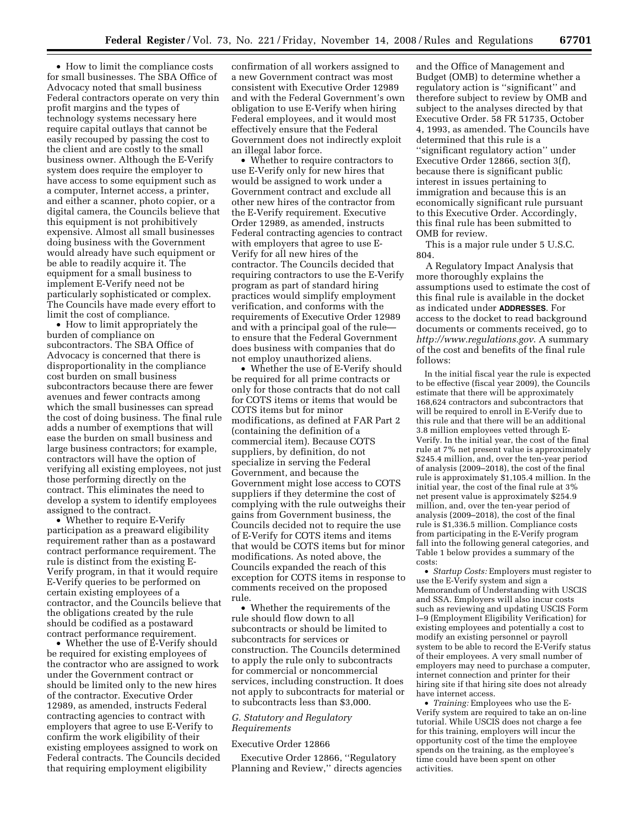• How to limit the compliance costs for small businesses. The SBA Office of Advocacy noted that small business Federal contractors operate on very thin profit margins and the types of technology systems necessary here require capital outlays that cannot be easily recouped by passing the cost to the client and are costly to the small business owner. Although the E-Verify system does require the employer to have access to some equipment such as a computer, Internet access, a printer, and either a scanner, photo copier, or a digital camera, the Councils believe that this equipment is not prohibitively expensive. Almost all small businesses doing business with the Government would already have such equipment or be able to readily acquire it. The equipment for a small business to implement E-Verify need not be particularly sophisticated or complex. The Councils have made every effort to limit the cost of compliance.

• How to limit appropriately the burden of compliance on subcontractors. The SBA Office of Advocacy is concerned that there is disproportionality in the compliance cost burden on small business subcontractors because there are fewer avenues and fewer contracts among which the small businesses can spread the cost of doing business. The final rule adds a number of exemptions that will ease the burden on small business and large business contractors; for example, contractors will have the option of verifying all existing employees, not just those performing directly on the contract. This eliminates the need to develop a system to identify employees assigned to the contract.

• Whether to require E-Verify participation as a preaward eligibility requirement rather than as a postaward contract performance requirement. The rule is distinct from the existing E-Verify program, in that it would require E-Verify queries to be performed on certain existing employees of a contractor, and the Councils believe that the obligations created by the rule should be codified as a postaward contract performance requirement.

• Whether the use of E-Verify should be required for existing employees of the contractor who are assigned to work under the Government contract or should be limited only to the new hires of the contractor. Executive Order 12989, as amended, instructs Federal contracting agencies to contract with employers that agree to use E-Verify to confirm the work eligibility of their existing employees assigned to work on Federal contracts. The Councils decided that requiring employment eligibility

confirmation of all workers assigned to a new Government contract was most consistent with Executive Order 12989 and with the Federal Government's own obligation to use E-Verify when hiring Federal employees, and it would most effectively ensure that the Federal Government does not indirectly exploit an illegal labor force.

• Whether to require contractors to use E-Verify only for new hires that would be assigned to work under a Government contract and exclude all other new hires of the contractor from the E-Verify requirement. Executive Order 12989, as amended, instructs Federal contracting agencies to contract with employers that agree to use E-Verify for all new hires of the contractor. The Councils decided that requiring contractors to use the E-Verify program as part of standard hiring practices would simplify employment verification, and conforms with the requirements of Executive Order 12989 and with a principal goal of the rule to ensure that the Federal Government does business with companies that do not employ unauthorized aliens.

• Whether the use of E-Verify should be required for all prime contracts or only for those contracts that do not call for COTS items or items that would be COTS items but for minor modifications, as defined at FAR Part 2 (containing the definition of a commercial item). Because COTS suppliers, by definition, do not specialize in serving the Federal Government, and because the Government might lose access to COTS suppliers if they determine the cost of complying with the rule outweighs their gains from Government business, the Councils decided not to require the use of E-Verify for COTS items and items that would be COTS items but for minor modifications. As noted above, the Councils expanded the reach of this exception for COTS items in response to comments received on the proposed rule.

• Whether the requirements of the rule should flow down to all subcontracts or should be limited to subcontracts for services or construction. The Councils determined to apply the rule only to subcontracts for commercial or noncommercial services, including construction. It does not apply to subcontracts for material or to subcontracts less than \$3,000.

## *G. Statutory and Regulatory Requirements*

## Executive Order 12866

Executive Order 12866, ''Regulatory Planning and Review,'' directs agencies

and the Office of Management and Budget (OMB) to determine whether a regulatory action is ''significant'' and therefore subject to review by OMB and subject to the analyses directed by that Executive Order. 58 FR 51735, October 4, 1993, as amended. The Councils have determined that this rule is a ''significant regulatory action'' under Executive Order 12866, section 3(f), because there is significant public interest in issues pertaining to immigration and because this is an economically significant rule pursuant to this Executive Order. Accordingly, this final rule has been submitted to OMB for review.

This is a major rule under 5 U.S.C. 804.

A Regulatory Impact Analysis that more thoroughly explains the assumptions used to estimate the cost of this final rule is available in the docket as indicated under **ADDRESSES**. For access to the docket to read background documents or comments received, go to *<http://www.regulations.gov>*. A summary of the cost and benefits of the final rule follows:

In the initial fiscal year the rule is expected to be effective (fiscal year 2009), the Councils estimate that there will be approximately 168,624 contractors and subcontractors that will be required to enroll in E-Verify due to this rule and that there will be an additional 3.8 million employees vetted through E-Verify. In the initial year, the cost of the final rule at 7% net present value is approximately \$245.4 million, and, over the ten-year period of analysis (2009–2018), the cost of the final rule is approximately \$1,105.4 million. In the initial year, the cost of the final rule at 3% net present value is approximately \$254.9 million, and, over the ten-year period of analysis (2009–2018), the cost of the final rule is \$1,336.5 million. Compliance costs from participating in the E-Verify program fall into the following general categories, and Table 1 below provides a summary of the costs:

• *Startup Costs:* Employers must register to use the E-Verify system and sign a Memorandum of Understanding with USCIS and SSA. Employers will also incur costs such as reviewing and updating USCIS Form I–9 (Employment Eligibility Verification) for existing employees and potentially a cost to modify an existing personnel or payroll system to be able to record the E-Verify status of their employees. A very small number of employers may need to purchase a computer, internet connection and printer for their hiring site if that hiring site does not already have internet access.

• *Training:* Employees who use the E-Verify system are required to take an on-line tutorial. While USCIS does not charge a fee for this training, employers will incur the opportunity cost of the time the employee spends on the training, as the employee's time could have been spent on other activities.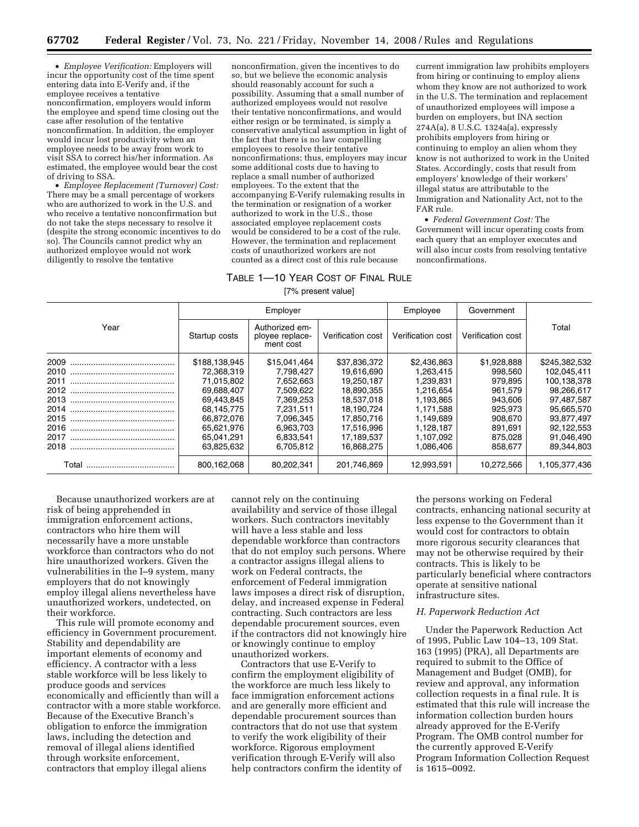• *Employee Verification:* Employers will incur the opportunity cost of the time spent entering data into E-Verify and, if the employee receives a tentative nonconfirmation, employers would inform the employee and spend time closing out the case after resolution of the tentative nonconfirmation. In addition, the employer would incur lost productivity when an employee needs to be away from work to visit SSA to correct his/her information. As estimated, the employee would bear the cost of driving to SSA.

• *Employee Replacement (Turnover) Cost:*  There may be a small percentage of workers who are authorized to work in the U.S. and who receive a tentative nonconfirmation but do not take the steps necessary to resolve it (despite the strong economic incentives to do so). The Councils cannot predict why an authorized employee would not work diligently to resolve the tentative

nonconfirmation, given the incentives to do so, but we believe the economic analysis should reasonably account for such a possibility. Assuming that a small number of authorized employees would not resolve their tentative nonconfirmations, and would either resign or be terminated, is simply a conservative analytical assumption in light of the fact that there is no law compelling employees to resolve their tentative nonconfirmations; thus, employers may incur some additional costs due to having to replace a small number of authorized employees. To the extent that the accompanying E-Verify rulemaking results in the termination or resignation of a worker authorized to work in the U.S., those associated employee replacement costs would be considered to be a cost of the rule. However, the termination and replacement costs of unauthorized workers are not counted as a direct cost of this rule because

# TABLE 1—10 YEAR COST OF FINAL RULE

[7% present value]

|       | Employer      |                                                |                   | Employee          | Government        |               |
|-------|---------------|------------------------------------------------|-------------------|-------------------|-------------------|---------------|
| Year  | Startup costs | Authorized em-<br>ployee replace-<br>ment cost | Verification cost | Verification cost | Verification cost | Total         |
| 2009  | \$188.138.945 | \$15,041,464                                   | \$37,836,372      | \$2,436,863       | \$1,928,888       | \$245,382,532 |
| 2010  | 72,368,319    | 7,798,427                                      | 19,616,690        | 1,263,415         | 998.560           | 102,045,411   |
| 2011  | 71,015,802    | 7,652,663                                      | 19,250,187        | 1,239,831         | 979.895           | 100,138,378   |
| 2012  | 69,688,407    | 7,509,622                                      | 18,890,355        | 1,216,654         | 961.579           | 98,266,617    |
| 2013  | 69.443.845    | 7.369.253                                      | 18.537.018        | 1.193.865         | 943.606           | 97.487.587    |
| 2014  | 68.145.775    | 7.231.511                                      | 18,190,724        | 1.171.588         | 925.973           | 95,665,570    |
| 2015  | 66,872,076    | 7,096,345                                      | 17,850,716        | 1.149.689         | 908.670           | 93,877,497    |
| 2016  | 65,621,976    | 6,963,703                                      | 17,516,996        | 1,128,187         | 891.691           | 92,122,553    |
| 2017  | 65,041,291    | 6,833,541                                      | 17,189,537        | 1,107,092         | 875.028           | 91,046,490    |
| 2018  | 63,825,632    | 6,705,812                                      | 16,868,275        | 1,086,406         | 858.677           | 89,344,803    |
| Total | 800,162,068   | 80,202,341                                     | 201,746,869       | 12,993,591        | 10,272,566        | 1,105,377,436 |

Because unauthorized workers are at risk of being apprehended in immigration enforcement actions, contractors who hire them will necessarily have a more unstable workforce than contractors who do not hire unauthorized workers. Given the vulnerabilities in the I–9 system, many employers that do not knowingly employ illegal aliens nevertheless have unauthorized workers, undetected, on their workforce.

This rule will promote economy and efficiency in Government procurement. Stability and dependability are important elements of economy and efficiency. A contractor with a less stable workforce will be less likely to produce goods and services economically and efficiently than will a contractor with a more stable workforce. Because of the Executive Branch's obligation to enforce the immigration laws, including the detection and removal of illegal aliens identified through worksite enforcement, contractors that employ illegal aliens

cannot rely on the continuing availability and service of those illegal workers. Such contractors inevitably will have a less stable and less dependable workforce than contractors that do not employ such persons. Where a contractor assigns illegal aliens to work on Federal contracts, the enforcement of Federal immigration laws imposes a direct risk of disruption, delay, and increased expense in Federal contracting. Such contractors are less dependable procurement sources, even if the contractors did not knowingly hire or knowingly continue to employ unauthorized workers.

Contractors that use E-Verify to confirm the employment eligibility of the workforce are much less likely to face immigration enforcement actions and are generally more efficient and dependable procurement sources than contractors that do not use that system to verify the work eligibility of their workforce. Rigorous employment verification through E-Verify will also help contractors confirm the identity of

the persons working on Federal contracts, enhancing national security at less expense to the Government than it would cost for contractors to obtain more rigorous security clearances that may not be otherwise required by their contracts. This is likely to be particularly beneficial where contractors operate at sensitive national infrastructure sites.

## *H. Paperwork Reduction Act*

Under the Paperwork Reduction Act of 1995, Public Law 104–13, 109 Stat. 163 (1995) (PRA), all Departments are required to submit to the Office of Management and Budget (OMB), for review and approval, any information collection requests in a final rule. It is estimated that this rule will increase the information collection burden hours already approved for the E-Verify Program. The OMB control number for the currently approved E-Verify Program Information Collection Request is 1615–0092.

current immigration law prohibits employers from hiring or continuing to employ aliens whom they know are not authorized to work in the U.S. The termination and replacement of unauthorized employees will impose a burden on employers, but INA section 274A(a), 8 U.S.C. 1324a(a), expressly prohibits employers from hiring or continuing to employ an alien whom they know is not authorized to work in the United States. Accordingly, costs that result from employers' knowledge of their workers' illegal status are attributable to the Immigration and Nationality Act, not to the FAR rule.

• *Federal Government Cost:* The Government will incur operating costs from each query that an employer executes and will also incur costs from resolving tentative nonconfirmations.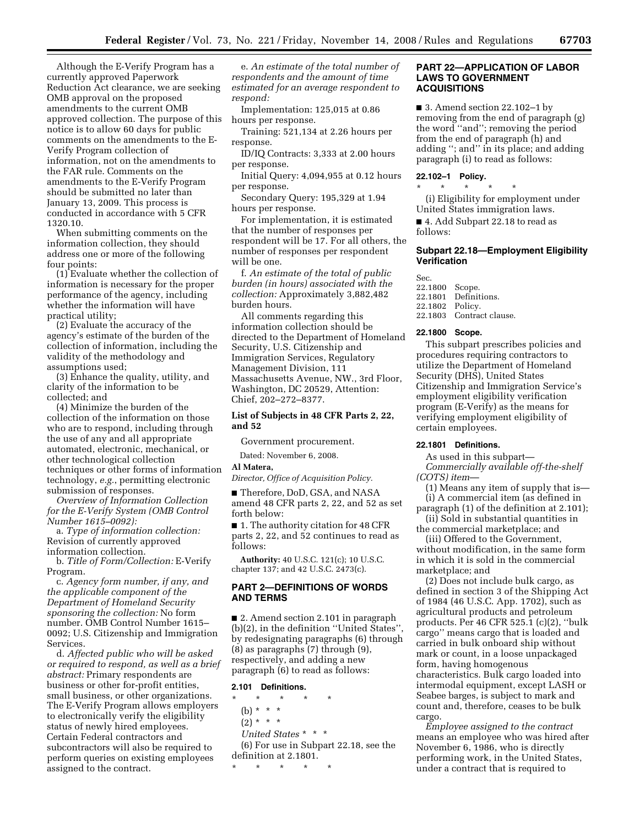Although the E-Verify Program has a currently approved Paperwork Reduction Act clearance, we are seeking OMB approval on the proposed amendments to the current OMB approved collection. The purpose of this notice is to allow 60 days for public comments on the amendments to the E-Verify Program collection of information, not on the amendments to the FAR rule. Comments on the amendments to the E-Verify Program should be submitted no later than January 13, 2009. This process is conducted in accordance with 5 CFR 1320.10.

When submitting comments on the information collection, they should address one or more of the following four points:

(1) Evaluate whether the collection of information is necessary for the proper performance of the agency, including whether the information will have practical utility;

(2) Evaluate the accuracy of the agency's estimate of the burden of the collection of information, including the validity of the methodology and assumptions used;

(3) Enhance the quality, utility, and clarity of the information to be collected; and

(4) Minimize the burden of the collection of the information on those who are to respond, including through the use of any and all appropriate automated, electronic, mechanical, or other technological collection techniques or other forms of information technology, *e.g.*, permitting electronic submission of responses.

*Overview of Information Collection for the E-Verify System (OMB Control Number 1615–0092):* 

a. *Type of information collection:*  Revision of currently approved information collection.

b. *Title of Form/Collection:* E-Verify Program.

c. *Agency form number, if any, and the applicable component of the Department of Homeland Security sponsoring the collection:* No form number. OMB Control Number 1615– 0092; U.S. Citizenship and Immigration Services.

d. *Affected public who will be asked or required to respond, as well as a brief abstract:* Primary respondents are business or other for-profit entities, small business, or other organizations. The E-Verify Program allows employers to electronically verify the eligibility status of newly hired employees. Certain Federal contractors and subcontractors will also be required to perform queries on existing employees assigned to the contract.

e. *An estimate of the total number of respondents and the amount of time estimated for an average respondent to respond:* 

Implementation: 125,015 at 0.86 hours per response.

Training: 521,134 at 2.26 hours per response.

ID/IQ Contracts: 3,333 at 2.00 hours per response.

Initial Query: 4,094,955 at 0.12 hours per response.

Secondary Query: 195,329 at 1.94 hours per response.

For implementation, it is estimated that the number of responses per respondent will be 17. For all others, the number of responses per respondent will be one.

f. *An estimate of the total of public burden (in hours) associated with the collection:* Approximately 3,882,482 burden hours.

All comments regarding this information collection should be directed to the Department of Homeland Security, U.S. Citizenship and Immigration Services, Regulatory Management Division, 111 Massachusetts Avenue, NW., 3rd Floor, Washington, DC 20529, Attention: Chief, 202–272–8377.

**List of Subjects in 48 CFR Parts 2, 22, and 52** 

Government procurement.

Dated: November 6, 2008.

#### **Al Matera,**

*Director, Office of Acquisition Policy.* 

■ Therefore, DoD, GSA, and NASA amend 48 CFR parts 2, 22, and 52 as set forth below:

■ 1. The authority citation for 48 CFR parts 2, 22, and 52 continues to read as follows:

**Authority:** 40 U.S.C. 121(c); 10 U.S.C. chapter 137; and 42 U.S.C. 2473(c).

# **PART 2—DEFINITIONS OF WORDS AND TERMS**

■ 2. Amend section 2.101 in paragraph (b)(2), in the definition ''United States'', by redesignating paragraphs (6) through (8) as paragraphs (7) through (9), respectively, and adding a new paragraph (6) to read as follows:

## **2.101 Definitions.**

\* \* \* \* \* (b) \* \* \*

 $(2) * * * *$ 

*United States* \* \* \*

(6) For use in Subpart 22.18, see the definition at 2.1801.

\* \* \* \* \*

# **PART 22—APPLICATION OF LABOR LAWS TO GOVERNMENT ACQUISITIONS**

■ 3. Amend section 22.102–1 by removing from the end of paragraph (g) the word ''and''; removing the period from the end of paragraph (h) and adding ''; and'' in its place; and adding paragraph (i) to read as follows:

# **22.102–1 Policy.**

\* \* \* \* \* (i) Eligibility for employment under United States immigration laws.

■ 4. Add Subpart 22.18 to read as follows:

# **Subpart 22.18—Employment Eligibility Verification**

Sec.<br>22.1800 22.1800 Scope. Definitions. 22.1802 Policy. 22.1803 Contract clause.

#### **22.1800 Scope.**

This subpart prescribes policies and procedures requiring contractors to utilize the Department of Homeland Security (DHS), United States Citizenship and Immigration Service's employment eligibility verification program (E-Verify) as the means for verifying employment eligibility of certain employees.

# **22.1801 Definitions.**

As used in this subpart— *Commercially available off-the-shelf* 

*(COTS) item*—

(1) Means any item of supply that is— (i) A commercial item (as defined in paragraph (1) of the definition at 2.101);

(ii) Sold in substantial quantities in the commercial marketplace; and

(iii) Offered to the Government, without modification, in the same form in which it is sold in the commercial marketplace; and

(2) Does not include bulk cargo, as defined in section 3 of the Shipping Act of 1984 (46 U.S.C. App. 1702), such as agricultural products and petroleum products. Per 46 CFR 525.1 (c)(2), ''bulk cargo'' means cargo that is loaded and carried in bulk onboard ship without mark or count, in a loose unpackaged form, having homogenous characteristics. Bulk cargo loaded into intermodal equipment, except LASH or Seabee barges, is subject to mark and count and, therefore, ceases to be bulk cargo.

*Employee assigned to the contract*  means an employee who was hired after November 6, 1986, who is directly performing work, in the United States, under a contract that is required to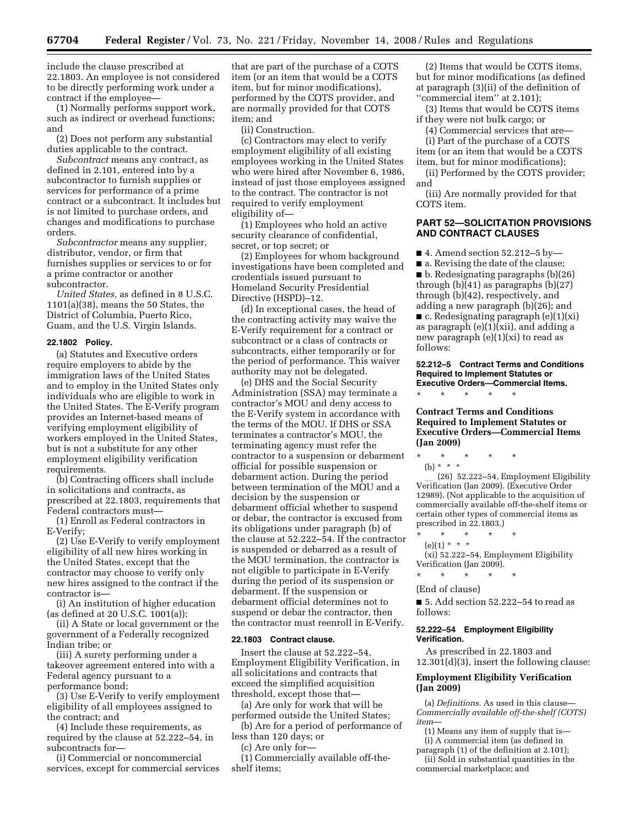include the clause prescribed at 22.1803. An employee is not considered to be directly performing work under a contract if the employee—

(1) Normally performs support work, such as indirect or overhead functions; and

(2) Does not perform any substantial duties applicable to the contract.

*Subcontract* means any contract, as defined in 2.101, entered into by a subcontractor to furnish supplies or services for performance of a prime contract or a subcontract. It includes but is not limited to purchase orders, and changes and modifications to purchase orders.

*Subcontractor* means any supplier, distributor, vendor, or firm that furnishes supplies or services to or for a prime contractor or another subcontractor.

*United States,* as defined in 8 U.S.C. 1101(a)(38), means the 50 States, the District of Columbia, Puerto Rico, Guam, and the U.S. Virgin Islands.

#### **22.1802 Policy.**

(a) Statutes and Executive orders require employers to abide by the immigration laws of the United States and to employ in the United States only individuals who are eligible to work in the United States. The E-Verify program provides an Internet-based means of verifying employment eligibility of workers employed in the United States, but is not a substitute for any other employment eligibility verification requirements.

(b) Contracting officers shall include in solicitations and contracts, as prescribed at 22.1803, requirements that Federal contractors must—

(1) Enroll as Federal contractors in E-Verify;

(2) Use E-Verify to verify employment eligibility of all new hires working in the United States, except that the contractor may choose to verify only new hires assigned to the contract if the contractor is—

(i) An institution of higher education (as defined at 20 U.S.C. 1001(a));

(ii) A State or local government or the government of a Federally recognized Indian tribe; or

(iii) A surety performing under a takeover agreement entered into with a Federal agency pursuant to a performance bond;

(3) Use E-Verify to verify employment eligibility of all employees assigned to the contract; and

(4) Include these requirements, as required by the clause at 52.222–54, in subcontracts for—

(i) Commercial or noncommercial services, except for commercial services

that are part of the purchase of a COTS item (or an item that would be a COTS item, but for minor modifications), performed by the COTS provider, and are normally provided for that COTS item; and

(ii) Construction.

(c) Contractors may elect to verify employment eligibility of all existing employees working in the United States who were hired after November 6, 1986, instead of just those employees assigned to the contract. The contractor is not required to verify employment eligibility of—

(1) Employees who hold an active security clearance of confidential, secret, or top secret; or

(2) Employees for whom background investigations have been completed and credentials issued pursuant to Homeland Security Presidential Directive (HSPD)–12.

(d) In exceptional cases, the head of the contracting activity may waive the E-Verify requirement for a contract or subcontract or a class of contracts or subcontracts, either temporarily or for the period of performance. This waiver authority may not be delegated.

(e) DHS and the Social Security Administration (SSA) may terminate a contractor's MOU and deny access to the E-Verify system in accordance with the terms of the MOU. If DHS or SSA terminates a contractor's MOU, the terminating agency must refer the contractor to a suspension or debarment official for possible suspension or debarment action. During the period between termination of the MOU and a decision by the suspension or debarment official whether to suspend or debar, the contractor is excused from its obligations under paragraph (b) of the clause at 52.222–54. If the contractor is suspended or debarred as a result of the MOU termination, the contractor is not eligible to participate in E-Verify during the period of its suspension or debarment. If the suspension or debarment official determines not to suspend or debar the contractor, then the contractor must reenroll in E-Verify.

#### **22.1803 Contract clause.**

Insert the clause at 52.222–54, Employment Eligibility Verification, in all solicitations and contracts that exceed the simplified acquisition threshold, except those that—

(a) Are only for work that will be performed outside the United States;

(b) Are for a period of performance of less than 120 days; or

(c) Are only for—

(1) Commercially available off-theshelf items;

(2) Items that would be COTS items, but for minor modifications (as defined at paragraph (3)(ii) of the definition of ''commercial item'' at 2.101);

(3) Items that would be COTS items if they were not bulk cargo; or

(4) Commercial services that are— (i) Part of the purchase of a COTS

item (or an item that would be a COTS item, but for minor modifications);

(ii) Performed by the COTS provider; and

(iii) Are normally provided for that COTS item.

# **PART 52—SOLICITATION PROVISIONS AND CONTRACT CLAUSES**

 $\blacksquare$  4. Amend section 52.212-5 by-

■ a. Revising the date of the clause; ■ b. Redesignating paragraphs (b)(26) through (b)(41) as paragraphs (b)(27) through (b)(42), respectively, and adding a new paragraph (b)(26); and  $\blacksquare$  c. Redesignating paragraph (e)(1)(xi)

as paragraph (e)(1)(xii), and adding a new paragraph (e)(1)(xi) to read as follows:

#### **52.212–5 Contract Terms and Conditions Required to Implement Statutes or Executive Orders—Commercial Items.**

\* \* \* \* \*

# **Contract Terms and Conditions Required to Implement Statutes or Executive Orders—Commercial Items (Jan 2009)**

\* \* \* \* \* (b) \* \* \*

l (26) 52.222–54, Employment Eligibility Verification (Jan 2009). (Executive Order 12989). (Not applicable to the acquisition of commercially available off-the-shelf items or certain other types of commercial items as prescribed in 22.1803.)

\* \* \* \* \*

 $(e)(1) * * * *$ 

(xi) 52.222–54, Employment Eligibility Verification (Jan 2009).

\* \* \* \* \* (End of clause)

■ 5. Add section 52.222–54 to read as follows:

## **52.222–54 Employment Eligibility Verification.**

As prescribed in 22.1803 and 12.301(d)(3), insert the following clause:

# **Employment Eligibility Verification (Jan 2009)**

(a) *Definitions.* As used in this clause— *Commercially available off-the-shelf (COTS) item*—

(1) Means any item of supply that is— (i) A commercial item (as defined in paragraph (1) of the definition at 2.101);

(ii) Sold in substantial quantities in the commercial marketplace; and